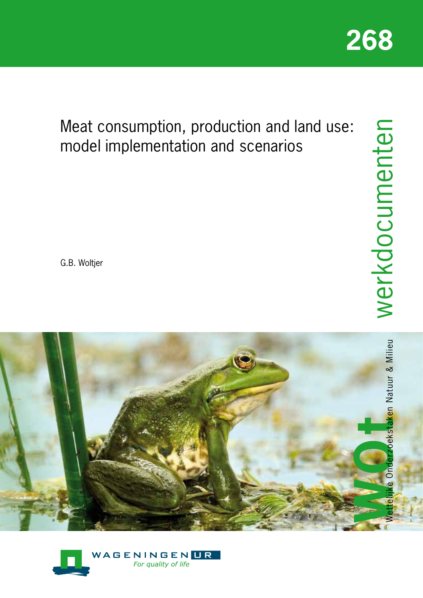

Meat consumption, production and land use: model implementation and scenarios

G.B. Woltjer



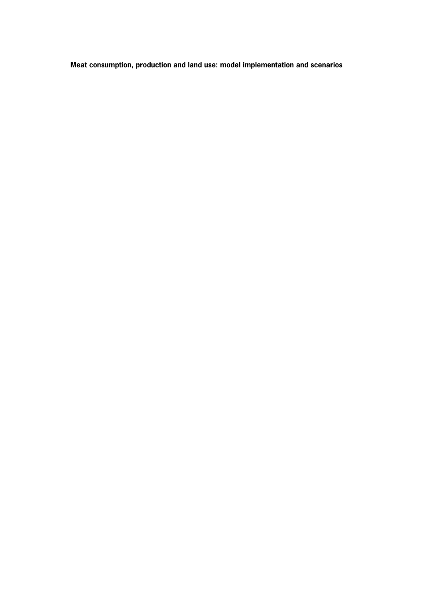**Meat consumption, production and land use: model implementation and scenarios**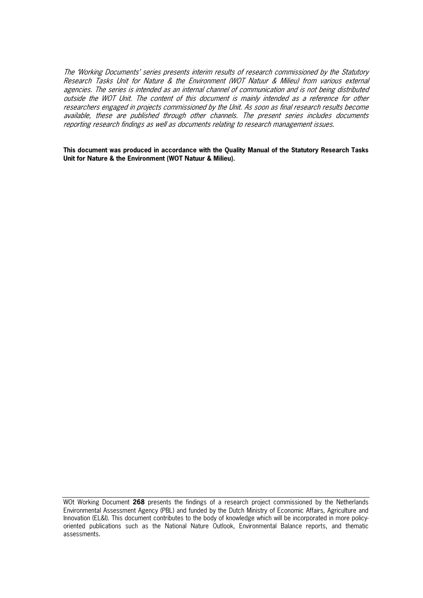The 'Working Documents' series presents interim results of research commissioned by the Statutory Research Tasks Unit for Nature & the Environment (WOT Natuur & Milieu) from various external agencies. The series is intended as an internal channel of communication and is not being distributed outside the WOT Unit. The content of this document is mainly intended as a reference for other researchers engaged in projects commissioned by the Unit. As soon as final research results become available, these are published through other channels. The present series includes documents reporting research findings as well as documents relating to research management issues.

**This document was produced in accordance with the Quality Manual of the Statutory Research Tasks Unit for Nature & the Environment (WOT Natuur & Milieu).**

WOt Working Document **268** presents the findings of a research project commissioned by the Netherlands Environmental Assessment Agency (PBL) and funded by the Dutch Ministry of Economic Affairs, Agriculture and Innovation (EL&I). This document contributes to the body of knowledge which will be incorporated in more policyoriented publications such as the National Nature Outlook, Environmental Balance reports, and thematic assessments.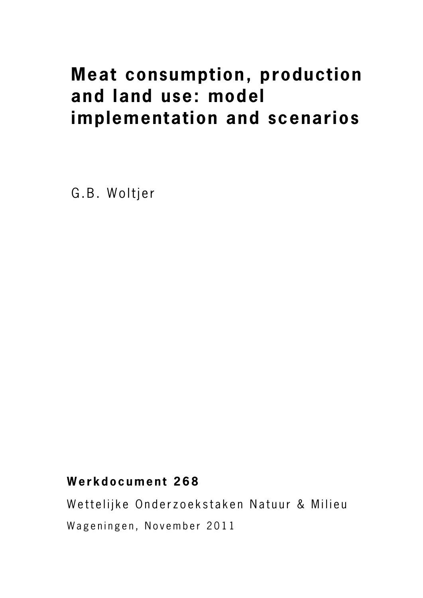# **Meat consumption, production and land use: model implementation and scenarios**

G.B. Woltjer

# **Werkdocument 268**

Wettelijke Onderzoekstaken Natuur & Milieu Wageningen, November 2011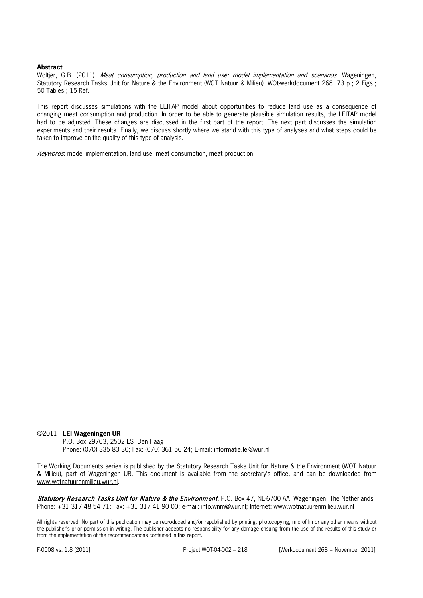#### **Abstract**

Woltjer, G.B. (2011). Meat consumption, production and land use: model implementation and scenarios. Wageningen, Statutory Research Tasks Unit for Nature & the Environment (WOT Natuur & Milieu). WOt-werkdocument 268. 73 p.; 2 Figs.; 50 Tables.; 15 Ref.

This report discusses simulations with the LEITAP model about opportunities to reduce land use as a consequence of changing meat consumption and production. In order to be able to generate plausible simulation results, the LEITAP model had to be adjusted. These changes are discussed in the first part of the report. The next part discusses the simulation experiments and their results. Finally, we discuss shortly where we stand with this type of analyses and what steps could be taken to improve on the quality of this type of analysis.

Keywords: model implementation, land use, meat consumption, meat production

#### ©2011 **LEI Wageningen UR**

P.O. Box 29703, 2502 LS Den Haag Phone: (070) 335 83 30; Fax: (070) 361 56 24; E-mail: [informatie.lei@wur.nl](mailto:informatie.lei@wur.nl)

The Working Documents series is published by the Statutory Research Tasks Unit for Nature & the Environment (WOT Natuur & Milieu), part of Wageningen UR. This document is available from the secretary's office, and can be downloaded from [www.wotnatuurenmilieu.wur.nl.](http://www.wotnatuurenmilieu.wur.nl/)

Statutory Research Tasks Unit for Nature & the Environment**,** P.O. Box 47, NL-6700 AA Wageningen, The Netherlands Phone: +31 317 48 54 71; Fax: +31 317 41 90 00; e-mail: [info.wnm@wur.nl;](mailto:info.wnm@wur.nl) Internet: [www.wotnatuurenmilieu.wur.nl](http://www.wotnatuurenmilieu.wur.nl/)

All rights reserved. No part of this publication may be reproduced and/or republished by printing, photocopying, microfilm or any other means without the publisher's prior permission in writing. The publisher accepts no responsibility for any damage ensuing from the use of the results of this study or from the implementation of the recommendations contained in this report.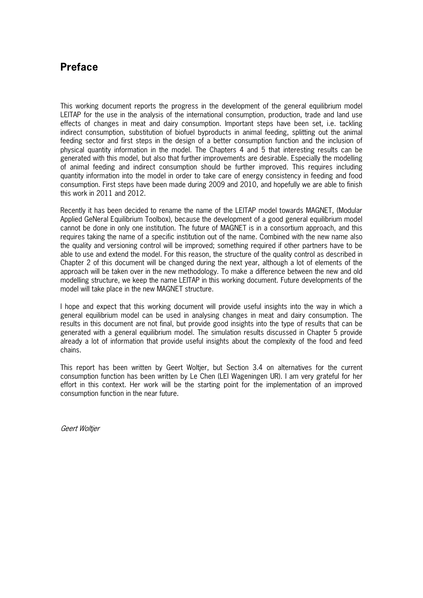# **Preface**

This working document reports the progress in the development of the general equilibrium model LEITAP for the use in the analysis of the international consumption, production, trade and land use effects of changes in meat and dairy consumption. Important steps have been set, i.e. tackling indirect consumption, substitution of biofuel byproducts in animal feeding, splitting out the animal feeding sector and first steps in the design of a better consumption function and the inclusion of physical quantity information in the model. The Chapters 4 and 5 that interesting results can be generated with this model, but also that further improvements are desirable. Especially the modelling of animal feeding and indirect consumption should be further improved. This requires including quantity information into the model in order to take care of energy consistency in feeding and food consumption. First steps have been made during 2009 and 2010, and hopefully we are able to finish this work in 2011 and 2012.

Recently it has been decided to rename the name of the LEITAP model towards MAGNET, (Modular Applied GeNeral Equilibrium Toolbox), because the development of a good general equilibrium model cannot be done in only one institution. The future of MAGNET is in a consortium approach, and this requires taking the name of a specific institution out of the name. Combined with the new name also the quality and versioning control will be improved; something required if other partners have to be able to use and extend the model. For this reason, the structure of the quality control as described in Chapter 2 of this document will be changed during the next year, although a lot of elements of the approach will be taken over in the new methodology. To make a difference between the new and old modelling structure, we keep the name LEITAP in this working document. Future developments of the model will take place in the new MAGNET structure.

I hope and expect that this working document will provide useful insights into the way in which a general equilibrium model can be used in analysing changes in meat and dairy consumption. The results in this document are not final, but provide good insights into the type of results that can be generated with a general equilibrium model. The simulation results discussed in Chapter 5 provide already a lot of information that provide useful insights about the complexity of the food and feed chains.

This report has been written by Geert Woltjer, but Section 3.4 on alternatives for the current consumption function has been written by Le Chen (LEI Wageningen UR). I am very grateful for her effort in this context. Her work will be the starting point for the implementation of an improved consumption function in the near future.

Geert Woltjer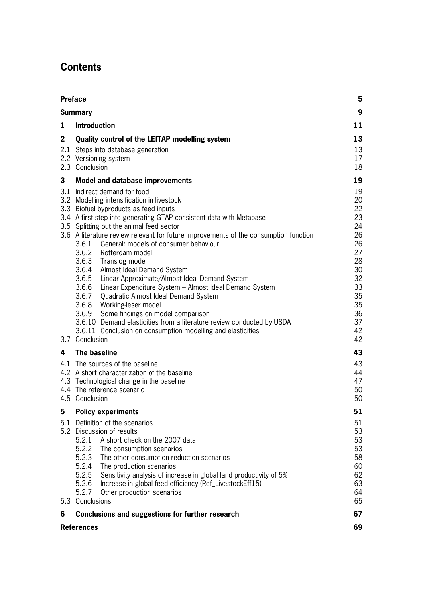# **Contents**

| <b>Preface</b>                                                                                                                                                                                                                                                                                                                                                                                                                                                                                                                                                                                                                                                                                                                                                                                                                                                                     | 5                                                                                                        |  |  |  |
|------------------------------------------------------------------------------------------------------------------------------------------------------------------------------------------------------------------------------------------------------------------------------------------------------------------------------------------------------------------------------------------------------------------------------------------------------------------------------------------------------------------------------------------------------------------------------------------------------------------------------------------------------------------------------------------------------------------------------------------------------------------------------------------------------------------------------------------------------------------------------------|----------------------------------------------------------------------------------------------------------|--|--|--|
| <b>Summary</b>                                                                                                                                                                                                                                                                                                                                                                                                                                                                                                                                                                                                                                                                                                                                                                                                                                                                     | 9                                                                                                        |  |  |  |
| <b>Introduction</b><br>1                                                                                                                                                                                                                                                                                                                                                                                                                                                                                                                                                                                                                                                                                                                                                                                                                                                           | 11                                                                                                       |  |  |  |
| 13<br>Quality control of the LEITAP modelling system<br>13<br>2.1<br>Steps into database generation<br>2.2 Versioning system<br>17<br>2.3 Conclusion<br>18                                                                                                                                                                                                                                                                                                                                                                                                                                                                                                                                                                                                                                                                                                                         |                                                                                                          |  |  |  |
| 3<br><b>Model and database improvements</b>                                                                                                                                                                                                                                                                                                                                                                                                                                                                                                                                                                                                                                                                                                                                                                                                                                        | 19                                                                                                       |  |  |  |
| 3.1<br>Indirect demand for food<br>3.2 Modelling intensification in livestock<br>3.3 Biofuel byproducts as feed inputs<br>3.4 A first step into generating GTAP consistent data with Metabase<br>3.5 Splitting out the animal feed sector<br>3.6 A literature review relevant for future improvements of the consumption function<br>3.6.1 General: models of consumer behaviour<br>3.6.2 Rotterdam model<br>3.6.3 Translog model<br>3.6.4<br>Almost Ideal Demand System<br>3.6.5 Linear Approximate/Almost Ideal Demand System<br>3.6.6 Linear Expenditure System - Almost Ideal Demand System<br>3.6.7 Quadratic Almost Ideal Demand System<br>3.6.8 Working-leser model<br>3.6.9<br>Some findings on model comparison<br>3.6.10 Demand elasticities from a literature review conducted by USDA<br>3.6.11 Conclusion on consumption modelling and elasticities<br>3.7 Conclusion | 19<br>20<br>22<br>23<br>24<br>26<br>26<br>27<br>28<br>30<br>32<br>33<br>35<br>35<br>36<br>37<br>42<br>42 |  |  |  |
| The baseline<br>4                                                                                                                                                                                                                                                                                                                                                                                                                                                                                                                                                                                                                                                                                                                                                                                                                                                                  | 43                                                                                                       |  |  |  |
| 4.1<br>The sources of the baseline<br>4.2 A short characterization of the baseline<br>4.3 Technological change in the baseline<br>4.4 The reference scenario<br>4.5 Conclusion                                                                                                                                                                                                                                                                                                                                                                                                                                                                                                                                                                                                                                                                                                     | 43<br>44<br>47<br>50<br>50                                                                               |  |  |  |
| 5<br><b>Policy experiments</b>                                                                                                                                                                                                                                                                                                                                                                                                                                                                                                                                                                                                                                                                                                                                                                                                                                                     | 51                                                                                                       |  |  |  |
| 5.1 Definition of the scenarios<br>5.2 Discussion of results<br>5.2.1<br>A short check on the 2007 data<br>5.2.2 The consumption scenarios<br>5.2.3<br>The other consumption reduction scenarios<br>5.2.4<br>The production scenarios<br>5.2.5<br>Sensitivity analysis of increase in global land productivity of 5%<br>5.2.6<br>Increase in global feed efficiency (Ref_LivestockEff15)<br>5.2.7<br>Other production scenarios<br>5.3 Conclusions                                                                                                                                                                                                                                                                                                                                                                                                                                 | 51<br>53<br>53<br>53<br>58<br>60<br>62<br>63<br>64<br>65                                                 |  |  |  |
| Conclusions and suggestions for further research<br>6                                                                                                                                                                                                                                                                                                                                                                                                                                                                                                                                                                                                                                                                                                                                                                                                                              | 67                                                                                                       |  |  |  |
| <b>References</b>                                                                                                                                                                                                                                                                                                                                                                                                                                                                                                                                                                                                                                                                                                                                                                                                                                                                  | 69                                                                                                       |  |  |  |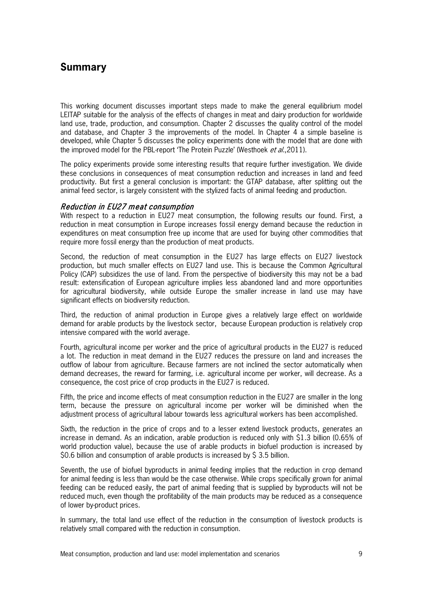# **Summary**

This working document discusses important steps made to make the general equilibrium model LEITAP suitable for the analysis of the effects of changes in meat and dairy production for worldwide land use, trade, production, and consumption. Chapter 2 discusses the quality control of the model and database, and Chapter 3 the improvements of the model. In Chapter 4 a simple baseline is developed, while Chapter 5 discusses the policy experiments done with the model that are done with the improved model for the PBL-report 'The Protein Puzzle' (Westhoek *et al.*,2011).

The policy experiments provide some interesting results that require further investigation. We divide these conclusions in consequences of meat consumption reduction and increases in land and feed productivity. But first a general conclusion is important: the GTAP database, after splitting out the animal feed sector, is largely consistent with the stylized facts of animal feeding and production.

#### Reduction in EU27 meat consumption

With respect to a reduction in EU27 meat consumption, the following results our found. First, a reduction in meat consumption in Europe increases fossil energy demand because the reduction in expenditures on meat consumption free up income that are used for buying other commodities that require more fossil energy than the production of meat products.

Second, the reduction of meat consumption in the EU27 has large effects on EU27 livestock production, but much smaller effects on EU27 land use. This is because the Common Agricultural Policy (CAP) subsidizes the use of land. From the perspective of biodiversity this may not be a bad result: extensification of European agriculture implies less abandoned land and more opportunities for agricultural biodiversity, while outside Europe the smaller increase in land use may have significant effects on biodiversity reduction.

Third, the reduction of animal production in Europe gives a relatively large effect on worldwide demand for arable products by the livestock sector, because European production is relatively crop intensive compared with the world average.

Fourth, agricultural income per worker and the price of agricultural products in the EU27 is reduced a lot. The reduction in meat demand in the EU27 reduces the pressure on land and increases the outflow of labour from agriculture. Because farmers are not inclined the sector automatically when demand decreases, the reward for farming, i.e. agricultural income per worker, will decrease. As a consequence, the cost price of crop products in the EU27 is reduced.

Fifth, the price and income effects of meat consumption reduction in the EU27 are smaller in the long term, because the pressure on agricultural income per worker will be diminished when the adjustment process of agricultural labour towards less agricultural workers has been accomplished.

Sixth, the reduction in the price of crops and to a lesser extend livestock products, generates an increase in demand. As an indication, arable production is reduced only with \$1.3 billion (0.65% of world production value), because the use of arable products in biofuel production is increased by \$0.6 billion and consumption of arable products is increased by \$ 3.5 billion.

Seventh, the use of biofuel byproducts in animal feeding implies that the reduction in crop demand for animal feeding is less than would be the case otherwise. While crops specifically grown for animal feeding can be reduced easily, the part of animal feeding that is supplied by byproducts will not be reduced much, even though the profitability of the main products may be reduced as a consequence of lower by-product prices.

In summary, the total land use effect of the reduction in the consumption of livestock products is relatively small compared with the reduction in consumption.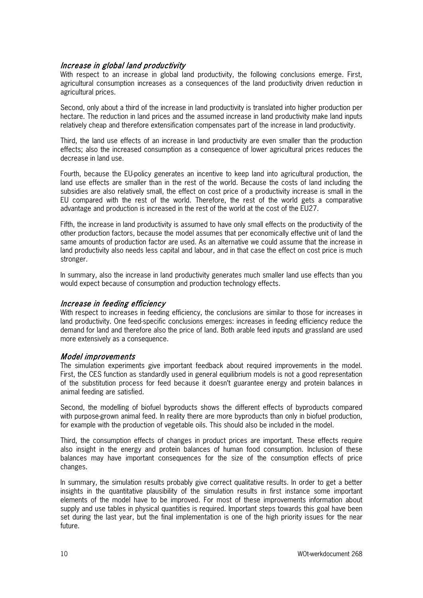#### Increase in global land productivity

With respect to an increase in global land productivity, the following conclusions emerge. First, agricultural consumption increases as a consequences of the land productivity driven reduction in agricultural prices.

Second, only about a third of the increase in land productivity is translated into higher production per hectare. The reduction in land prices and the assumed increase in land productivity make land inputs relatively cheap and therefore extensification compensates part of the increase in land productivity.

Third, the land use effects of an increase in land productivity are even smaller than the production effects; also the increased consumption as a consequence of lower agricultural prices reduces the decrease in land use.

Fourth, because the EU-policy generates an incentive to keep land into agricultural production, the land use effects are smaller than in the rest of the world. Because the costs of land including the subsidies are also relatively small, the effect on cost price of a productivity increase is small in the EU compared with the rest of the world. Therefore, the rest of the world gets a comparative advantage and production is increased in the rest of the world at the cost of the EU27.

Fifth, the increase in land productivity is assumed to have only small effects on the productivity of the other production factors, because the model assumes that per economically effective unit of land the same amounts of production factor are used. As an alternative we could assume that the increase in land productivity also needs less capital and labour, and in that case the effect on cost price is much stronger.

In summary, also the increase in land productivity generates much smaller land use effects than you would expect because of consumption and production technology effects.

#### Increase in feeding efficiency

With respect to increases in feeding efficiency, the conclusions are similar to those for increases in land productivity. One feed-specific conclusions emerges: increases in feeding efficiency reduce the demand for land and therefore also the price of land. Both arable feed inputs and grassland are used more extensively as a consequence.

#### Model improvements

The simulation experiments give important feedback about required improvements in the model. First, the CES function as standardly used in general equilibrium models is not a good representation of the substitution process for feed because it doesn't guarantee energy and protein balances in animal feeding are satisfied.

Second, the modelling of biofuel byproducts shows the different effects of byproducts compared with purpose-grown animal feed. In reality there are more byproducts than only in biofuel production, for example with the production of vegetable oils. This should also be included in the model.

Third, the consumption effects of changes in product prices are important. These effects require also insight in the energy and protein balances of human food consumption. Inclusion of these balances may have important consequences for the size of the consumption effects of price changes.

In summary, the simulation results probably give correct qualitative results. In order to get a better insights in the quantitative plausibility of the simulation results in first instance some important elements of the model have to be improved. For most of these improvements information about supply and use tables in physical quantities is required. Important steps towards this goal have been set during the last year, but the final implementation is one of the high priority issues for the near future.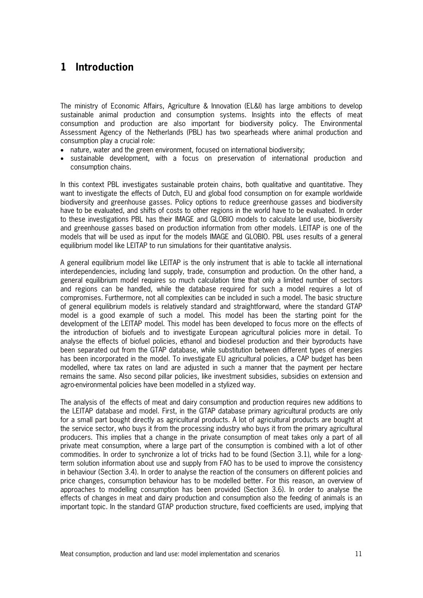# **1 Introduction**

The ministry of Economic Affairs, Agriculture & Innovation (EL&I) has large ambitions to develop sustainable animal production and consumption systems. Insights into the effects of meat consumption and production are also important for biodiversity policy. The Environmental Assessment Agency of the Netherlands (PBL) has two spearheads where animal production and consumption play a crucial role:

- nature, water and the green environment, focused on international biodiversity;
- sustainable development, with a focus on preservation of international production and consumption chains.

In this context PBL investigates sustainable protein chains, both qualitative and quantitative. They want to investigate the effects of Dutch, EU and global food consumption on for example worldwide biodiversity and greenhouse gasses. Policy options to reduce greenhouse gasses and biodiversity have to be evaluated, and shifts of costs to other regions in the world have to be evaluated. In order to these investigations PBL has their IMAGE and GLOBIO models to calculate land use, biodiversity and greenhouse gasses based on production information from other models. LEITAP is one of the models that will be used as input for the models IMAGE and GLOBIO. PBL uses results of a general equilibrium model like LEITAP to run simulations for their quantitative analysis.

A general equilibrium model like LEITAP is the only instrument that is able to tackle all international interdependencies, including land supply, trade, consumption and production. On the other hand, a general equilibrium model requires so much calculation time that only a limited number of sectors and regions can be handled, while the database required for such a model requires a lot of compromises. Furthermore, not all complexities can be included in such a model. The basic structure of general equilibrium models is relatively standard and straightforward, where the standard GTAP model is a good example of such a model. This model has been the starting point for the development of the LEITAP model. This model has been developed to focus more on the effects of the introduction of biofuels and to investigate European agricultural policies more in detail. To analyse the effects of biofuel policies, ethanol and biodiesel production and their byproducts have been separated out from the GTAP database, while substitution between different types of energies has been incorporated in the model. To investigate EU agricultural policies, a CAP budget has been modelled, where tax rates on land are adjusted in such a manner that the payment per hectare remains the same. Also second pillar policies, like investment subsidies, subsidies on extension and agro-environmental policies have been modelled in a stylized way.

The analysis of the effects of meat and dairy consumption and production requires new additions to the LEITAP database and model. First, in the GTAP database primary agricultural products are only for a small part bought directly as agricultural products. A lot of agricultural products are bought at the service sector, who buys it from the processing industry who buys it from the primary agricultural producers. This implies that a change in the private consumption of meat takes only a part of all private meat consumption, where a large part of the consumption is combined with a lot of other commodities. In order to synchronize a lot of tricks had to be found (Section 3.1), while for a longterm solution information about use and supply from FAO has to be used to improve the consistency in behaviour (Section 3.4). In order to analyse the reaction of the consumers on different policies and price changes, consumption behaviour has to be modelled better. For this reason, an overview of approaches to modelling consumption has been provided (Section 3.6). In order to analyse the effects of changes in meat and dairy production and consumption also the feeding of animals is an important topic. In the standard GTAP production structure, fixed coefficients are used, implying that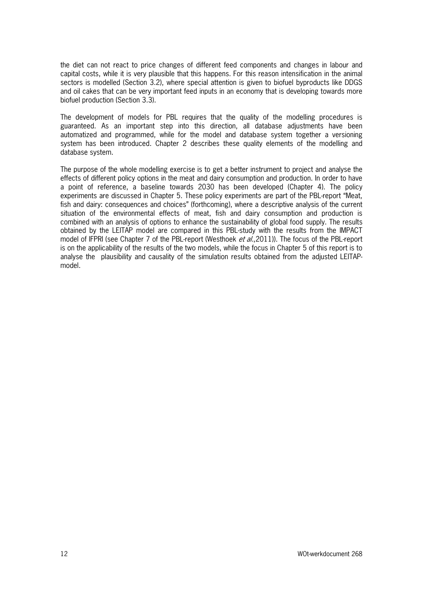the diet can not react to price changes of different feed components and changes in labour and capital costs, while it is very plausible that this happens. For this reason intensification in the animal sectors is modelled (Section 3.2), where special attention is given to biofuel byproducts like DDGS and oil cakes that can be very important feed inputs in an economy that is developing towards more biofuel production (Section 3.3).

The development of models for PBL requires that the quality of the modelling procedures is guaranteed. As an important step into this direction, all database adjustments have been automatized and programmed, while for the model and database system together a versioning system has been introduced. Chapter 2 describes these quality elements of the modelling and database system.

The purpose of the whole modelling exercise is to get a better instrument to project and analyse the effects of different policy options in the meat and dairy consumption and production. In order to have a point of reference, a baseline towards 2030 has been developed (Chapter 4). The policy experiments are discussed in Chapter 5. These policy experiments are part of the PBL-report "Meat, fish and dairy: consequences and choices" (forthcoming), where a descriptive analysis of the current situation of the environmental effects of meat, fish and dairy consumption and production is combined with an analysis of options to enhance the sustainability of global food supply. The results obtained by the LEITAP model are compared in this PBL-study with the results from the IMPACT model of IFPRI (see Chapter 7 of the PBL-report (Westhoek et al., 2011)). The focus of the PBL-report is on the applicability of the results of the two models, while the focus in Chapter 5 of this report is to analyse the plausibility and causality of the simulation results obtained from the adjusted LEITAPmodel.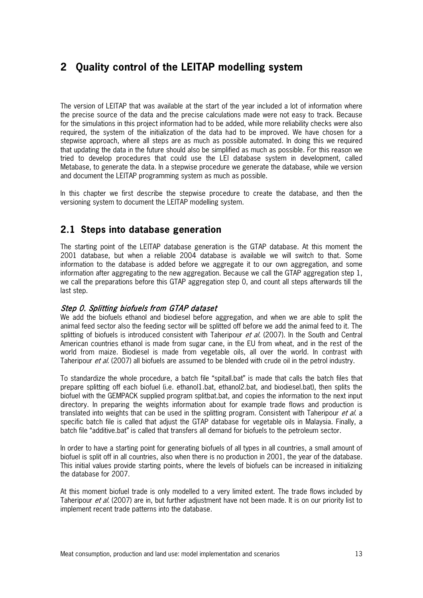# **2 Quality control of the LEITAP modelling system**

The version of LEITAP that was available at the start of the year included a lot of information where the precise source of the data and the precise calculations made were not easy to track. Because for the simulations in this project information had to be added, while more reliability checks were also required, the system of the initialization of the data had to be improved. We have chosen for a stepwise approach, where all steps are as much as possible automated. In doing this we required that updating the data in the future should also be simplified as much as possible. For this reason we tried to develop procedures that could use the LEI database system in development, called Metabase, to generate the data. In a stepwise procedure we generate the database, while we version and document the LEITAP programming system as much as possible.

In this chapter we first describe the stepwise procedure to create the database, and then the versioning system to document the LEITAP modelling system.

# **2.1 Steps into database generation**

The starting point of the LEITAP database generation is the GTAP database. At this moment the 2001 database, but when a reliable 2004 database is available we will switch to that. Some information to the database is added before we aggregate it to our own aggregation, and some information after aggregating to the new aggregation. Because we call the GTAP aggregation step 1, we call the preparations before this GTAP aggregation step 0, and count all steps afterwards till the last step.

#### Step 0. Splitting biofuels from GTAP dataset

We add the biofuels ethanol and biodiesel before aggregation, and when we are able to split the animal feed sector also the feeding sector will be splitted off before we add the animal feed to it. The splitting of biofuels is introduced consistent with Taheripour *et al.* (2007). In the South and Central American countries ethanol is made from sugar cane, in the EU from wheat, and in the rest of the world from maize. Biodiesel is made from vegetable oils, all over the world. In contrast with Taheripour et al. (2007) all biofuels are assumed to be blended with crude oil in the petrol industry.

To standardize the whole procedure, a batch file "spitall.bat" is made that calls the batch files that prepare splitting off each biofuel (i.e. ethanol1.bat, ethanol2.bat, and biodiesel.bat), then splits the biofuel with the GEMPACK supplied program splitbat.bat, and copies the information to the next input directory. In preparing the weights information about for example trade flows and production is translated into weights that can be used in the splitting program. Consistent with Taheripour et al. a specific batch file is called that adjust the GTAP database for vegetable oils in Malaysia. Finally, a batch file "additive.bat" is called that transfers all demand for biofuels to the petroleum sector.

In order to have a starting point for generating biofuels of all types in all countries, a small amount of biofuel is split off in all countries, also when there is no production in 2001, the year of the database. This initial values provide starting points, where the levels of biofuels can be increased in initializing the database for 2007.

At this moment biofuel trade is only modelled to a very limited extent. The trade flows included by Taheripour et al. (2007) are in, but further adjustment have not been made. It is on our priority list to implement recent trade patterns into the database.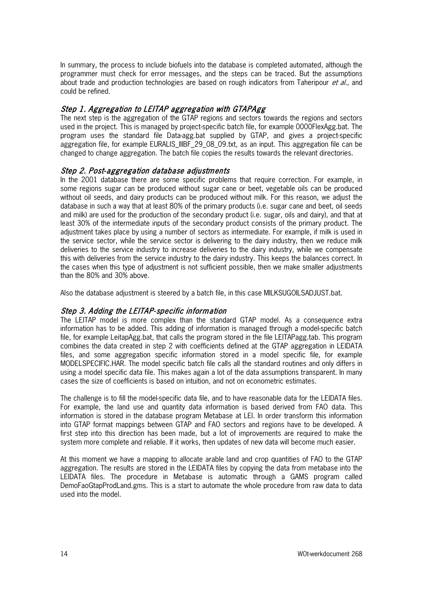In summary, the process to include biofuels into the database is completed automated, although the programmer must check for error messages, and the steps can be traced. But the assumptions about trade and production technologies are based on rough indicators from Taheripour *et al.*, and could be refined.

# Step 1. Aggregation to LEITAP aggregation with GTAPAgg

The next step is the aggregation of the GTAP regions and sectors towards the regions and sectors used in the project. This is managed by project-specific batch file, for example 0000FlexAgg.bat. The program uses the standard file Data-agg.bat supplied by GTAP, and gives a project-specific aggregation file, for example EURALIS\_IIIBF\_29\_08\_09.txt, as an input. This aggregation file can be changed to change aggregation. The batch file copies the results towards the relevant directories.

#### Step 2. Post- aggregation database adjustments

In the 2001 database there are some specific problems that require correction. For example, in some regions sugar can be produced without sugar cane or beet, vegetable oils can be produced without oil seeds, and dairy products can be produced without milk. For this reason, we adjust the database in such a way that at least 80% of the primary products (i.e. sugar cane and beet, oil seeds and milk) are used for the production of the secondary product (i.e. sugar, oils and dairy), and that at least 30% of the intermediate inputs of the secondary product consists of the primary product. The adjustment takes place by using a number of sectors as intermediate. For example, if milk is used in the service sector, while the service sector is delivering to the dairy industry, then we reduce milk deliveries to the service industry to increase deliveries to the dairy industry, while we compensate this with deliveries from the service industry to the dairy industry. This keeps the balances correct. In the cases when this type of adjustment is not sufficient possible, then we make smaller adjustments than the 80% and 30% above.

Also the database adjustment is steered by a batch file, in this case MILKSUGOILSADJUST.bat.

#### Step 3. Adding the LEITAP- specific information

The LEITAP model is more complex than the standard GTAP model. As a consequence extra information has to be added. This adding of information is managed through a model-specific batch file, for example LeitapAgg.bat, that calls the program stored in the file LEITAPagg.tab. This program combines the data created in step 2 with coefficients defined at the GTAP aggregation in LEIDATA files, and some aggregation specific information stored in a model specific file, for example MODELSPECIFIC.HAR. The model specific batch file calls all the standard routines and only differs in using a model specific data file. This makes again a lot of the data assumptions transparent. In many cases the size of coefficients is based on intuition, and not on econometric estimates.

The challenge is to fill the model-specific data file, and to have reasonable data for the LEIDATA files. For example, the land use and quantity data information is based derived from FAO data. This information is stored in the database program Metabase at LEI. In order transform this information into GTAP format mappings between GTAP and FAO sectors and regions have to be developed. A first step into this direction has been made, but a lot of improvements are required to make the system more complete and reliable. If it works, then updates of new data will become much easier.

At this moment we have a mapping to allocate arable land and crop quantities of FAO to the GTAP aggregation. The results are stored in the LEIDATA files by copying the data from metabase into the LEIDATA files. The procedure in Metabase is automatic through a GAMS program called DemoFaoGtapProdLand.gms. This is a start to automate the whole procedure from raw data to data used into the model.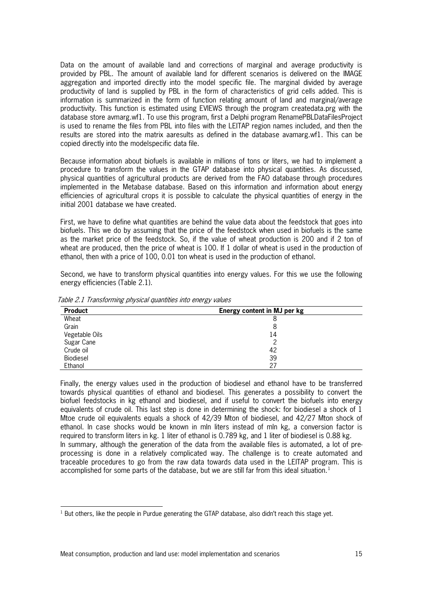Data on the amount of available land and corrections of marginal and average productivity is provided by PBL. The amount of available land for different scenarios is delivered on the IMAGE aggregation and imported directly into the model specific file. The marginal divided by average productivity of land is supplied by PBL in the form of characteristics of grid cells added. This is information is summarized in the form of function relating amount of land and marginal/average productivity. This function is estimated using EVIEWS through the program createdata.prg with the database store avmarg.wf1. To use this program, first a Delphi program RenamePBLDataFilesProject is used to rename the files from PBL into files with the LEITAP region names included, and then the results are stored into the matrix aaresults as defined in the database avamarg.wf1. This can be copied directly into the modelspecific data file.

Because information about biofuels is available in millions of tons or liters, we had to implement a procedure to transform the values in the GTAP database into physical quantities. As discussed, physical quantities of agricultural products are derived from the FAO database through procedures implemented in the Metabase database. Based on this information and information about energy efficiencies of agricultural crops it is possible to calculate the physical quantities of energy in the initial 2001 database we have created.

First, we have to define what quantities are behind the value data about the feedstock that goes into biofuels. This we do by assuming that the price of the feedstock when used in biofuels is the same as the market price of the feedstock. So, if the value of wheat production is 200 and if 2 ton of wheat are produced, then the price of wheat is 100. If 1 dollar of wheat is used in the production of ethanol, then with a price of 100, 0.01 ton wheat is used in the production of ethanol.

Second, we have to transform physical quantities into energy values. For this we use the following energy efficiencies (Table 2.1).

| <b>Product</b> | Energy content in MJ per kg |  |
|----------------|-----------------------------|--|
| Wheat          | 8                           |  |
| Grain          |                             |  |
| Vegetable Oils | 14                          |  |
| Sugar Cane     |                             |  |
| Crude oil      | 42                          |  |
| Biodiesel      | 39                          |  |
| Ethanol        | 27                          |  |

Table 2.1 Transforming physical quantities into energy values

Finally, the energy values used in the production of biodiesel and ethanol have to be transferred towards physical quantities of ethanol and biodiesel. This generates a possibility to convert the biofuel feedstocks in kg ethanol and biodiesel, and if useful to convert the biofuels into energy equivalents of crude oil. This last step is done in determining the shock: for biodiesel a shock of 1 Mtoe crude oil equivalents equals a shock of 42/39 Mton of biodiesel, and 42/27 Mton shock of ethanol. In case shocks would be known in mln liters instead of mln kg, a conversion factor is required to transform liters in kg. 1 liter of ethanol is 0.789 kg, and 1 liter of biodiesel is 0.88 kg. In summary, although the generation of the data from the available files is automated, a lot of preprocessing is done in a relatively complicated way. The challenge is to create automated and traceable procedures to go from the raw data towards data used in the LEITAP program. This is accomplished for some parts of the database, but we are still far from this ideal situation.<sup>[1](#page-16-0)</sup>

<span id="page-16-0"></span> $<sup>1</sup>$  But others, like the people in Purdue generating the GTAP database, also didn't reach this stage yet.</sup>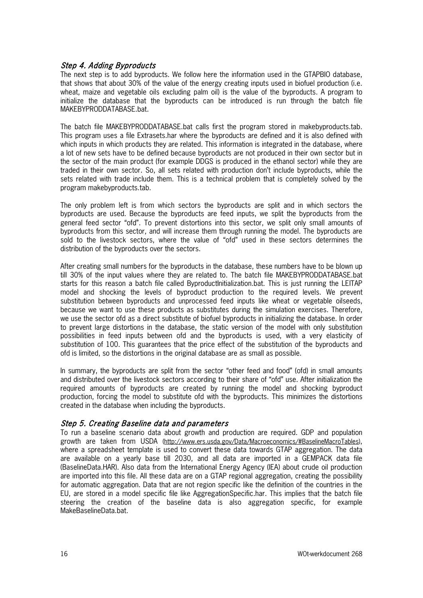#### Step 4. Adding Byproducts

The next step is to add byproducts. We follow here the information used in the GTAPBIO database, that shows that about 30% of the value of the energy creating inputs used in biofuel production (i.e. wheat, maize and vegetable oils excluding palm oil) is the value of the byproducts. A program to initialize the database that the byproducts can be introduced is run through the batch file MAKEBYPRODDATABASE.bat.

The batch file MAKEBYPRODDATABASE.bat calls first the program stored in makebyproducts.tab. This program uses a file Extrasets.har where the byproducts are defined and it is also defined with which inputs in which products they are related. This information is integrated in the database, where a lot of new sets have to be defined because byproducts are not produced in their own sector but in the sector of the main product (for example DDGS is produced in the ethanol sector) while they are traded in their own sector. So, all sets related with production don't include byproducts, while the sets related with trade include them. This is a technical problem that is completely solved by the program makebyproducts.tab.

The only problem left is from which sectors the byproducts are split and in which sectors the byproducts are used. Because the byproducts are feed inputs, we split the byproducts from the general feed sector "ofd". To prevent distortions into this sector, we split only small amounts of byproducts from this sector, and will increase them through running the model. The byproducts are sold to the livestock sectors, where the value of "ofd" used in these sectors determines the distribution of the byproducts over the sectors.

After creating small numbers for the byproducts in the database, these numbers have to be blown up till 30% of the input values where they are related to. The batch file MAKEBYPRODDATABASE.bat starts for this reason a batch file called Byproductlnitialization.bat. This is just running the LEITAP model and shocking the levels of byproduct production to the required levels. We prevent substitution between byproducts and unprocessed feed inputs like wheat or vegetable oilseeds, because we want to use these products as substitutes during the simulation exercises. Therefore, we use the sector ofd as a direct substitute of biofuel byproducts in initializing the database. In order to prevent large distortions in the database, the static version of the model with only substitution possibilities in feed inputs between ofd and the byproducts is used, with a very elasticity of substitution of 100. This guarantees that the price effect of the substitution of the byproducts and ofd is limited, so the distortions in the original database are as small as possible.

In summary, the byproducts are split from the sector "other feed and food" (ofd) in small amounts and distributed over the livestock sectors according to their share of "ofd" use. After initialization the required amounts of byproducts are created by running the model and shocking byproduct production, forcing the model to substitute ofd with the byproducts. This minimizes the distortions created in the database when including the byproducts.

#### Step 5. Creating Baseline data and parameters

To run a baseline scenario data about growth and production are required. GDP and population growth are taken from USDA [\(http://www.ers.usda.gov/Data/Macroeconomics/#BaselineMacroTables\)](http://www.ers.usda.gov/Data/Macroeconomics/#BaselineMacroTables), where a spreadsheet template is used to convert these data towards GTAP aggregation. The data are available on a yearly base till 2030, and all data are imported in a GEMPACK data file (BaselineData.HAR). Also data from the International Energy Agency (IEA) about crude oil production are imported into this file. All these data are on a GTAP regional aggregation, creating the possibility for automatic aggregation. Data that are not region specific like the definition of the countries in the EU, are stored in a model specific file like AggregationSpecific.har. This implies that the batch file steering the creation of the baseline data is also aggregation specific, for example MakeBaselineData.bat.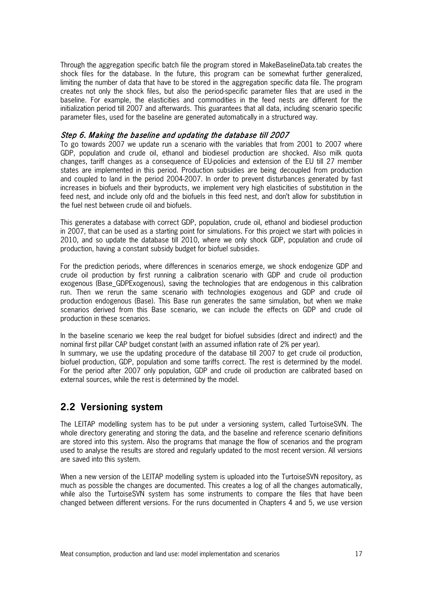Through the aggregation specific batch file the program stored in MakeBaselineData.tab creates the shock files for the database. In the future, this program can be somewhat further generalized, limiting the number of data that have to be stored in the aggregation specific data file. The program creates not only the shock files, but also the period-specific parameter files that are used in the baseline. For example, the elasticities and commodities in the feed nests are different for the initialization period till 2007 and afterwards. This guarantees that all data, including scenario specific parameter files, used for the baseline are generated automatically in a structured way.

#### Step 6. Making the baseline and updating the database till 2007

To go towards 2007 we update run a scenario with the variables that from 2001 to 2007 where GDP, population and crude oil, ethanol and biodiesel production are shocked. Also milk quota changes, tariff changes as a consequence of EU-policies and extension of the EU till 27 member states are implemented in this period. Production subsidies are being decoupled from production and coupled to land in the period 2004-2007. In order to prevent disturbances generated by fast increases in biofuels and their byproducts, we implement very high elasticities of substitution in the feed nest, and include only ofd and the biofuels in this feed nest, and don't allow for substitution in the fuel nest between crude oil and biofuels.

This generates a database with correct GDP, population, crude oil, ethanol and biodiesel production in 2007, that can be used as a starting point for simulations. For this project we start with policies in 2010, and so update the database till 2010, where we only shock GDP, population and crude oil production, having a constant subsidy budget for biofuel subsidies.

For the prediction periods, where differences in scenarios emerge, we shock endogenize GDP and crude oil production by first running a calibration scenario with GDP and crude oil production exogenous (Base\_GDPExogenous), saving the technologies that are endogenous in this calibration run. Then we rerun the same scenario with technologies exogenous and GDP and crude oil production endogenous (Base). This Base run generates the same simulation, but when we make scenarios derived from this Base scenario, we can include the effects on GDP and crude oil production in these scenarios.

In the baseline scenario we keep the real budget for biofuel subsidies (direct and indirect) and the nominal first pillar CAP budget constant (with an assumed inflation rate of 2% per year).

In summary, we use the updating procedure of the database till 2007 to get crude oil production, biofuel production, GDP, population and some tariffs correct. The rest is determined by the model. For the period after 2007 only population, GDP and crude oil production are calibrated based on external sources, while the rest is determined by the model.

# **2.2 Versioning system**

The LEITAP modelling system has to be put under a versioning system, called TurtoiseSVN. The whole directory generating and storing the data, and the baseline and reference scenario definitions are stored into this system. Also the programs that manage the flow of scenarios and the program used to analyse the results are stored and regularly updated to the most recent version. All versions are saved into this system.

When a new version of the LEITAP modelling system is uploaded into the TurtoiseSVN repository, as much as possible the changes are documented. This creates a log of all the changes automatically, while also the TurtoiseSVN system has some instruments to compare the files that have been changed between different versions. For the runs documented in Chapters 4 and 5, we use version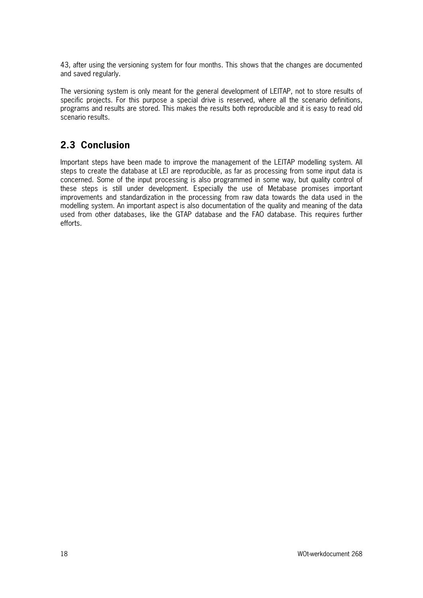43, after using the versioning system for four months. This shows that the changes are documented and saved regularly.

The versioning system is only meant for the general development of LEITAP, not to store results of specific projects. For this purpose a special drive is reserved, where all the scenario definitions, programs and results are stored. This makes the results both reproducible and it is easy to read old scenario results.

# **2.3 Conclusion**

Important steps have been made to improve the management of the LEITAP modelling system. All steps to create the database at LEI are reproducible, as far as processing from some input data is concerned. Some of the input processing is also programmed in some way, but quality control of these steps is still under development. Especially the use of Metabase promises important improvements and standardization in the processing from raw data towards the data used in the modelling system. An important aspect is also documentation of the quality and meaning of the data used from other databases, like the GTAP database and the FAO database. This requires further efforts.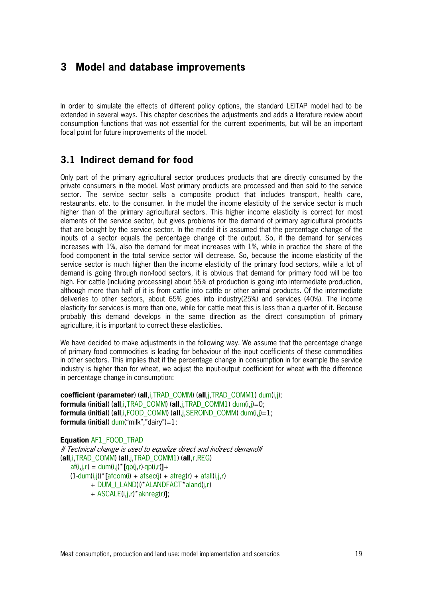# **3 Model and database improvements**

In order to simulate the effects of different policy options, the standard LEITAP model had to be extended in several ways. This chapter describes the adjustments and adds a literature review about consumption functions that was not essential for the current experiments, but will be an important focal point for future improvements of the model.

# **3.1 Indirect demand for food**

Only part of the primary agricultural sector produces products that are directly consumed by the private consumers in the model. Most primary products are processed and then sold to the service sector. The service sector sells a composite product that includes transport, health care, restaurants, etc. to the consumer. In the model the income elasticity of the service sector is much higher than of the primary agricultural sectors. This higher income elasticity is correct for most elements of the service sector, but gives problems for the demand of primary agricultural products that are bought by the service sector. In the model it is assumed that the percentage change of the inputs of a sector equals the percentage change of the output. So, if the demand for services increases with 1%, also the demand for meat increases with 1%, while in practice the share of the food component in the total service sector will decrease. So, because the income elasticity of the service sector is much higher than the income elasticity of the primary food sectors, while a lot of demand is going through non-food sectors, it is obvious that demand for primary food will be too high. For cattle (including processing) about 55% of production is going into intermediate production, although more than half of it is from cattle into cattle or other animal products. Of the intermediate deliveries to other sectors, about 65% goes into industry(25%) and services (40%). The income elasticity for services is more than one, while for cattle meat this is less than a quarter of it. Because probably this demand develops in the same direction as the direct consumption of primary agriculture, it is important to correct these elasticities.

We have decided to make adjustments in the following way. We assume that the percentage change of primary food commodities is leading for behaviour of the input coefficients of these commodities in other sectors. This implies that if the percentage change in consumption in for example the service industry is higher than for wheat, we adjust the input-output coefficient for wheat with the difference in percentage change in consumption:

**coefficient** (**parameter**) (**all**,i,TRAD\_COMM) (**all**,j,TRAD\_COMM1) dum(i,j); **formula** (**initial**) (**all**,i,TRAD\_COMM) (**all**,j,TRAD\_COMM1) dum(i,j)=0; **formula** (**initial**) (**all**,i,FOOD\_COMM) (**all**,j,SEROIND\_COMM) dum(i,j)=1; **formula** (**initial**) dum("milk","dairy")=1;

**Equation** AF1\_FOOD\_TRAD # Technical change is used to equalize direct and indirect demand# (**all**,i,TRAD\_COMM) (**all**,j,TRAD\_COMM1) (**all**,r,REG) af(i,j,r) = dum(i,j)\***[**qp(j,r)-qp(i,r)**]**+  $(1-dum(i,j))$ \* $[afcom(i) + afsec(i) + afreg(r) + afall(i,j,r)]$ + DUM\_I\_LAND(i)\*ALANDFACT\*aland(j,r) + ASCALE(i,j,r)\*aknreg(r)**]**;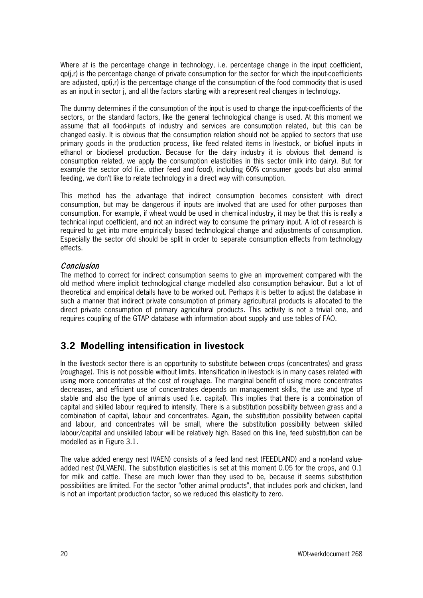Where af is the percentage change in technology, i.e. percentage change in the input coefficient, qp(j,r) is the percentage change of private consumption for the sector for which the input-coefficients are adjusted, qp(i,r) is the percentage change of the consumption of the food commodity that is used as an input in sector j, and all the factors starting with a represent real changes in technology.

The dummy determines if the consumption of the input is used to change the input-coefficients of the sectors, or the standard factors, like the general technological change is used. At this moment we assume that all food-inputs of industry and services are consumption related, but this can be changed easily. It is obvious that the consumption relation should not be applied to sectors that use primary goods in the production process, like feed related items in livestock, or biofuel inputs in ethanol or biodiesel production. Because for the dairy industry it is obvious that demand is consumption related, we apply the consumption elasticities in this sector (milk into dairy). But for example the sector ofd (i.e. other feed and food), including 60% consumer goods but also animal feeding, we don't like to relate technology in a direct way with consumption.

This method has the advantage that indirect consumption becomes consistent with direct consumption, but may be dangerous if inputs are involved that are used for other purposes than consumption. For example, if wheat would be used in chemical industry, it may be that this is really a technical input coefficient, and not an indirect way to consume the primary input. A lot of research is required to get into more empirically based technological change and adjustments of consumption. Especially the sector ofd should be split in order to separate consumption effects from technology effects.

#### Conclusion

The method to correct for indirect consumption seems to give an improvement compared with the old method where implicit technological change modelled also consumption behaviour. But a lot of theoretical and empirical details have to be worked out. Perhaps it is better to adjust the database in such a manner that indirect private consumption of primary agricultural products is allocated to the direct private consumption of primary agricultural products. This activity is not a trivial one, and requires coupling of the GTAP database with information about supply and use tables of FAO.

# **3.2 Modelling intensification in livestock**

In the livestock sector there is an opportunity to substitute between crops (concentrates) and grass (roughage). This is not possible without limits. Intensification in livestock is in many cases related with using more concentrates at the cost of roughage. The marginal benefit of using more concentrates decreases, and efficient use of concentrates depends on management skills, the use and type of stable and also the type of animals used (i.e. capital). This implies that there is a combination of capital and skilled labour required to intensify. There is a substitution possibility between grass and a combination of capital, labour and concentrates. Again, the substitution possibility between capital and labour, and concentrates will be small, where the substitution possibility between skilled labour/capital and unskilled labour will be relatively high. Based on this line, feed substitution can be modelled as in Figure 3.1.

The value added energy nest (VAEN) consists of a feed land nest (FEEDLAND) and a non-land valueadded nest (NLVAEN). The substitution elasticities is set at this moment 0.05 for the crops, and 0.1 for milk and cattle. These are much lower than they used to be, because it seems substitution possibilities are limited. For the sector "other animal products", that includes pork and chicken, land is not an important production factor, so we reduced this elasticity to zero.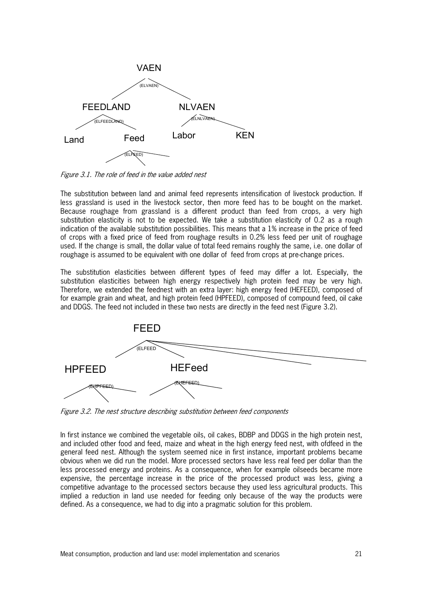

Figure 3.1. The role of feed in the value added nest

The substitution between land and animal feed represents intensification of livestock production. If less grassland is used in the livestock sector, then more feed has to be bought on the market. Because roughage from grassland is a different product than feed from crops, a very high substitution elasticity is not to be expected. We take a substitution elasticity of 0.2 as a rough indication of the available substitution possibilities. This means that a 1% increase in the price of feed of crops with a fixed price of feed from roughage results in 0.2% less feed per unit of roughage used. If the change is small, the dollar value of total feed remains roughly the same, i.e. one dollar of roughage is assumed to be equivalent with one dollar of feed from crops at pre-change prices.

The substitution elasticities between different types of feed may differ a lot. Especially, the substitution elasticities between high energy respectively high protein feed may be very high. Therefore, we extended the feednest with an extra layer: high energy feed (HEFEED), composed of for example grain and wheat, and high protein feed (HPFEED), composed of compound feed, oil cake and DDGS. The feed not included in these two nests are directly in the feed nest (Figure 3.2).



Figure 3.2. The nest structure describing substitution between feed components

In first instance we combined the vegetable oils, oil cakes, BDBP and DDGS in the high protein nest, and included other food and feed, maize and wheat in the high energy feed nest, with ofdfeed in the general feed nest. Although the system seemed nice in first instance, important problems became obvious when we did run the model. More processed sectors have less real feed per dollar than the less processed energy and proteins. As a consequence, when for example oilseeds became more expensive, the percentage increase in the price of the processed product was less, giving a competitive advantage to the processed sectors because they used less agricultural products. This implied a reduction in land use needed for feeding only because of the way the products were defined. As a consequence, we had to dig into a pragmatic solution for this problem.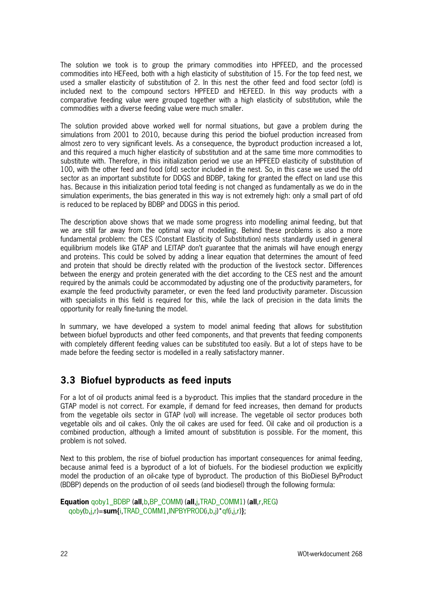The solution we took is to group the primary commodities into HPFEED, and the processed commodities into HEFeed, both with a high elasticity of substitution of 15. For the top feed nest, we used a smaller elasticity of substitution of 2. In this nest the other feed and food sector (ofd) is included next to the compound sectors HPFEED and HEFEED. In this way products with a comparative feeding value were grouped together with a high elasticity of substitution, while the commodities with a diverse feeding value were much smaller.

The solution provided above worked well for normal situations, but gave a problem during the simulations from 2001 to 2010, because during this period the biofuel production increased from almost zero to very significant levels. As a consequence, the byproduct production increased a lot, and this required a much higher elasticity of substitution and at the same time more commodities to substitute with. Therefore, in this initialization period we use an HPFEED elasticity of substitution of 100, with the other feed and food (ofd) sector included in the nest. So, in this case we used the ofd sector as an important substitute for DDGS and BDBP, taking for granted the effect on land use this has. Because in this initialization period total feeding is not changed as fundamentally as we do in the simulation experiments, the bias generated in this way is not extremely high: only a small part of ofd is reduced to be replaced by BDBP and DDGS in this period.

The description above shows that we made some progress into modelling animal feeding, but that we are still far away from the optimal way of modelling. Behind these problems is also a more fundamental problem: the CES (Constant Elasticity of Substitution) nests standardly used in general equilibrium models like GTAP and LEITAP don't guarantee that the animals will have enough energy and proteins. This could be solved by adding a linear equation that determines the amount of feed and protein that should be directly related with the production of the livestock sector. Differences between the energy and protein generated with the diet according to the CES nest and the amount required by the animals could be accommodated by adjusting one of the productivity parameters, for example the feed productivity parameter, or even the feed land productivity parameter. Discussion with specialists in this field is required for this, while the lack of precision in the data limits the opportunity for really fine-tuning the model.

In summary, we have developed a system to model animal feeding that allows for substitution between biofuel byproducts and other feed components, and that prevents that feeding components with completely different feeding values can be substituted too easily. But a lot of steps have to be made before the feeding sector is modelled in a really satisfactory manner.

# **3.3 Biofuel byproducts as feed inputs**

For a lot of oil products animal feed is a by-product. This implies that the standard procedure in the GTAP model is not correct. For example, if demand for feed increases, then demand for products from the vegetable oils sector in GTAP (vol) will increase. The vegetable oil sector produces both vegetable oils and oil cakes. Only the oil cakes are used for feed. Oil cake and oil production is a combined production, although a limited amount of substitution is possible. For the moment, this problem is not solved.

Next to this problem, the rise of biofuel production has important consequences for animal feeding, because animal feed is a byproduct of a lot of biofuels. For the biodiesel production we explicitly model the production of an oil-cake type of byproduct. The production of this BioDiesel ByProduct (BDBP) depends on the production of oil seeds (and biodiesel) through the following formula:

```
Equation qoby1_BDBP (all,b,BP_COMM) (all,j,TRAD_COMM1) (all,r,REG) 
qoby(b,j,r)=sum{i,TRAD_COMM1,INPBYPROD(i,b,j)*qf(i,j,r)};
```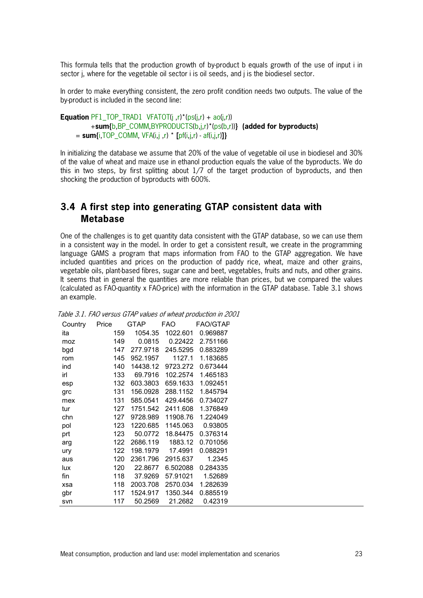This formula tells that the production growth of by-product b equals growth of the use of input i in sector *j*, where for the vegetable oil sector *i* is oil seeds, and *j* is the biodiesel sector.

In order to make everything consistent, the zero profit condition needs two outputs. The value of the by-product is included in the second line:

```
Equation PF1_TOP_TRAD1_VFATOT(j ,r)*(ps(j,r) + ao(j,r))
      +sum{b,BP_COMM,BYPRODUCTS(b,j,r)*(ps(b,r))} (added for byproducts)
 = sum{i, TOP\_COMM, VFA(i,j,r) * [pf(i,j,r) - af(i,j,r)]}
```
In initializing the database we assume that 20% of the value of vegetable oil use in biodiesel and 30% of the value of wheat and maize use in ethanol production equals the value of the byproducts. We do this in two steps, by first splitting about 1/7 of the target production of byproducts, and then shocking the production of byproducts with 600%.

### **3.4 A first step into generating GTAP consistent data with Metabase**

One of the challenges is to get quantity data consistent with the GTAP database, so we can use them in a consistent way in the model. In order to get a consistent result, we create in the programming language GAMS a program that maps information from FAO to the GTAP aggregation. We have included quantities and prices on the production of paddy rice, wheat, maize and other grains, vegetable oils, plant-based fibres, sugar cane and beet, vegetables, fruits and nuts, and other grains. It seems that in general the quantities are more reliable than prices, but we compared the values (calculated as FAO-quantity x FAO-price) with the information in the GTAP database. Table 3.1 shows an example.

| Country | Price | <b>GTAP</b> | FAO      | <b>FAO/GTAP</b> |
|---------|-------|-------------|----------|-----------------|
| ita     | 159   | 1054.35     | 1022.601 | 0.969887        |
| moz     | 149   | 0.0815      | 0.22422  | 2.751166        |
| bgd     | 147   | 277.9718    | 245.5295 | 0.883289        |
| rom     | 145   | 952.1957    | 1127.1   | 1.183685        |
| ind     | 140   | 14438.12    | 9723.272 | 0.673444        |
| irl     | 133   | 69.7916     | 102.2574 | 1.465183        |
| esp     | 132   | 603.3803    | 659.1633 | 1.092451        |
| grc     | 131   | 156.0928    | 288.1152 | 1.845794        |
| mex     | 131   | 585.0541    | 429.4456 | 0.734027        |
| tur     | 127   | 1751.542    | 2411.608 | 1.376849        |
| chn     | 127   | 9728.989    | 11908.76 | 1.224049        |
| pol     | 123   | 1220.685    | 1145.063 | 0.93805         |
| prt     | 123   | 50.0772     | 18.84475 | 0.376314        |
| arg     | 122   | 2686.119    | 1883.12  | 0.701056        |
| ury     | 122   | 198.1979    | 17.4991  | 0.088291        |
| aus     | 120   | 2361.796    | 2915.637 | 1.2345          |
| lux     | 120   | 22.8677     | 6.502088 | 0.284335        |
| fin     | 118   | 37.9269     | 57.91021 | 1.52689         |
| xsa     | 118   | 2003.708    | 2570.034 | 1.282639        |
| gbr     | 117   | 1524.917    | 1350.344 | 0.885519        |
| svn     | 117   | 50.2569     | 21.2682  | 0.42319         |

Table 3.1. FAO versus GTAP values of wheat production in 2001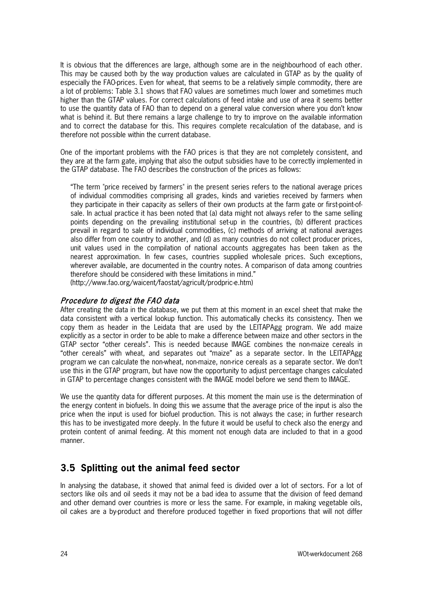It is obvious that the differences are large, although some are in the neighbourhood of each other. This may be caused both by the way production values are calculated in GTAP as by the quality of especially the FAO-prices. Even for wheat, that seems to be a relatively simple commodity, there are a lot of problems: Table 3.1 shows that FAO values are sometimes much lower and sometimes much higher than the GTAP values. For correct calculations of feed intake and use of area it seems better to use the quantity data of FAO than to depend on a general value conversion where you don't know what is behind it. But there remains a large challenge to try to improve on the available information and to correct the database for this. This requires complete recalculation of the database, and is therefore not possible within the current database.

One of the important problems with the FAO prices is that they are not completely consistent, and they are at the farm gate, implying that also the output subsidies have to be correctly implemented in the GTAP database. The FAO describes the construction of the prices as follows:

"The term "price received by farmers" in the present series refers to the national average prices of individual commodities comprising all grades, kinds and varieties received by farmers when they participate in their capacity as sellers of their own products at the farm gate or first-point-ofsale. In actual practice it has been noted that (a) data might not always refer to the same selling points depending on the prevailing institutional set-up in the countries, (b) different practices prevail in regard to sale of individual commodities, (c) methods of arriving at national averages also differ from one country to another, and (d) as many countries do not collect producer prices, unit values used in the compilation of national accounts aggregates has been taken as the nearest approximation. In few cases, countries supplied wholesale prices. Such exceptions, wherever available, are documented in the country notes. A comparison of data among countries therefore should be considered with these limitations in mind." [\(http://www.fao.org/waicent/faostat/agricult/prodpric-e.htm\)](http://www.fao.org/waicent/faostat/agricult/prodpric-e.htm)

#### Procedure to digest the FAO data

After creating the data in the database, we put them at this moment in an excel sheet that make the data consistent with a vertical lookup function. This automatically checks its consistency. Then we copy them as header in the Leidata that are used by the LEITAPAgg program. We add maize explicitly as a sector in order to be able to make a difference between maize and other sectors in the GTAP sector "other cereals". This is needed because IMAGE combines the non-maize cereals in "other cereals" with wheat, and separates out "maize" as a separate sector. In the LEITAPAgg program we can calculate the non-wheat, non-maize, non-rice cereals as a separate sector. We don't use this in the GTAP program, but have now the opportunity to adjust percentage changes calculated in GTAP to percentage changes consistent with the IMAGE model before we send them to IMAGE.

We use the quantity data for different purposes. At this moment the main use is the determination of the energy content in biofuels. In doing this we assume that the average price of the input is also the price when the input is used for biofuel production. This is not always the case; in further research this has to be investigated more deeply. In the future it would be useful to check also the energy and protein content of animal feeding. At this moment not enough data are included to that in a good manner.

# **3.5 Splitting out the animal feed sector**

In analysing the database, it showed that animal feed is divided over a lot of sectors. For a lot of sectors like oils and oil seeds it may not be a bad idea to assume that the division of feed demand and other demand over countries is more or less the same. For example, in making vegetable oils, oil cakes are a by-product and therefore produced together in fixed proportions that will not differ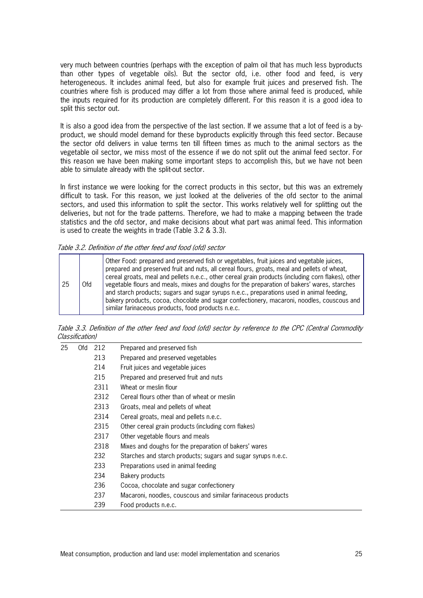very much between countries (perhaps with the exception of palm oil that has much less byproducts than other types of vegetable oils). But the sector ofd, i.e. other food and feed, is very heterogeneous. It includes animal feed, but also for example fruit juices and preserved fish. The countries where fish is produced may differ a lot from those where animal feed is produced, while the inputs required for its production are completely different. For this reason it is a good idea to split this sector out.

It is also a good idea from the perspective of the last section. If we assume that a lot of feed is a byproduct, we should model demand for these byproducts explicitly through this feed sector. Because the sector ofd delivers in value terms ten till fifteen times as much to the animal sectors as the vegetable oil sector, we miss most of the essence if we do not split out the animal feed sector. For this reason we have been making some important steps to accomplish this, but we have not been able to simulate already with the split-out sector.

In first instance we were looking for the correct products in this sector, but this was an extremely difficult to task. For this reason, we just looked at the deliveries of the ofd sector to the animal sectors, and used this information to split the sector. This works relatively well for splitting out the deliveries, but not for the trade patterns. Therefore, we had to make a mapping between the trade statistics and the ofd sector, and make decisions about what part was animal feed. This information is used to create the weights in trade (Table 3.2 & 3.3).

Table 3.2. Definition of the other feed and food (ofd) sector

| 25 | 0fd | Other Food: prepared and preserved fish or vegetables, fruit juices and vegetable juices,<br>prepared and preserved fruit and nuts, all cereal flours, groats, meal and pellets of wheat,<br>cereal groats, meal and pellets n.e.c., other cereal grain products (including corn flakes), other<br>vegetable flours and meals, mixes and doughs for the preparation of bakers' wares, starches<br>and starch products; sugars and sugar syrups n.e.c., preparations used in animal feeding,<br>bakery products, cocoa, chocolate and sugar confectionery, macaroni, noodles, couscous and<br>similar farinaceous products, food products n.e.c. |
|----|-----|-------------------------------------------------------------------------------------------------------------------------------------------------------------------------------------------------------------------------------------------------------------------------------------------------------------------------------------------------------------------------------------------------------------------------------------------------------------------------------------------------------------------------------------------------------------------------------------------------------------------------------------------------|
|----|-----|-------------------------------------------------------------------------------------------------------------------------------------------------------------------------------------------------------------------------------------------------------------------------------------------------------------------------------------------------------------------------------------------------------------------------------------------------------------------------------------------------------------------------------------------------------------------------------------------------------------------------------------------------|

Table 3.3. Definition of the other feed and food (ofd) sector by reference to the CPC (Central Commodity Classification)

| 25 | 0fd | 212  | Prepared and preserved fish                                  |
|----|-----|------|--------------------------------------------------------------|
|    |     | 213  | Prepared and preserved vegetables                            |
|    |     | 214  | Fruit juices and vegetable juices                            |
|    |     | 215  | Prepared and preserved fruit and nuts                        |
|    |     | 2311 | Wheat or meslin flour                                        |
|    |     | 2312 | Cereal flours other than of wheat or meslin                  |
|    |     | 2313 | Groats, meal and pellets of wheat                            |
|    |     | 2314 | Cereal groats, meal and pellets n.e.c.                       |
|    |     | 2315 | Other cereal grain products (including corn flakes)          |
|    |     | 2317 | Other vegetable flours and meals                             |
|    |     | 2318 | Mixes and doughs for the preparation of bakers' wares        |
|    |     | 232  | Starches and starch products; sugars and sugar syrups n.e.c. |
|    |     | 233  | Preparations used in animal feeding                          |
|    |     | 234  | Bakery products                                              |
|    |     | 236  | Cocoa, chocolate and sugar confectionery                     |
|    |     | 237  | Macaroni, noodles, couscous and similar farinaceous products |
|    |     | 239  | Food products n.e.c.                                         |
|    |     |      |                                                              |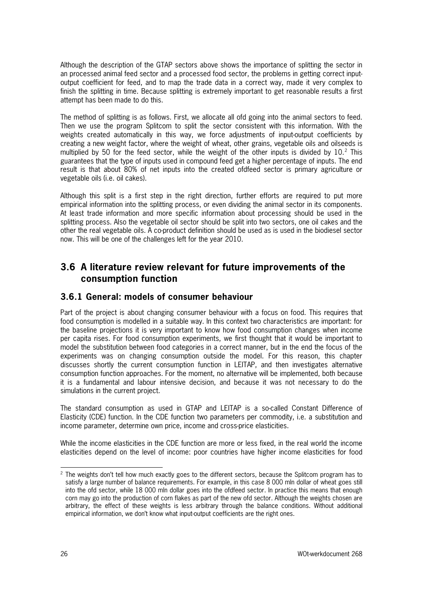Although the description of the GTAP sectors above shows the importance of splitting the sector in an processed animal feed sector and a processed food sector, the problems in getting correct inputoutput coefficient for feed, and to map the trade data in a correct way, made it very complex to finish the splitting in time. Because splitting is extremely important to get reasonable results a first attempt has been made to do this.

The method of splitting is as follows. First, we allocate all ofd going into the animal sectors to feed. Then we use the program Splitcom to split the sector consistent with this information. With the weights created automatically in this way, we force adjustments of input-output coefficients by creating a new weight factor, where the weight of wheat, other grains, vegetable oils and oilseeds is multiplied by 50 for the feed sector, while the weight of the other inputs is divided by 10.<sup>[2](#page-27-0)</sup> This guarantees that the type of inputs used in compound feed get a higher percentage of inputs. The end result is that about 80% of net inputs into the created ofdfeed sector is primary agriculture or vegetable oils (i.e. oil cakes).

Although this split is a first step in the right direction, further efforts are required to put more empirical information into the splitting process, or even dividing the animal sector in its components. At least trade information and more specific information about processing should be used in the splitting process. Also the vegetable oil sector should be split into two sectors, one oil cakes and the other the real vegetable oils. A co-product definition should be used as is used in the biodiesel sector now. This will be one of the challenges left for the year 2010.

# **3.6 A literature review relevant for future improvements of the consumption function**

### **3.6.1 General: models of consumer behaviour**

Part of the project is about changing consumer behaviour with a focus on food. This requires that food consumption is modelled in a suitable way. In this context two characteristics are important: for the baseline projections it is very important to know how food consumption changes when income per capita rises. For food consumption experiments, we first thought that it would be important to model the substitution between food categories in a correct manner, but in the end the focus of the experiments was on changing consumption outside the model. For this reason, this chapter discusses shortly the current consumption function in LEITAP, and then investigates alternative consumption function approaches. For the moment, no alternative will be implemented, both because it is a fundamental and labour intensive decision, and because it was not necessary to do the simulations in the current project.

The standard consumption as used in GTAP and LEITAP is a so-called Constant Difference of Elasticity (CDE) function. In the CDE function two parameters per commodity, i.e. a substitution and income parameter, determine own price, income and cross-price elasticities.

While the income elasticities in the CDE function are more or less fixed, in the real world the income elasticities depend on the level of income: poor countries have higher income elasticities for food

<span id="page-27-0"></span><sup>&</sup>lt;sup>2</sup> The weights don't tell how much exactly goes to the different sectors, because the Splitcom program has to satisfy a large number of balance requirements. For example, in this case 8 000 mln dollar of wheat goes still into the ofd sector, while 18 000 mln dollar goes into the ofdfeed sector. In practice this means that enough corn may go into the production of corn flakes as part of the new ofd sector. Although the weights chosen are arbitrary, the effect of these weights is less arbitrary through the balance conditions. Without additional empirical information, we don't know what input-output coefficients are the right ones.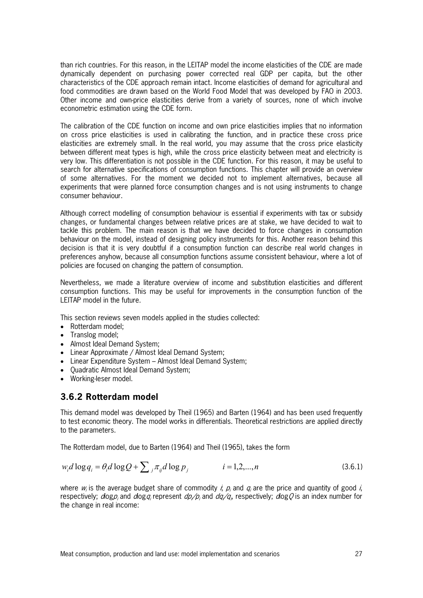than rich countries. For this reason, in the LEITAP model the income elasticities of the CDE are made dynamically dependent on purchasing power corrected real GDP per capita, but the other characteristics of the CDE approach remain intact. Income elasticities of demand for agricultural and food commodities are drawn based on the World Food Model that was developed by FAO in 2003. Other income and own-price elasticities derive from a variety of sources, none of which involve econometric estimation using the CDE form.

The calibration of the CDE function on income and own price elasticities implies that no information on cross price elasticities is used in calibrating the function, and in practice these cross price elasticities are extremely small. In the real world, you may assume that the cross price elasticity between different meat types is high, while the cross price elasticity between meat and electricity is very low. This differentiation is not possible in the CDE function. For this reason, it may be useful to search for alternative specifications of consumption functions. This chapter will provide an overview of some alternatives. For the moment we decided not to implement alternatives, because all experiments that were planned force consumption changes and is not using instruments to change consumer behaviour.

Although correct modelling of consumption behaviour is essential if experiments with tax or subsidy changes, or fundamental changes between relative prices are at stake, we have decided to wait to tackle this problem. The main reason is that we have decided to force changes in consumption behaviour on the model, instead of designing policy instruments for this. Another reason behind this decision is that it is very doubtful if a consumption function can describe real world changes in preferences anyhow, because all consumption functions assume consistent behaviour, where a lot of policies are focused on changing the pattern of consumption.

Nevertheless, we made a literature overview of income and substitution elasticities and different consumption functions. This may be useful for improvements in the consumption function of the LEITAP model in the future.

This section reviews seven models applied in the studies collected:

- Rotterdam model:
- Translog model;
- Almost Ideal Demand System;
- Linear Approximate / Almost Ideal Demand System;
- Linear Expenditure System Almost Ideal Demand System;
- Quadratic Almost Ideal Demand System;
- Working-leser model.

### **3.6.2 Rotterdam model**

This demand model was developed by Theil (1965) and Barten (1964) and has been used frequently to test economic theory. The model works in differentials. Theoretical restrictions are applied directly to the parameters.

The Rotterdam model, due to Barten (1964) and Theil (1965), takes the form

$$
w_i d \log q_i = \theta_i d \log Q + \sum_j \pi_{ij} d \log p_j \qquad i = 1, 2, \dots, n \qquad (3.6.1)
$$

where  $w_i$  is the average budget share of commodity i,  $p_i$  and  $q_i$  are the price and quantity of good i, respectively;  $d$ og $p_j$  and  $d$ og $q_i$  represent  $d p \! \not\! / p_j$  and  $d q \! \not\! / q_j$  respectively;  $d$ og $Q$  is an index number for the change in real income: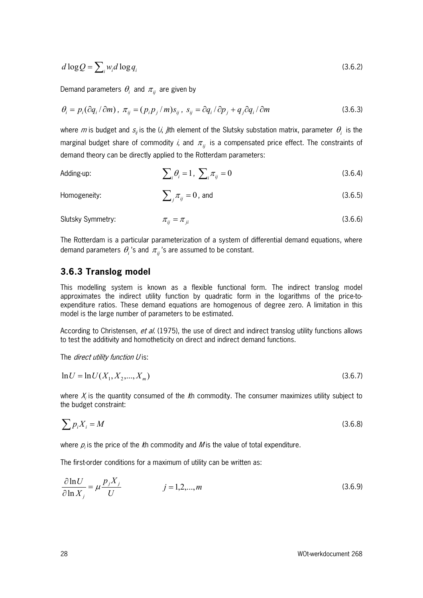$$
d \log Q = \sum_{i} w_i d \log q_i \tag{3.6.2}
$$

Demand parameters  $\theta_i$  and  $\pi_{ij}$  are given by

$$
\theta_i = p_i(\partial q_i/\partial m), \ \pi_{ij} = (p_i p_j/m)s_{ij}, \ s_{ij} = \partial q_i/\partial p_j + q_j\partial q_i/\partial m
$$
\n(3.6.3)

where m is budget and  $s_{ij}$  is the (i, j)th element of the Slutsky substation matrix, parameter  $\theta_i$  is the marginal budget share of commodity *i*, and  $\pi_{ij}$  is a compensated price effect. The constraints of demand theory can be directly applied to the Rotterdam parameters:

Adding-up: 
$$
\sum_{i} \theta_{i} = 1, \sum_{i} \pi_{ij} = 0
$$
 (3.6.4)

Homogeneity: 
$$
\sum_{j} \pi_{ij} = 0
$$
, and (3.6.5)

Slutsky Symmetry:

\n
$$
\pi_{ij} = \pi_{ji}
$$
\n(3.6.6)

The Rotterdam is a particular parameterization of a system of differential demand equations, where demand parameters  $\theta_i$ 's and  $\pi_i$ 's are assumed to be constant.

#### **3.6.3 Translog model**

This modelling system is known as a flexible functional form. The indirect translog model approximates the indirect utility function by quadratic form in the logarithms of the price-toexpenditure ratios. These demand equations are homogenous of degree zero. A limitation in this model is the large number of parameters to be estimated.

According to Christensen, et al. (1975), the use of direct and indirect translog utility functions allows to test the additivity and homotheticity on direct and indirect demand functions.

The *direct utility function U* is:

$$
\ln U = \ln U(X_1, X_2, \dots, X_m) \tag{3.6.7}
$$

where  $X<sub>i</sub>$  is the quantity consumed of the th commodity. The consumer maximizes utility subject to the budget constraint:

$$
\sum p_i X_i = M \tag{3.6.8}
$$

where  $p_i$  is the price of the *k*h commodity and *M* is the value of total expenditure.

The first-order conditions for a maximum of utility can be written as:

$$
\frac{\partial \ln U}{\partial \ln X_j} = \mu \frac{p_j X_j}{U} \qquad j = 1, 2, ..., m \qquad (3.6.9)
$$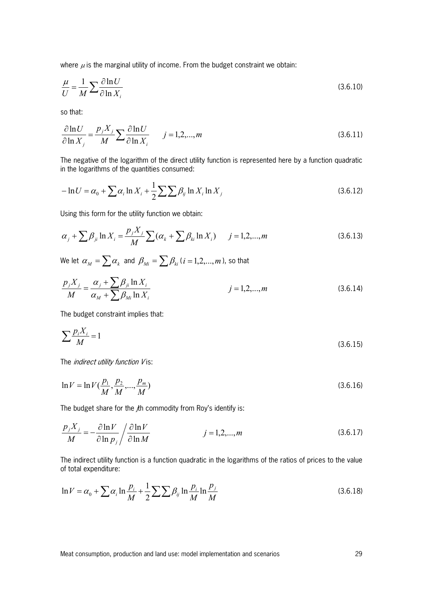where  $\mu$  is the marginal utility of income. From the budget constraint we obtain:

$$
\frac{\mu}{U} = \frac{1}{M} \sum \frac{\partial \ln U}{\partial \ln X_i}
$$
\n(3.6.10)

so that:

$$
\frac{\partial \ln U}{\partial \ln X_j} = \frac{p_j X_j}{M} \sum \frac{\partial \ln U}{\partial \ln X_i} \qquad j = 1, 2, ..., m \tag{3.6.11}
$$

The negative of the logarithm of the direct utility function is represented here by a function quadratic in the logarithms of the quantities consumed:

$$
-\ln U = \alpha_0 + \sum \alpha_i \ln X_i + \frac{1}{2} \sum \sum \beta_{ij} \ln X_i \ln X_j
$$
\n(3.6.12)

Using this form for the utility function we obtain:

$$
\alpha_j + \sum \beta_{ji} \ln X_i = \frac{p_j X_j}{M} \sum (\alpha_k + \sum \beta_{ki} \ln X_i) \qquad j = 1, 2, ..., m
$$
 (3.6.13)

We let  $\alpha_M = \sum \alpha_k$  and  $\beta_M = \sum \beta_k$  (*i* = 1,2,...,*m*), so that

$$
\frac{p_j X_j}{M} = \frac{\alpha_j + \sum \beta_{ji} \ln X_i}{\alpha_M + \sum \beta_{Mi} \ln X_i}
$$
 (3.6.14)

The budget constraint implies that:

$$
\sum \frac{p_i X_i}{M} = 1\tag{3.6.15}
$$

The *indirect utility function V* is:

$$
\ln V = \ln V(\frac{p_1}{M}, \frac{p_2}{M}, \dots, \frac{p_m}{M})
$$
\n(3.6.16)

The budget share for the th commodity from Roy's identify is:

$$
\frac{p_j X_j}{M} = -\frac{\partial \ln V}{\partial \ln p_j} / \frac{\partial \ln V}{\partial \ln M}
$$
  $j = 1, 2, ..., m$  (3.6.17)

The indirect utility function is a function quadratic in the logarithms of the ratios of prices to the value of total expenditure:

$$
\ln V = \alpha_0 + \sum \alpha_i \ln \frac{p_i}{M} + \frac{1}{2} \sum \sum \beta_{ij} \ln \frac{p_i}{M} \ln \frac{p_j}{M}
$$
 (3.6.18)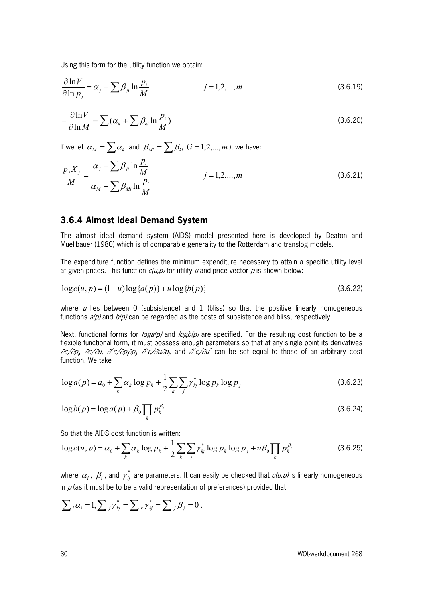Using this form for the utility function we obtain:

$$
\frac{\partial \ln V}{\partial \ln p_j} = \alpha_j + \sum \beta_{ji} \ln \frac{p_i}{M} \qquad j = 1, 2, ..., m \qquad (3.6.19)
$$

$$
-\frac{\partial \ln V}{\partial \ln M} = \sum (\alpha_k + \sum \beta_{ki} \ln \frac{p_i}{M})
$$
\n(3.6.20)

If we let  $\alpha_M = \sum \alpha_k$  and  $\beta_{Mi} = \sum \beta_{ki}$  (*i* = 1,2,...,*m*), we have:

$$
\frac{p_j X_j}{M} = \frac{\alpha_j + \sum \beta_{ji} \ln \frac{p_i}{M}}{\alpha_M + \sum \beta_{Mi} \ln \frac{p_i}{M}}
$$
 *j* = 1,2,..., *m* (3.6.21)

#### **3.6.4 Almost Ideal Demand System**

The almost ideal demand system (AIDS) model presented here is developed by Deaton and Muellbauer (1980) which is of comparable generality to the Rotterdam and translog models.

The expenditure function defines the minimum expenditure necessary to attain a specific utility level at given prices. This function  $c(u, p)$  for utility u and price vector p is shown below:

$$
\log c(u, p) = (1 - u) \log \{a(p)\} + u \log \{b(p)\}\tag{3.6.22}
$$

where  $\mu$  lies between 0 (subsistence) and 1 (bliss) so that the positive linearly homogeneous functions  $a(p)$  and  $b(p)$  can be regarded as the costs of subsistence and bliss, respectively.

Next, functional forms for  $\log a(\rho)$  and  $\log b(\rho)$  are specified. For the resulting cost function to be a flexible functional form, it must possess enough parameters so that at any single point its derivatives ∂c/∂p<sub>i</sub>, ∂c/∂u, ∂<sup>2</sup>c/∂p,∂p<sub>i</sub>, ∂<sup>2</sup>c/∂u∂p<sub>i</sub>, and ∂c/∂u<sup>2</sup> can be set equal to those of an arbitrary cost function. We take

<span id="page-31-1"></span>
$$
\log a(p) = a_0 + \sum_{k} \alpha_k \log p_k + \frac{1}{2} \sum_{k} \sum_{j} \gamma_{kj}^* \log p_k \log p_j \tag{3.6.23}
$$

<span id="page-31-2"></span>
$$
\log b(p) = \log a(p) + \beta_0 \prod_k p_k^{\beta_k} \tag{3.6.24}
$$

So that the AIDS cost function is written:

<span id="page-31-0"></span>
$$
\log c(u, p) = \alpha_0 + \sum_{k} \alpha_k \log p_k + \frac{1}{2} \sum_{k} \sum_{j} \gamma_{kj}^* \log p_k \log p_j + u \beta_0 \prod_{k} p_k^{\beta_k}
$$
(3.6.25)

where  $\alpha_i$  ,  $\beta_i$  , and  $\gamma_{ij}^*$  are parameters. It can easily be checked that  $c(u,p)$  is linearly homogeneous in  $p$  (as it must be to be a valid representation of preferences) provided that

$$
\sum_{i} \alpha_{i} = 1, \sum_{j} \gamma_{kj}^{*} = \sum_{k} \gamma_{kj}^{*} = \sum_{j} \beta_{j} = 0.
$$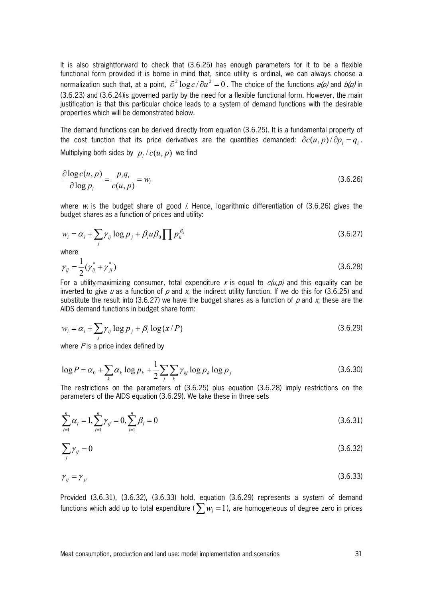It is also straightforward to check that [\(3.6.25\)](#page-31-0) has enough parameters for it to be a flexible functional form provided it is borne in mind that, since utility is ordinal, we can always choose a normalization such that, at a point,  $\partial^2 \log c / \partial u^2 = 0$ . The choice of the functions  $a(\rho)$  and  $b(\rho)$  in [\(3.6.23\)](#page-31-1) and [\(3.6.24\)is](#page-31-2) governed partly by the need for a flexible functional form. However, the main justification is that this particular choice leads to a system of demand functions with the desirable properties which will be demonstrated below.

The demand functions can be derived directly from equation [\(3.6.25\).](#page-31-0) It is a fundamental property of the cost function that its price derivatives are the quantities demanded:  $\partial c(u, p) / \partial p_i = q_i$ . Multiplying both sides by  $p_i / c(u, p)$  we find

<span id="page-32-0"></span>
$$
\frac{\partial \log c(u, p)}{\partial \log p_i} = \frac{p_i q_i}{c(u, p)} = w_i
$$
\n(3.6.26)

where  $w_i$  is the budget share of good *i*. Hence, logarithmic differentiation of [\(3.6.26\)](#page-32-0) gives the budget shares as a function of prices and utility:

<span id="page-32-1"></span>
$$
w_i = \alpha_i + \sum_j \gamma_{ij} \log p_j + \beta_i u \beta_0 \prod p_k^{\beta_k}
$$
 (3.6.27)

where

<span id="page-32-2"></span>
$$
\gamma_{ij} = \frac{1}{2} (\gamma_{ij}^* + \gamma_{ji}^*)
$$
\n(3.6.28)

For a utility-maximizing consumer, total expenditure x is equal to  $c(u,p)$  and this equality can be inverted to give  $u$  as a function of  $p$  and  $x$ , the indirect utility function. If we do this for [\(3.6.25\)](#page-31-0) and substitute the result into [\(3.6.27\)](#page-32-1) we have the budget shares as a function of p and x; these are the AIDS demand functions in budget share form:

<span id="page-32-3"></span>
$$
w_i = \alpha_i + \sum_j \gamma_{ij} \log p_j + \beta_i \log \{x/P\}
$$
\n(3.6.29)

where  $P$  is a price index defined by

$$
\log P = \alpha_0 + \sum_k \alpha_k \log p_k + \frac{1}{2} \sum_j \sum_k \gamma_{kj} \log p_k \log p_j \tag{3.6.30}
$$

The restrictions on the parameters of [\(3.6.25\)](#page-31-0) plus equation [\(3.6.28\)](#page-32-2) imply restrictions on the parameters of the AIDS equation [\(3.6.29\).](#page-32-3) We take these in three sets

<span id="page-32-4"></span>
$$
\sum_{i=1}^{n} \alpha_i = 1, \sum_{i=1}^{n} \gamma_{ij} = 0, \sum_{i=1}^{n} \beta_i = 0
$$
\n(3.6.31)

<span id="page-32-5"></span>
$$
\sum_{j} \gamma_{ij} = 0 \tag{3.6.32}
$$

<span id="page-32-6"></span>
$$
\gamma_{ij} = \gamma_{ji} \tag{3.6.33}
$$

Provided [\(3.6.31\),](#page-32-4) [\(3.6.32\),](#page-32-5) [\(3.6.33\)](#page-32-6) hold, equation [\(3.6.29\)](#page-32-3) represents a system of demand functions which add up to total expenditure ( $\sum w_i = 1$ ), are homogeneous of degree zero in prices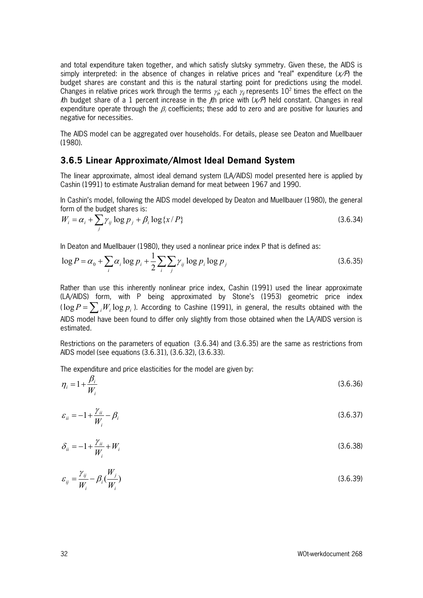and total expenditure taken together, and which satisfy slutsky symmetry. Given these, the AIDS is simply interpreted: in the absence of changes in relative prices and "real" expenditure  $(x \nearrow P)$  the budget shares are constant and this is the natural starting point for predictions using the model. Changes in relative prices work through the terms  $\gamma_{ij}$  each  $\gamma_{ij}$  represents  $10^2$  times the effect on the Ith budget share of a 1 percent increase in the *J*th price with  $(x \nmid P)$  held constant. Changes in real expenditure operate through the  $\beta_i$  coefficients; these add to zero and are positive for luxuries and negative for necessities.

The AIDS model can be aggregated over households. For details, please see Deaton and Muellbauer (1980).

#### **3.6.5 Linear Approximate/Almost Ideal Demand System**

The linear approximate, almost ideal demand system (LA/AIDS) model presented here is applied by Cashin (1991) to estimate Australian demand for meat between 1967 and 1990.

In Cashin's model, following the AIDS model developed by Deaton and Muellbauer (1980), the general form of the budget shares is:

<span id="page-33-0"></span>
$$
W_i = \alpha_i + \sum_j \gamma_{ij} \log p_j + \beta_i \log \{x/P\}
$$
\n(3.6.34)

In Deaton and Muellbauer (1980), they used a nonlinear price index P that is defined as:

<span id="page-33-1"></span>
$$
\log P = \alpha_0 + \sum_i \alpha_i \log p_i + \frac{1}{2} \sum_i \sum_j \gamma_{ij} \log p_i \log p_j \tag{3.6.35}
$$

Rather than use this inherently nonlinear price index, Cashin (1991) used the linear approximate (LA/AIDS) form, with P being approximated by Stone's (1953) geometric price index  $(\log P = \sum_i W_i \log p_i)$ . According to Cashine (1991), in general, the results obtained with the AIDS model have been found to differ only slightly from those obtained when the LA/AIDS version is estimated.

Restrictions on the parameters of equation [\(3.6.34\)](#page-33-0) and [\(3.6.35\)](#page-33-1) are the same as restrictions from AIDS model (see equations [\(3.6.31\),](#page-32-4) [\(3.6.32\),](#page-32-5) [\(3.6.33\).](#page-32-6)

The expenditure and price elasticities for the model are given by:

$$
\eta_i = 1 + \frac{\beta_i}{W_i} \tag{3.6.36}
$$

$$
\varepsilon_{ii} = -1 + \frac{\gamma_{ii}}{W_i} - \beta_i \tag{3.6.37}
$$

$$
\delta_{ii} = -1 + \frac{\gamma_{ii}}{W_i} + W_i \tag{3.6.38}
$$

$$
\varepsilon_{ij} = \frac{\gamma_{ij}}{W_i} - \beta_i \left( \frac{W_j}{W_i} \right) \tag{3.6.39}
$$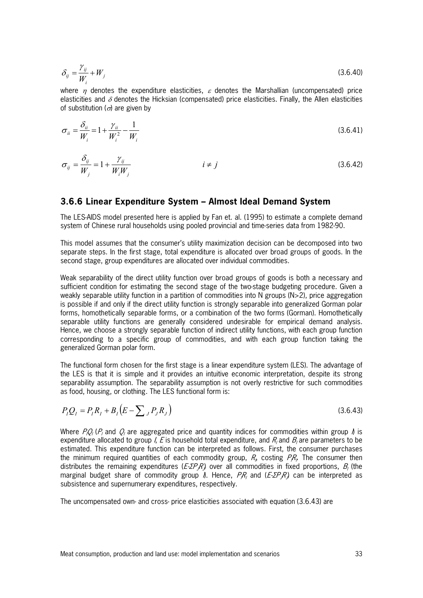$$
\delta_{ij} = \frac{\gamma_{ij}}{W_i} + W_j \tag{3.6.40}
$$

where  $\eta$  denotes the expenditure elasticities,  $\varepsilon$  denotes the Marshallian (uncompensated) price elasticities and  $\delta$  denotes the Hicksian (compensated) price elasticities. Finally, the Allen elasticities of substitution ( $\sigma$ ) are given by

$$
\sigma_{ii} = \frac{\delta_{ii}}{W_i} = 1 + \frac{\gamma_{ii}}{W_i^2} - \frac{1}{W_i}
$$
\n(3.6.41)

$$
\sigma_{ij} = \frac{\delta_{ij}}{W_j} = 1 + \frac{\gamma_{ij}}{W_i W_j} \qquad i \neq j \qquad (3.6.42)
$$

#### **3.6.6 Linear Expenditure System – Almost Ideal Demand System**

The LES-AIDS model presented here is applied by Fan et. al. (1995) to estimate a complete demand system of Chinese rural households using pooled provincial and time-series data from 1982-90.

This model assumes that the consumer's utility maximization decision can be decomposed into two separate steps. In the first stage, total expenditure is allocated over broad groups of goods. In the second stage, group expenditures are allocated over individual commodities.

Weak separability of the direct utility function over broad groups of goods is both a necessary and sufficient condition for estimating the second stage of the two-stage budgeting procedure. Given a weakly separable utility function in a partition of commodities into N groups (N>2), price aggregation is possible if and only if the direct utility function is strongly separable into generalized Gorman polar forms, homothetically separable forms, or a combination of the two forms (Gorman). Homothetically separable utility functions are generally considered undesirable for empirical demand analysis. Hence, we choose a strongly separable function of indirect utility functions, with each group function corresponding to a specific group of commodities, and with each group function taking the generalized Gorman polar form.

The functional form chosen for the first stage is a linear expenditure system (LES). The advantage of the LES is that it is simple and it provides an intuitive economic interpretation, despite its strong separability assumption. The separability assumption is not overly restrictive for such commodities as food, housing, or clothing. The LES functional form is:

<span id="page-34-0"></span>
$$
P_{I}Q_{I} = P_{I}R_{I} + B_{I}(E - \sum_{J} P_{J}R_{J})
$$
\n(3.6.43)

Where  $P_iQ_i$  ( $P_i$  and  $Q_i$  are aggregated price and quantity indices for commodities within group  $\Lambda$  is expenditure allocated to group *I*, E is household total expenditure, and  $R_i$  and B<sub>i</sub> are parameters to be estimated. This expenditure function can be interpreted as follows. First, the consumer purchases the minimum required quantities of each commodity group,  $R_h$  costing  $P_{\ell}R_h$ . The consumer then distributes the remaining expenditures (*E-∑P<sub>J</sub>R*) over all commodities in fixed proportions,  $B_i$  (the marginal budget share of commodity group *I*). Hence,  $PR_i$  and ( $E \le PR_j$ ) can be interpreted as subsistence and supernumerary expenditures, respectively.

The uncompensated own- and cross- price elasticities associated with equation [\(3.6.43\)](#page-34-0) are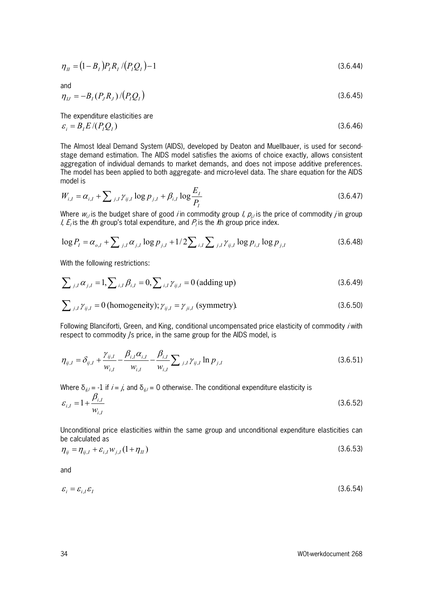$$
\eta_{II} = (1 - B_I) P_I R_I / (P_I Q_I) - 1 \tag{3.6.44}
$$

and

$$
\eta_{IJ} = -B_I (P_J R_J) / (P_I Q_I) \tag{3.6.45}
$$

The expenditure elasticities are  $\varepsilon_i = B_i E / (P_i Q_i)$  (3.6.46)

The Almost Ideal Demand System (AIDS), developed by Deaton and Muellbauer, is used for secondstage demand estimation. The AIDS model satisfies the axioms of choice exactly, allows consistent aggregation of individual demands to market demands, and does not impose additive preferences. The model has been applied to both aggregate- and micro-level data. The share equation for the AIDS model is

$$
W_{i,I} = \alpha_{i,I} + \sum_{j,I} \gamma_{ij,I} \log p_{j,I} + \beta_{i,I} \log \frac{E_I}{P_I}
$$
 (3.6.47)

Where  $w_{ij}$  is the budget share of good *i* in commodity group *I,*  $p_{ij}$  is the price of commodity *j* in group I,  $E_i$  is the *i*th group's total expenditure, and  $P_i$  is the *i*th group price index.

$$
\log P_{I} = \alpha_{o,I} + \sum_{j,I} \alpha_{j,I} \log p_{j,I} + 1/2 \sum_{i,I} \sum_{j,I} \gamma_{ij,I} \log p_{i,I} \log p_{j,I}
$$
(3.6.48)

With the following restrictions:

$$
\sum_{j,I} \alpha_{j,I} = 1, \sum_{i,I} \beta_{i,I} = 0, \sum_{i,I} \gamma_{ij,I} = 0 \text{ (adding up)}
$$
\n(3.6.49)

$$
\sum_{j,I} \gamma_{ij,I} = 0 \text{ (homogeneity)}; \gamma_{ij,I} = \gamma_{ji,I} \text{ (symmetry)}.
$$
 (3.6.50)

Following Blanciforti, Green, and King, conditional uncompensated price elasticity of commodity *i* with respect to commodity /s price, in the same group for the AIDS model, is

$$
\eta_{ij,I} = \delta_{ij,I} + \frac{\gamma_{ij,I}}{w_{i,I}} - \frac{\beta_{i,I}\alpha_{i,I}}{w_{i,I}} - \frac{\beta_{i,I}}{w_{i,I}} \sum_{j,I} \gamma_{ij,I} \ln p_{j,I}
$$
(3.6.51)

Where  $\delta_{ij} = -1$  if  $i = j$ , and  $\delta_{ij} = 0$  otherwise. The conditional expenditure elasticity is

$$
\varepsilon_{i,I} = 1 + \frac{\beta_{i,I}}{w_{i,I}}
$$
(3.6.52)

Unconditional price elasticities within the same group and unconditional expenditure elasticities can be calculated as

$$
\eta_{ij} = \eta_{ij,I} + \varepsilon_{i,I} w_{j,I} (1 + \eta_{II}) \tag{3.6.53}
$$

and

$$
\varepsilon_i = \varepsilon_{i,I} \varepsilon_I \tag{3.6.54}
$$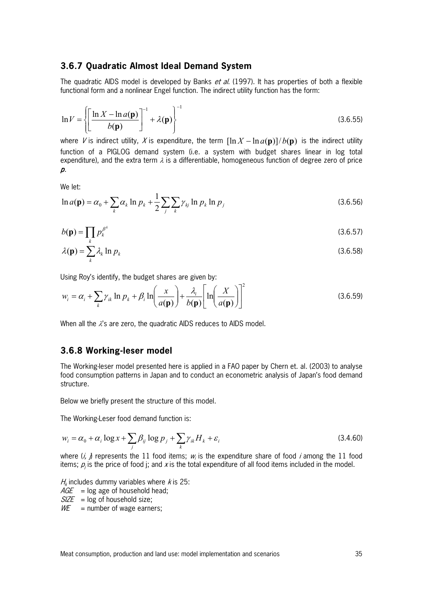### **3.6.7 Quadratic Almost Ideal Demand System**

The quadratic AIDS model is developed by Banks et al. (1997). It has properties of both a flexible functional form and a nonlinear Engel function. The indirect utility function has the form:

$$
\ln V = \left\{ \left[ \frac{\ln X - \ln a(\mathbf{p})}{b(\mathbf{p})} \right]^{-1} + \lambda(\mathbf{p}) \right\}^{-1}
$$
 (3.6.55)

where V is indirect utility, X is expenditure, the term  $[\ln X - \ln a(\mathbf{p})]/b(\mathbf{p})$  is the indirect utility function of a PIGLOG demand system (i.e. a system with budget shares linear in log total expenditure), and the extra term  $\lambda$  is a differentiable, homogeneous function of degree zero of price  $\mathcal{D}$ .

We let:

$$
\ln a(\mathbf{p}) = \alpha_0 + \sum_{k} \alpha_k \ln p_k + \frac{1}{2} \sum_{j} \sum_{k} \gamma_{kj} \ln p_k \ln p_j
$$
 (3.6.56)

$$
b(\mathbf{p}) = \prod_{k} p_k^{\beta^k} \tag{3.6.57}
$$

$$
\lambda(\mathbf{p}) = \sum_{k} \lambda_k \ln p_k \tag{3.6.58}
$$

Using Roy's identify, the budget shares are given by:

$$
w_i = \alpha_i + \sum_k \gamma_{ik} \ln p_k + \beta_i \ln \left( \frac{x}{a(\mathbf{p})} \right) + \frac{\lambda_i}{b(\mathbf{p})} \left[ \ln \left( \frac{X}{a(\mathbf{p})} \right) \right]^2 \tag{3.6.59}
$$

When all the  $\lambda$ 's are zero, the quadratic AIDS reduces to AIDS model.

### **3.6.8 Working-leser model**

The Working-leser model presented here is applied in a FAO paper by Chern et. al. (2003) to analyse food consumption patterns in Japan and to conduct an econometric analysis of Japan's food demand structure.

Below we briefly present the structure of this model.

The Working-Leser food demand function is:

<span id="page-36-0"></span>
$$
w_i = \alpha_0 + \alpha_i \log x + \sum_j \beta_{ij} \log p_j + \sum_k \gamma_{ik} H_k + \varepsilon_i
$$
\n(3.4.60)

where  $(i, j)$  represents the 11 food items;  $w_i$  is the expenditure share of food *i* among the 11 food items;  $p_i$  is the price of food i; and x is the total expenditure of all food items included in the model.

 $H_k$  includes dummy variables where *k* is 25:

 $AGE$  = log age of household head;

- $SIZE$  = log of household size;
- $W\mathcal{E}$  = number of wage earners;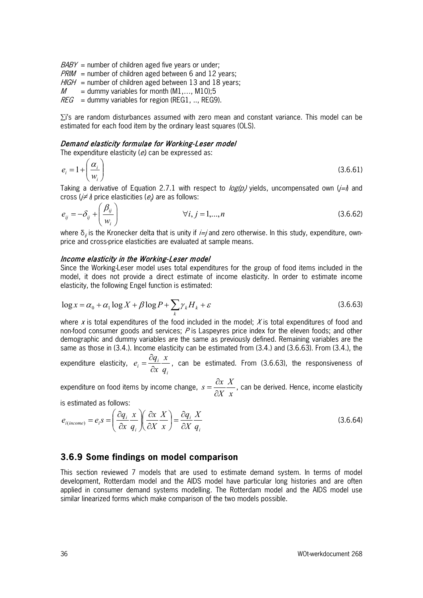- $BABY$  = number of children aged five years or under;
- $PRIM$  = number of children aged between 6 and 12 years;
- $HIGH =$  number of children aged between 13 and 18 years;
- $M =$  dummy variables for month (M1,..., M10);5
- $REG =$  dummy variables for region (REG1, .., REG9).

∑i's are random disturbances assumed with zero mean and constant variance. This model can be estimated for each food item by the ordinary least squares (OLS).

#### Demand elasticity formulae for Working-Leser model

The expenditure elasticity ( $e$ ) can be expressed as:

$$
e_i = 1 + \left(\frac{\alpha_i}{w_i}\right) \tag{3.6.61}
$$

Taking a derivative of Equation 2.7.1 with respect to  $\log(\rho_j)$  yields, uncompensated own (*j=i*) and cross (*j≠ i*) price elasticities ( $e_{\scriptscriptstyle\it j}$ ) are as follows:

$$
e_{ij} = -\delta_{ij} + \left(\frac{\beta_{ij}}{w_i}\right) \qquad \forall i, j = 1,...,n
$$
\n(3.6.62)

where  $\delta_{ij}$  is the Kronecker delta that is unity if *i=j* and zero otherwise. In this study, expenditure, ownprice and cross-price elasticities are evaluated at sample means.

#### Income elasticity in the Working-Leser model

Since the Working-Leser model uses total expenditures for the group of food items included in the model, it does not provide a direct estimate of income elasticity. In order to estimate income elasticity, the following Engel function is estimated:

<span id="page-37-0"></span>
$$
\log x = \alpha_0 + \alpha_1 \log X + \beta \log P + \sum_{k} \gamma_k H_k + \varepsilon
$$
\n(3.6.63)

where x is total expenditures of the food included in the model;  $X$  is total expenditures of food and non-food consumer goods and services;  $P$  is Laspeyres price index for the eleven foods; and other demographic and dummy variables are the same as previously defined. Remaining variables are the same as those in [\(3.4.\)](#page-36-0). Income elasticity can be estimated from [\(3.4.\)](#page-36-0) and [\(3.6.63\).](#page-37-0) From [\(3.4.\)](#page-36-0), the

expenditure elasticity,  $e_i = \frac{dq_i}{\partial x} \frac{d}{q}$ *i x x*  $e_i = \frac{\partial q}{\partial}$ ∂  $=\frac{\partial q_i}{\partial \alpha_i}x$ , can be estimated. From [\(3.6.63\),](#page-37-0) the responsiveness of

expenditure on food items by income change, *x X X*  $s = \frac{\partial x}{\partial x}$ ∂  $=\frac{\partial x}{\partial x} \frac{X}{\partial x}$ , can be derived. Hence, income elasticity

is estimated as follows:

$$
e_{i(income)} = e_i s = \left(\frac{\partial q_i}{\partial x} \frac{x}{q_i}\right) \left(\frac{\partial x}{\partial X} \frac{X}{x}\right) = \frac{\partial q_i}{\partial X} \frac{X}{q_i}
$$
(3.6.64)

### **3.6.9 Some findings on model comparison**

This section reviewed 7 models that are used to estimate demand system. In terms of model development, Rotterdam model and the AIDS model have particular long histories and are often applied in consumer demand systems modelling. The Rotterdam model and the AIDS model use similar linearized forms which make comparison of the two models possible.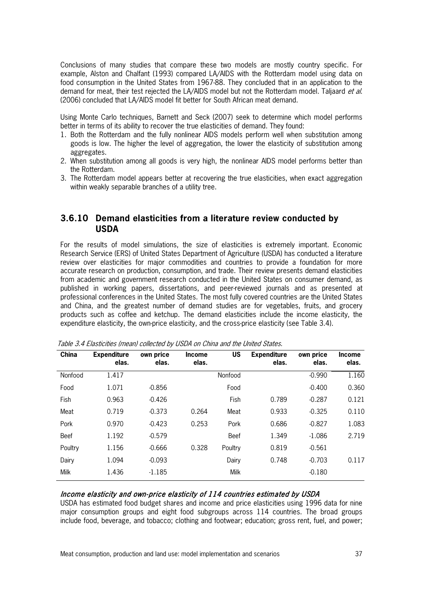Conclusions of many studies that compare these two models are mostly country specific. For example, Alston and Chalfant (1993) compared LA/AIDS with the Rotterdam model using data on food consumption in the United States from 1967-88. They concluded that in an application to the demand for meat, their test rejected the LA/AIDS model but not the Rotterdam model. Taljaard et al. (2006) concluded that LA/AIDS model fit better for South African meat demand.

Using Monte Carlo techniques, Barnett and Seck (2007) seek to determine which model performs better in terms of its ability to recover the true elasticities of demand. They found:

- 1. Both the Rotterdam and the fully nonlinear AIDS models perform well when substitution among goods is low. The higher the level of aggregation, the lower the elasticity of substitution among aggregates.
- 2. When substitution among all goods is very high, the nonlinear AIDS model performs better than the Rotterdam.
- 3. The Rotterdam model appears better at recovering the true elasticities, when exact aggregation within weakly separable branches of a utility tree.

## **3.6.10 Demand elasticities from a literature review conducted by USDA**

For the results of model simulations, the size of elasticities is extremely important. Economic Research Service (ERS) of United States Department of Agriculture (USDA) has conducted a literature review over elasticities for major commodities and countries to provide a foundation for more accurate research on production, consumption, and trade. Their review presents demand elasticities from academic and government research conducted in the United States on consumer demand, as published in working papers, dissertations, and peer-reviewed journals and as presented at professional conferences in the United States. The most fully covered countries are the United States and China, and the greatest number of demand studies are for vegetables, fruits, and grocery products such as coffee and ketchup. The demand elasticities include the income elasticity, the expenditure elasticity, the own-price elasticity, and the cross-price elasticity (see Table 3.4).

| <b>Expenditure</b><br>elas. | own price<br>elas. | <b>Income</b><br>elas. | <b>US</b>   | <b>Expenditure</b><br>elas. | own price<br>elas. | <b>Income</b><br>elas. |
|-----------------------------|--------------------|------------------------|-------------|-----------------------------|--------------------|------------------------|
| 1.417                       |                    |                        | Nonfood     |                             | $-0.990$           | 1.160                  |
| 1.071                       | $-0.856$           |                        | Food        |                             | $-0.400$           | 0.360                  |
| 0.963                       | $-0.426$           |                        | Fish        | 0.789                       | $-0.287$           | 0.121                  |
| 0.719                       | $-0.373$           | 0.264                  | Meat        | 0.933                       | $-0.325$           | 0.110                  |
| 0.970                       | $-0.423$           | 0.253                  | Pork        | 0.686                       | $-0.827$           | 1.083                  |
| 1.192                       | $-0.579$           |                        | <b>Beef</b> | 1.349                       | $-1.086$           | 2.719                  |
| 1.156                       | $-0.666$           | 0.328                  | Poultry     | 0.819                       | $-0.561$           |                        |
| 1.094                       | $-0.093$           |                        | Dairy       | 0.748                       | $-0.703$           | 0.117                  |
| 1.436                       | $-1.185$           |                        | Milk        |                             | $-0.180$           |                        |
|                             |                    |                        |             |                             |                    |                        |

Table 3.4 Elasticities (mean) collected by USDA on China and the United States.

#### Income elasticity and own-price elasticity of 114 countries estimated by USDA

USDA has estimated food budget shares and income and price elasticities using 1996 data for nine major consumption groups and eight food subgroups across 114 countries. The broad groups include food, beverage, and tobacco; clothing and footwear; education; gross rent, fuel, and power;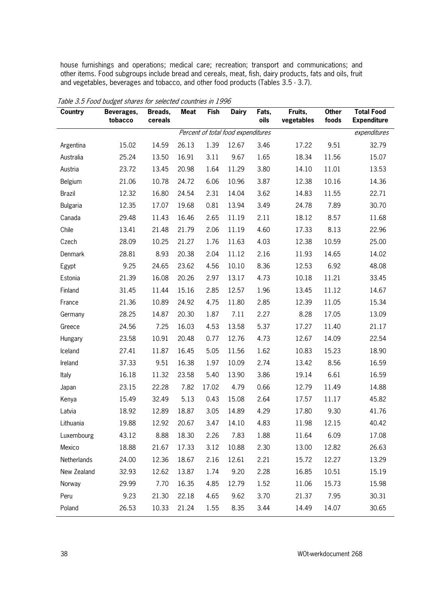house furnishings and operations; medical care; recreation; transport and communications; and other items. Food subgroups include bread and cereals, meat, fish, dairy products, fats and oils, fruit and vegetables, beverages and tobacco, and other food products (Tables 3.5 - 3.7).

| <b>Country</b>  | Beverages,<br>tobacco | Breads,<br>cereals | <b>Meat</b> | <b>Fish</b> | <b>Dairy</b>                       | Fats,<br>oils | Fruits,<br>vegetables | <b>Other</b><br>foods | <b>Total Food</b><br><b>Expenditure</b> |
|-----------------|-----------------------|--------------------|-------------|-------------|------------------------------------|---------------|-----------------------|-----------------------|-----------------------------------------|
|                 |                       |                    |             |             | Percent of total food expenditures |               |                       |                       | expenditures                            |
| Argentina       | 15.02                 | 14.59              | 26.13       | 1.39        | 12.67                              | 3.46          | 17.22                 | 9.51                  | 32.79                                   |
| Australia       | 25.24                 | 13.50              | 16.91       | 3.11        | 9.67                               | 1.65          | 18.34                 | 11.56                 | 15.07                                   |
| Austria         | 23.72                 | 13.45              | 20.98       | 1.64        | 11.29                              | 3.80          | 14.10                 | 11.01                 | 13.53                                   |
| Belgium         | 21.06                 | 10.78              | 24.72       | 6.06        | 10.96                              | 3.87          | 12.38                 | 10.16                 | 14.36                                   |
| <b>Brazil</b>   | 12.32                 | 16.80              | 24.54       | 2.31        | 14.04                              | 3.62          | 14.83                 | 11.55                 | 22.71                                   |
| <b>Bulgaria</b> | 12.35                 | 17.07              | 19.68       | 0.81        | 13.94                              | 3.49          | 24.78                 | 7.89                  | 30.70                                   |
| Canada          | 29.48                 | 11.43              | 16.46       | 2.65        | 11.19                              | 2.11          | 18.12                 | 8.57                  | 11.68                                   |
| Chile           | 13.41                 | 21.48              | 21.79       | 2.06        | 11.19                              | 4.60          | 17.33                 | 8.13                  | 22.96                                   |
| Czech           | 28.09                 | 10.25              | 21.27       | 1.76        | 11.63                              | 4.03          | 12.38                 | 10.59                 | 25.00                                   |
| Denmark         | 28.81                 | 8.93               | 20.38       | 2.04        | 11.12                              | 2.16          | 11.93                 | 14.65                 | 14.02                                   |
| Egypt           | 9.25                  | 24.65              | 23.62       | 4.56        | 10.10                              | 8.36          | 12.53                 | 6.92                  | 48.08                                   |
| Estonia         | 21.39                 | 16.08              | 20.26       | 2.97        | 13.17                              | 4.73          | 10.18                 | 11.21                 | 33.45                                   |
| Finland         | 31.45                 | 11.44              | 15.16       | 2.85        | 12.57                              | 1.96          | 13.45                 | 11.12                 | 14.67                                   |
| France          | 21.36                 | 10.89              | 24.92       | 4.75        | 11.80                              | 2.85          | 12.39                 | 11.05                 | 15.34                                   |
| Germany         | 28.25                 | 14.87              | 20.30       | 1.87        | 7.11                               | 2.27          | 8.28                  | 17.05                 | 13.09                                   |
| Greece          | 24.56                 | 7.25               | 16.03       | 4.53        | 13.58                              | 5.37          | 17.27                 | 11.40                 | 21.17                                   |
| Hungary         | 23.58                 | 10.91              | 20.48       | 0.77        | 12.76                              | 4.73          | 12.67                 | 14.09                 | 22.54                                   |
| Iceland         | 27.41                 | 11.87              | 16.45       | 5.05        | 11.56                              | 1.62          | 10.83                 | 15.23                 | 18.90                                   |
| Ireland         | 37.33                 | 9.51               | 16.38       | 1.97        | 10.09                              | 2.74          | 13.42                 | 8.56                  | 16.59                                   |
| Italy           | 16.18                 | 11.32              | 23.58       | 5.40        | 13.90                              | 3.86          | 19.14                 | 6.61                  | 16.59                                   |
| Japan           | 23.15                 | 22.28              | 7.82        | 17.02       | 4.79                               | 0.66          | 12.79                 | 11.49                 | 14.88                                   |
| Kenya           | 15.49                 | 32.49              | 5.13        | 0.43        | 15.08                              | 2.64          | 17.57                 | 11.17                 | 45.82                                   |
| Latvia          | 18.92                 | 12.89              | 18.87       | 3.05        | 14.89                              | 4.29          | 17.80                 | 9.30                  | 41.76                                   |
| Lithuania       | 19.88                 | 12.92              | 20.67       | 3.47        | 14.10                              | 4.83          | 11.98                 | 12.15                 | 40.42                                   |
| Luxembourg      | 43.12                 | 8.88               | 18.30       | 2.26        | 7.83                               | 1.88          | 11.64                 | 6.09                  | 17.08                                   |
| Mexico          | 18.88                 | 21.67              | 17.33       | 3.12        | 10.88                              | 2.30          | 13.00                 | 12.82                 | 26.63                                   |
| Netherlands     | 24.00                 | 12.36              | 18.67       | 2.16        | 12.61                              | 2.21          | 15.72                 | 12.27                 | 13.29                                   |
| New Zealand     | 32.93                 | 12.62              | 13.87       | 1.74        | 9.20                               | 2.28          | 16.85                 | 10.51                 | 15.19                                   |
| Norway          | 29.99                 | 7.70               | 16.35       | 4.85        | 12.79                              | 1.52          | 11.06                 | 15.73                 | 15.98                                   |
| Peru            | 9.23                  | 21.30              | 22.18       | 4.65        | 9.62                               | 3.70          | 21.37                 | 7.95                  | 30.31                                   |
| Poland          | 26.53                 | 10.33              | 21.24       | 1.55        | 8.35                               | 3.44          | 14.49                 | 14.07                 | 30.65                                   |

Table 3.5 Food budget shares for selected countries in 1996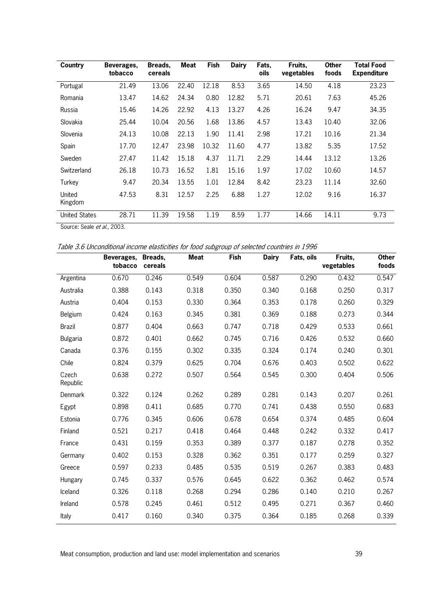| Country              | Beverages,<br>tobacco | Breads,<br>cereals | Meat  | <b>Fish</b> | <b>Dairy</b> | Fats,<br>oils | Fruits,<br>vegetables | <b>Other</b><br>foods | <b>Total Food</b><br><b>Expenditure</b> |
|----------------------|-----------------------|--------------------|-------|-------------|--------------|---------------|-----------------------|-----------------------|-----------------------------------------|
| Portugal             | 21.49                 | 13.06              | 22.40 | 12.18       | 8.53         | 3.65          | 14.50                 | 4.18                  | 23.23                                   |
| Romania              | 13.47                 | 14.62              | 24.34 | 0.80        | 12.82        | 5.71          | 20.61                 | 7.63                  | 45.26                                   |
| Russia               | 15.46                 | 14.26              | 22.92 | 4.13        | 13.27        | 4.26          | 16.24                 | 9.47                  | 34.35                                   |
| Slovakia             | 25.44                 | 10.04              | 20.56 | 1.68        | 13.86        | 4.57          | 13.43                 | 10.40                 | 32.06                                   |
| Slovenia             | 24.13                 | 10.08              | 22.13 | 1.90        | 11.41        | 2.98          | 17.21                 | 10.16                 | 21.34                                   |
| Spain                | 17.70                 | 12.47              | 23.98 | 10.32       | 11.60        | 4.77          | 13.82                 | 5.35                  | 17.52                                   |
| Sweden               | 27.47                 | 11.42              | 15.18 | 4.37        | 11.71        | 2.29          | 14.44                 | 13.12                 | 13.26                                   |
| Switzerland          | 26.18                 | 10.73              | 16.52 | 1.81        | 15.16        | 1.97          | 17.02                 | 10.60                 | 14.57                                   |
| Turkey               | 9.47                  | 20.34              | 13.55 | 1.01        | 12.84        | 8.42          | 23.23                 | 11.14                 | 32.60                                   |
| United<br>Kingdom    | 47.53                 | 8.31               | 12.57 | 2.25        | 6.88         | 1.27          | 12.02                 | 9.16                  | 16.37                                   |
| <b>United States</b> | 28.71                 | 11.39              | 19.58 | 1.19        | 8.59         | 1.77          | 14.66                 | 14.11                 | 9.73                                    |

Source: Seale et al., 2003.

Table 3.6 Unconditional income elasticities for food subgroup of selected countries in 1996

|                   | Beverages,<br>tobacco | Breads,<br>cereals | <b>Meat</b> | Fish  | <b>Dairy</b> | Fats, oils | Fruits,<br>vegetables | <b>Other</b><br>foods |
|-------------------|-----------------------|--------------------|-------------|-------|--------------|------------|-----------------------|-----------------------|
| Argentina         | 0.670                 | 0.246              | 0.549       | 0.604 | 0.587        | 0.290      | 0.432                 | 0.547                 |
| Australia         | 0.388                 | 0.143              | 0.318       | 0.350 | 0.340        | 0.168      | 0.250                 | 0.317                 |
| Austria           | 0.404                 | 0.153              | 0.330       | 0.364 | 0.353        | 0.178      | 0.260                 | 0.329                 |
| Belgium           | 0.424                 | 0.163              | 0.345       | 0.381 | 0.369        | 0.188      | 0.273                 | 0.344                 |
| <b>Brazil</b>     | 0.877                 | 0.404              | 0.663       | 0.747 | 0.718        | 0.429      | 0.533                 | 0.661                 |
| <b>Bulgaria</b>   | 0.872                 | 0.401              | 0.662       | 0.745 | 0.716        | 0.426      | 0.532                 | 0.660                 |
| Canada            | 0.376                 | 0.155              | 0.302       | 0.335 | 0.324        | 0.174      | 0.240                 | 0.301                 |
| Chile             | 0.824                 | 0.379              | 0.625       | 0.704 | 0.676        | 0.403      | 0.502                 | 0.622                 |
| Czech<br>Republic | 0.638                 | 0.272              | 0.507       | 0.564 | 0.545        | 0.300      | 0.404                 | 0.506                 |
| Denmark           | 0.322                 | 0.124              | 0.262       | 0.289 | 0.281        | 0.143      | 0.207                 | 0.261                 |
| Egypt             | 0.898                 | 0.411              | 0.685       | 0.770 | 0.741        | 0.438      | 0.550                 | 0.683                 |
| Estonia           | 0.776                 | 0.345              | 0.606       | 0.678 | 0.654        | 0.374      | 0.485                 | 0.604                 |
| Finland           | 0.521                 | 0.217              | 0.418       | 0.464 | 0.448        | 0.242      | 0.332                 | 0.417                 |
| France            | 0.431                 | 0.159              | 0.353       | 0.389 | 0.377        | 0.187      | 0.278                 | 0.352                 |
| Germany           | 0.402                 | 0.153              | 0.328       | 0.362 | 0.351        | 0.177      | 0.259                 | 0.327                 |
| Greece            | 0.597                 | 0.233              | 0.485       | 0.535 | 0.519        | 0.267      | 0.383                 | 0.483                 |
| Hungary           | 0.745                 | 0.337              | 0.576       | 0.645 | 0.622        | 0.362      | 0.462                 | 0.574                 |
| Iceland           | 0.326                 | 0.118              | 0.268       | 0.294 | 0.286        | 0.140      | 0.210                 | 0.267                 |
| Ireland           | 0.578                 | 0.245              | 0.461       | 0.512 | 0.495        | 0.271      | 0.367                 | 0.460                 |
| Italy             | 0.417                 | 0.160              | 0.340       | 0.375 | 0.364        | 0.185      | 0.268                 | 0.339                 |

Meat consumption, production and land use: model implementation and scenarios 39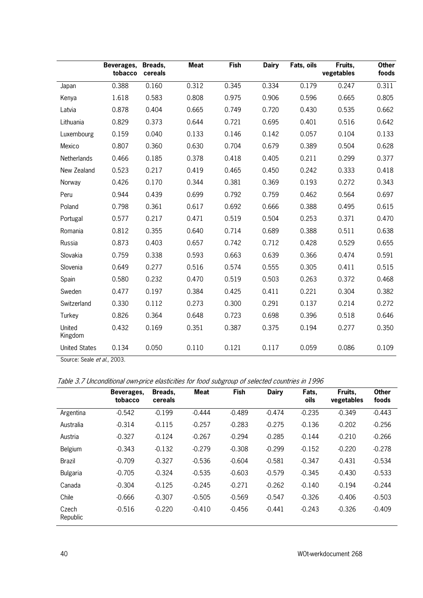|                             | Beverages,<br>tobacco | Breads,<br>cereals | <b>Meat</b> | <b>Fish</b> | <b>Dairy</b> | Fats, oils | Fruits,<br>vegetables | <b>Other</b><br>foods |
|-----------------------------|-----------------------|--------------------|-------------|-------------|--------------|------------|-----------------------|-----------------------|
| Japan                       | 0.388                 | 0.160              | 0.312       | 0.345       | 0.334        | 0.179      | 0.247                 | 0.311                 |
| Kenya                       | 1.618                 | 0.583              | 0.808       | 0.975       | 0.906        | 0.596      | 0.665                 | 0.805                 |
| Latvia                      | 0.878                 | 0.404              | 0.665       | 0.749       | 0.720        | 0.430      | 0.535                 | 0.662                 |
| Lithuania                   | 0.829                 | 0.373              | 0.644       | 0.721       | 0.695        | 0.401      | 0.516                 | 0.642                 |
| Luxembourg                  | 0.159                 | 0.040              | 0.133       | 0.146       | 0.142        | 0.057      | 0.104                 | 0.133                 |
| Mexico                      | 0.807                 | 0.360              | 0.630       | 0.704       | 0.679        | 0.389      | 0.504                 | 0.628                 |
| Netherlands                 | 0.466                 | 0.185              | 0.378       | 0.418       | 0.405        | 0.211      | 0.299                 | 0.377                 |
| New Zealand                 | 0.523                 | 0.217              | 0.419       | 0.465       | 0.450        | 0.242      | 0.333                 | 0.418                 |
| Norway                      | 0.426                 | 0.170              | 0.344       | 0.381       | 0.369        | 0.193      | 0.272                 | 0.343                 |
| Peru                        | 0.944                 | 0.439              | 0.699       | 0.792       | 0.759        | 0.462      | 0.564                 | 0.697                 |
| Poland                      | 0.798                 | 0.361              | 0.617       | 0.692       | 0.666        | 0.388      | 0.495                 | 0.615                 |
| Portugal                    | 0.577                 | 0.217              | 0.471       | 0.519       | 0.504        | 0.253      | 0.371                 | 0.470                 |
| Romania                     | 0.812                 | 0.355              | 0.640       | 0.714       | 0.689        | 0.388      | 0.511                 | 0.638                 |
| Russia                      | 0.873                 | 0.403              | 0.657       | 0.742       | 0.712        | 0.428      | 0.529                 | 0.655                 |
| Slovakia                    | 0.759                 | 0.338              | 0.593       | 0.663       | 0.639        | 0.366      | 0.474                 | 0.591                 |
| Slovenia                    | 0.649                 | 0.277              | 0.516       | 0.574       | 0.555        | 0.305      | 0.411                 | 0.515                 |
| Spain                       | 0.580                 | 0.232              | 0.470       | 0.519       | 0.503        | 0.263      | 0.372                 | 0.468                 |
| Sweden                      | 0.477                 | 0.197              | 0.384       | 0.425       | 0.411        | 0.221      | 0.304                 | 0.382                 |
| Switzerland                 | 0.330                 | 0.112              | 0.273       | 0.300       | 0.291        | 0.137      | 0.214                 | 0.272                 |
| Turkey                      | 0.826                 | 0.364              | 0.648       | 0.723       | 0.698        | 0.396      | 0.518                 | 0.646                 |
| United<br>Kingdom           | 0.432                 | 0.169              | 0.351       | 0.387       | 0.375        | 0.194      | 0.277                 | 0.350                 |
| <b>United States</b>        | 0.134                 | 0.050              | 0.110       | 0.121       | 0.117        | 0.059      | 0.086                 | 0.109                 |
| Source: Seale et al., 2003. |                       |                    |             |             |              |            |                       |                       |

Table 3.7 Unconditional own-price elasticities for food subgroup of selected countries in 1996

|                   | Beverages,<br>tobacco | Breads,<br>cereals | Meat     | Fish     | <b>Dairy</b> | Fats,<br>oils | Fruits.<br>vegetables | <b>Other</b><br>foods |
|-------------------|-----------------------|--------------------|----------|----------|--------------|---------------|-----------------------|-----------------------|
| Argentina         | $-0.542$              | $-0.199$           | $-0.444$ | $-0.489$ | $-0.474$     | $-0.235$      | $-0.349$              | $-0.443$              |
| Australia         | $-0.314$              | $-0.115$           | $-0.257$ | $-0.283$ | $-0.275$     | $-0.136$      | $-0.202$              | $-0.256$              |
| Austria           | $-0.327$              | $-0.124$           | $-0.267$ | $-0.294$ | $-0.285$     | $-0.144$      | $-0.210$              | $-0.266$              |
| Belgium           | $-0.343$              | $-0.132$           | $-0.279$ | $-0.308$ | $-0.299$     | $-0.152$      | $-0.220$              | $-0.278$              |
| Brazil            | $-0.709$              | $-0.327$           | $-0.536$ | $-0.604$ | $-0.581$     | $-0.347$      | $-0.431$              | $-0.534$              |
| Bulgaria          | $-0.705$              | $-0.324$           | $-0.535$ | $-0.603$ | $-0.579$     | $-0.345$      | $-0.430$              | $-0.533$              |
| Canada            | $-0.304$              | $-0.125$           | $-0.245$ | $-0.271$ | $-0.262$     | $-0.140$      | $-0.194$              | $-0.244$              |
| Chile             | $-0.666$              | $-0.307$           | $-0.505$ | $-0.569$ | $-0.547$     | $-0.326$      | $-0.406$              | $-0.503$              |
| Czech<br>Republic | $-0.516$              | $-0.220$           | $-0.410$ | $-0.456$ | $-0.441$     | $-0.243$      | $-0.326$              | $-0.409$              |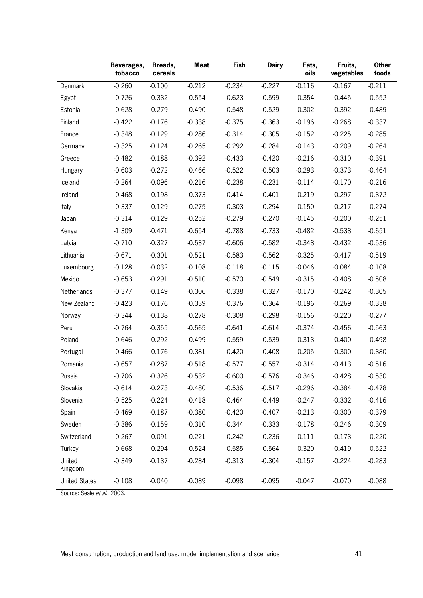|                      | Beverages,<br>tobacco | Breads,<br>cereals | <b>Meat</b> | <b>Fish</b> | <b>Dairy</b> | Fats,<br>oils | Fruits,<br>vegetables | <b>Other</b><br>foods |
|----------------------|-----------------------|--------------------|-------------|-------------|--------------|---------------|-----------------------|-----------------------|
| Denmark              | $-0.260$              | $-0.100$           | $-0.212$    | $-0.234$    | $-0.227$     | $-0.116$      | $-0.167$              | $-0.211$              |
| Egypt                | $-0.726$              | $-0.332$           | $-0.554$    | $-0.623$    | $-0.599$     | $-0.354$      | $-0.445$              | $-0.552$              |
| Estonia              | $-0.628$              | $-0.279$           | $-0.490$    | $-0.548$    | $-0.529$     | $-0.302$      | $-0.392$              | $-0.489$              |
| Finland              | $-0.422$              | $-0.176$           | $-0.338$    | $-0.375$    | $-0.363$     | $-0.196$      | $-0.268$              | $-0.337$              |
| France               | $-0.348$              | $-0.129$           | $-0.286$    | $-0.314$    | $-0.305$     | $-0.152$      | $-0.225$              | $-0.285$              |
| Germany              | $-0.325$              | $-0.124$           | $-0.265$    | $-0.292$    | $-0.284$     | $-0.143$      | $-0.209$              | $-0.264$              |
| Greece               | $-0.482$              | $-0.188$           | $-0.392$    | $-0.433$    | $-0.420$     | $-0.216$      | $-0.310$              | $-0.391$              |
| Hungary              | $-0.603$              | $-0.272$           | $-0.466$    | $-0.522$    | $-0.503$     | $-0.293$      | $-0.373$              | $-0.464$              |
| Iceland              | $-0.264$              | $-0.096$           | $-0.216$    | $-0.238$    | $-0.231$     | $-0.114$      | $-0.170$              | $-0.216$              |
| Ireland              | $-0.468$              | $-0.198$           | $-0.373$    | $-0.414$    | $-0.401$     | $-0.219$      | $-0.297$              | $-0.372$              |
| Italy                | $-0.337$              | $-0.129$           | $-0.275$    | $-0.303$    | $-0.294$     | $-0.150$      | $-0.217$              | $-0.274$              |
| Japan                | $-0.314$              | $-0.129$           | $-0.252$    | $-0.279$    | $-0.270$     | $-0.145$      | $-0.200$              | $-0.251$              |
| Kenya                | $-1.309$              | $-0.471$           | $-0.654$    | $-0.788$    | $-0.733$     | $-0.482$      | $-0.538$              | $-0.651$              |
| Latvia               | $-0.710$              | $-0.327$           | $-0.537$    | $-0.606$    | $-0.582$     | $-0.348$      | $-0.432$              | $-0.536$              |
| Lithuania            | $-0.671$              | $-0.301$           | $-0.521$    | $-0.583$    | $-0.562$     | $-0.325$      | $-0.417$              | $-0.519$              |
| Luxembourg           | $-0.128$              | $-0.032$           | $-0.108$    | $-0.118$    | $-0.115$     | $-0.046$      | $-0.084$              | $-0.108$              |
| Mexico               | $-0.653$              | $-0.291$           | $-0.510$    | $-0.570$    | $-0.549$     | $-0.315$      | $-0.408$              | $-0.508$              |
| Netherlands          | $-0.377$              | $-0.149$           | $-0.306$    | $-0.338$    | $-0.327$     | $-0.170$      | $-0.242$              | $-0.305$              |
| New Zealand          | $-0.423$              | $-0.176$           | $-0.339$    | $-0.376$    | $-0.364$     | $-0.196$      | $-0.269$              | $-0.338$              |
| Norway               | $-0.344$              | $-0.138$           | $-0.278$    | $-0.308$    | $-0.298$     | $-0.156$      | $-0.220$              | $-0.277$              |
| Peru                 | $-0.764$              | $-0.355$           | $-0.565$    | $-0.641$    | $-0.614$     | $-0.374$      | $-0.456$              | $-0.563$              |
| Poland               | $-0.646$              | $-0.292$           | $-0.499$    | $-0.559$    | $-0.539$     | $-0.313$      | $-0.400$              | $-0.498$              |
| Portugal             | $-0.466$              | $-0.176$           | $-0.381$    | $-0.420$    | $-0.408$     | $-0.205$      | $-0.300$              | $-0.380$              |
| Romania              | $-0.657$              | $-0.287$           | $-0.518$    | $-0.577$    | $-0.557$     | $-0.314$      | $-0.413$              | $-0.516$              |
| Russia               | $-0.706$              | $-0.326$           | $-0.532$    | $-0.600$    | $-0.576$     | $-0.346$      | $-0.428$              | $-0.530$              |
| Slovakia             | $-0.614$              | $-0.273$           | $-0.480$    | $-0.536$    | $-0.517$     | $-0.296$      | $-0.384$              | $-0.478$              |
| Slovenia             | $-0.525$              | $-0.224$           | $-0.418$    | $-0.464$    | $-0.449$     | $-0.247$      | $-0.332$              | $-0.416$              |
| Spain                | $-0.469$              | $-0.187$           | $-0.380$    | $-0.420$    | $-0.407$     | $-0.213$      | $-0.300$              | $-0.379$              |
| Sweden               | $-0.386$              | $-0.159$           | $-0.310$    | $-0.344$    | $-0.333$     | $-0.178$      | $-0.246$              | $-0.309$              |
| Switzerland          | $-0.267$              | $-0.091$           | $-0.221$    | $-0.242$    | $-0.236$     | $-0.111$      | $-0.173$              | $-0.220$              |
| Turkey               | $-0.668$              | $-0.294$           | $-0.524$    | $-0.585$    | $-0.564$     | $-0.320$      | $-0.419$              | $-0.522$              |
| United<br>Kingdom    | $-0.349$              | $-0.137$           | $-0.284$    | $-0.313$    | $-0.304$     | $-0.157$      | $-0.224$              | $-0.283$              |
| <b>United States</b> | $-0.108$              | $-0.040$           | $-0.089$    | $-0.098$    | $-0.095$     | $-0.047$      | $-0.070$              | $-0.088$              |

Source: Seale et al., 2003.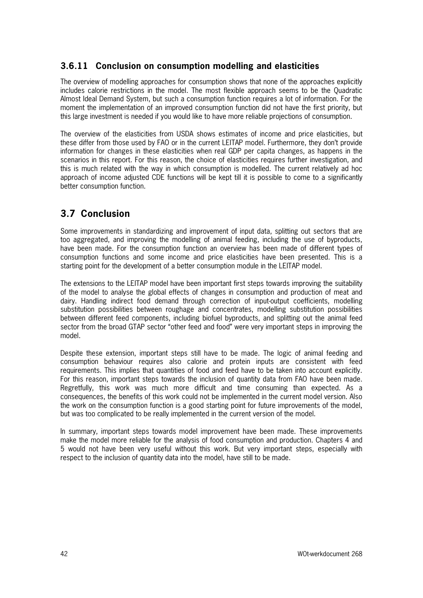## **3.6.11 Conclusion on consumption modelling and elasticities**

The overview of modelling approaches for consumption shows that none of the approaches explicitly includes calorie restrictions in the model. The most flexible approach seems to be the Quadratic Almost Ideal Demand System, but such a consumption function requires a lot of information. For the moment the implementation of an improved consumption function did not have the first priority, but this large investment is needed if you would like to have more reliable projections of consumption.

The overview of the elasticities from USDA shows estimates of income and price elasticities, but these differ from those used by FAO or in the current LEITAP model. Furthermore, they don't provide information for changes in these elasticities when real GDP per capita changes, as happens in the scenarios in this report. For this reason, the choice of elasticities requires further investigation, and this is much related with the way in which consumption is modelled. The current relatively ad hoc approach of income adjusted CDE functions will be kept till it is possible to come to a significantly better consumption function.

# **3.7 Conclusion**

Some improvements in standardizing and improvement of input data, splitting out sectors that are too aggregated, and improving the modelling of animal feeding, including the use of byproducts, have been made. For the consumption function an overview has been made of different types of consumption functions and some income and price elasticities have been presented. This is a starting point for the development of a better consumption module in the LEITAP model.

The extensions to the LEITAP model have been important first steps towards improving the suitability of the model to analyse the global effects of changes in consumption and production of meat and dairy. Handling indirect food demand through correction of input-output coefficients, modelling substitution possibilities between roughage and concentrates, modelling substitution possibilities between different feed components, including biofuel byproducts, and splitting out the animal feed sector from the broad GTAP sector "other feed and food" were very important steps in improving the model.

Despite these extension, important steps still have to be made. The logic of animal feeding and consumption behaviour requires also calorie and protein inputs are consistent with feed requirements. This implies that quantities of food and feed have to be taken into account explicitly. For this reason, important steps towards the inclusion of quantity data from FAO have been made. Regretfully, this work was much more difficult and time consuming than expected. As a consequences, the benefits of this work could not be implemented in the current model version. Also the work on the consumption function is a good starting point for future improvements of the model, but was too complicated to be really implemented in the current version of the model.

In summary, important steps towards model improvement have been made. These improvements make the model more reliable for the analysis of food consumption and production. Chapters 4 and 5 would not have been very useful without this work. But very important steps, especially with respect to the inclusion of quantity data into the model, have still to be made.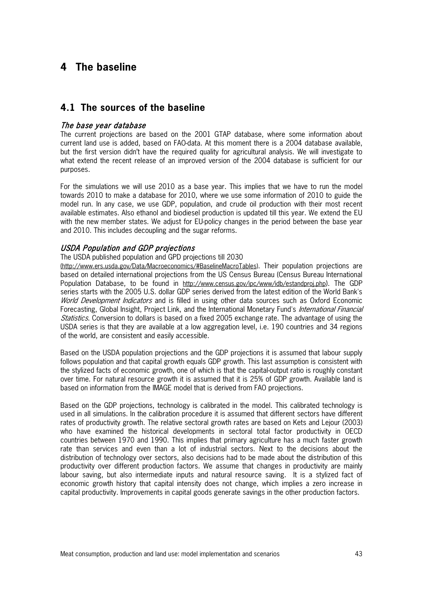# **4 The baseline**

## **4.1 The sources of the baseline**

### The base year database

The current projections are based on the 2001 GTAP database, where some information about current land use is added, based on FAO-data. At this moment there is a 2004 database available, but the first version didn't have the required quality for agricultural analysis. We will investigate to what extend the recent release of an improved version of the 2004 database is sufficient for our purposes.

For the simulations we will use 2010 as a base year. This implies that we have to run the model towards 2010 to make a database for 2010, where we use some information of 2010 to guide the model run. In any case, we use GDP, population, and crude oil production with their most recent available estimates. Also ethanol and biodiesel production is updated till this year. We extend the EU with the new member states. We adjust for EU-policy changes in the period between the base year and 2010. This includes decoupling and the sugar reforms.

#### USDA Population and GDP projections

The USDA published population and GPD projections till 2030

[\(http://www.ers.usda.gov/Data/Macroeconomics/#BaselineMacroTables\)](http://www.ers.usda.gov/Data/Macroeconomics/#BaselineMacroTables). Their population projections are based on detailed international projections from the US Census Bureau [\(Census Bureau International](http://www.census.gov/ipc/www/idbnew.html)  [Population Database,](http://www.census.gov/ipc/www/idbnew.html) to be found in [http://www.census.gov/ipc/www/idb/estandproj.php\)](http://www.census.gov/ipc/www/idb/estandproj.php). The GDP series starts with the 2005 U.S. dollar GDP series derived from the latest edition of the World Bank's World Development Indicators and is filled in using other data sources such as Oxford Economic Forecasting, Global Insight, Project Link, and the International Monetary Fund's *International Financial* Statistics. Conversion to dollars is based on a fixed 2005 exchange rate. The advantage of using the USDA series is that they are available at a low aggregation level, i.e. 190 countries and 34 regions of the world, are consistent and easily accessible.

Based on the USDA population projections and the GDP projections it is assumed that labour supply follows population and that capital growth equals GDP growth. This last assumption is consistent with the stylized facts of economic growth, one of which is that the capital-output ratio is roughly constant over time. For natural resource growth it is assumed that it is 25% of GDP growth. Available land is based on information from the IMAGE model that is derived from FAO projections.

Based on the GDP projections, technology is calibrated in the model. This calibrated technology is used in all simulations. In the calibration procedure it is assumed that different sectors have different rates of productivity growth. The relative sectoral growth rates are based on Kets and Lejour (2003) who have examined the historical developments in sectoral total factor productivity in OECD countries between 1970 and 1990. This implies that primary agriculture has a much faster growth rate than services and even than a lot of industrial sectors. Next to the decisions about the distribution of technology over sectors, also decisions had to be made about the distribution of this productivity over different production factors. We assume that changes in productivity are mainly labour saving, but also intermediate inputs and natural resource saving. It is a stylized fact of economic growth history that capital intensity does not change, which implies a zero increase in capital productivity. Improvements in capital goods generate savings in the other production factors.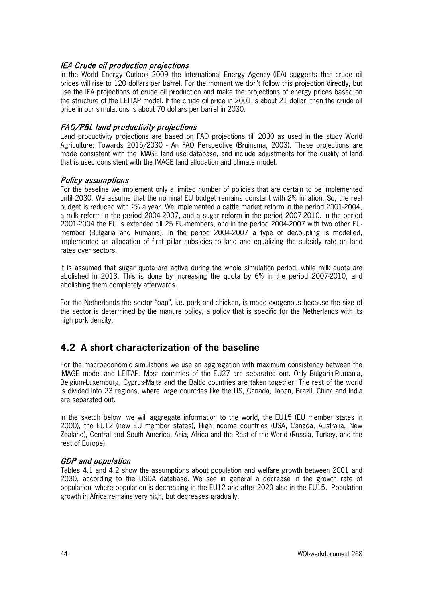### IEA Crude oil production projections

In the World Energy Outlook 2009 the International Energy Agency (IEA) suggests that crude oil prices will rise to 120 dollars per barrel. For the moment we don't follow this projection directly, but use the IEA projections of crude oil production and make the projections of energy prices based on the structure of the LEITAP model. If the crude oil price in 2001 is about 21 dollar, then the crude oil price in our simulations is about 70 dollars per barrel in 2030.

### FAO/PBL land productivity projections

Land productivity projections are based on FAO projections till 2030 as used in the study World Agriculture: Towards 2015/2030 - An FAO Perspective (Bruinsma, 2003). These projections are made consistent with the IMAGE land use database, and include adjustments for the quality of land that is used consistent with the IMAGE land allocation and climate model.

### Policy assumptions

For the baseline we implement only a limited number of policies that are certain to be implemented until 2030. We assume that the nominal EU budget remains constant with 2% inflation. So, the real budget is reduced with 2% a year. We implemented a cattle market reform in the period 2001-2004, a milk reform in the period 2004-2007, and a sugar reform in the period 2007-2010. In the period 2001-2004 the EU is extended till 25 EU-members, and in the period 2004-2007 with two other EUmember (Bulgaria and Rumania). In the period 2004-2007 a type of decoupling is modelled, implemented as allocation of first pillar subsidies to land and equalizing the subsidy rate on land rates over sectors.

It is assumed that sugar quota are active during the whole simulation period, while milk quota are abolished in 2013. This is done by increasing the quota by 6% in the period 2007-2010, and abolishing them completely afterwards.

For the Netherlands the sector "oap", i.e. pork and chicken, is made exogenous because the size of the sector is determined by the manure policy, a policy that is specific for the Netherlands with its high pork density.

# **4.2 A short characterization of the baseline**

For the macroeconomic simulations we use an aggregation with maximum consistency between the IMAGE model and LEITAP. Most countries of the EU27 are separated out. Only Bulgaria-Rumania, Belgium-Luxemburg, Cyprus-Malta and the Baltic countries are taken together. The rest of the world is divided into 23 regions, where large countries like the US, Canada, Japan, Brazil, China and India are separated out.

In the sketch below, we will aggregate information to the world, the EU15 (EU member states in 2000), the EU12 (new EU member states), High Income countries (USA, Canada, Australia, New Zealand), Central and South America, Asia, Africa and the Rest of the World (Russia, Turkey, and the rest of Europe).

### GDP and population

Tables 4.1 and 4.2 show the assumptions about population and welfare growth between 2001 and 2030, according to the USDA database. We see in general a decrease in the growth rate of population, where population is decreasing in the EU12 and after 2020 also in the EU15. Population growth in Africa remains very high, but decreases gradually.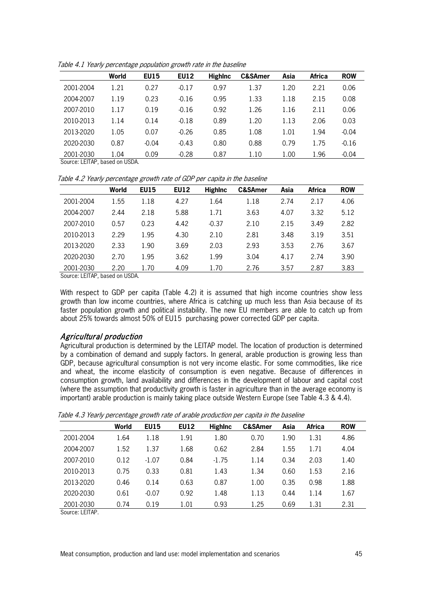|                               | World            | <b>EU15</b> | <b>EU12</b> | <b>Highlnc</b> | <b>C&amp;SAmer</b> | Asia | <b>Africa</b> | <b>ROW</b> |
|-------------------------------|------------------|-------------|-------------|----------------|--------------------|------|---------------|------------|
| 2001-2004                     | 1.21             | 0.27        | $-0.17$     | 0.97           | 1.37               | 1.20 | 2.21          | 0.06       |
| 2004-2007                     | 1.19             | 0.23        | $-0.16$     | 0.95           | 1.33               | 1.18 | 2.15          | 0.08       |
| 2007-2010                     | 1.17             | 0.19        | $-0.16$     | 0.92           | 1.26               | 1.16 | 2.11          | 0.06       |
| 2010-2013                     | 1.14             | 0.14        | $-0.18$     | 0.89           | 1.20               | 1.13 | 2.06          | 0.03       |
| 2013-2020                     | 1.05             | 0.07        | $-0.26$     | 0.85           | 1.08               | 1.01 | 1.94          | $-0.04$    |
| 2020-2030                     | 0.87             | $-0.04$     | $-0.43$     | 0.80           | 0.88               | 0.79 | 1.75          | $-0.16$    |
| 2001-2030<br>$\sim$<br>1.77.7 | 1.04<br>$\cdots$ | 0.09        | $-0.28$     | 0.87           | 1.10               | 1.00 | 1.96          | $-0.04$    |

Table 4.1 Yearly percentage population growth rate in the baseline

Source: LEITAP, based on USDA.

Table 4.2 Yearly percentage growth rate of GDP per capita in the baseline

|           | World | <b>EU15</b> | <b>EU12</b> | <b>Highlnc</b> | <b>C&amp;SAmer</b> | Asia | Africa | <b>ROW</b> |
|-----------|-------|-------------|-------------|----------------|--------------------|------|--------|------------|
| 2001-2004 | 1.55  | 1.18        | 4.27        | 1.64           | 1.18               | 2.74 | 2.17   | 4.06       |
| 2004-2007 | 2.44  | 2.18        | 5.88        | 1.71           | 3.63               | 4.07 | 3.32   | 5.12       |
| 2007-2010 | 0.57  | 0.23        | 4.42        | $-0.37$        | 2.10               | 2.15 | 3.49   | 2.82       |
| 2010-2013 | 2.29  | 1.95        | 4.30        | 2.10           | 2.81               | 3.48 | 3.19   | 3.51       |
| 2013-2020 | 2.33  | 1.90        | 3.69        | 2.03           | 2.93               | 3.53 | 2.76   | 3.67       |
| 2020-2030 | 2.70  | 1.95        | 3.62        | 1.99           | 3.04               | 4.17 | 2.74   | 3.90       |
| 2001-2030 | 2.20  | 1.70        | 4.09        | 1.70           | 2.76               | 3.57 | 2.87   | 3.83       |

Source: LEITAP, based on USDA.

With respect to GDP per capita (Table 4.2) it is assumed that high income countries show less growth than low income countries, where Africa is catching up much less than Asia because of its faster population growth and political instability. The new EU members are able to catch up from about 25% towards almost 50% of EU15 purchasing power corrected GDP per capita.

## Agricultural production

Agricultural production is determined by the LEITAP model. The location of production is determined by a combination of demand and supply factors. In general, arable production is growing less than GDP, because agricultural consumption is not very income elastic. For some commodities, like rice and wheat, the income elasticity of consumption is even negative. Because of differences in consumption growth, land availability and differences in the development of labour and capital cost (where the assumption that productivity growth is faster in agriculture than in the average economy is important) arable production is mainly taking place outside Western Europe (see Table 4.3 & 4.4).

|           | World | <b>EU15</b> | <b>EU12</b> | <b>Highlnc</b> | <b>C&amp;SAmer</b> | Asia | <b>Africa</b> | <b>ROW</b> |
|-----------|-------|-------------|-------------|----------------|--------------------|------|---------------|------------|
| 2001-2004 | 1.64  | 1.18        | 1.91        | 1.80           | 0.70               | 1.90 | 1.31          | 4.86       |
|           |       |             |             |                |                    |      |               |            |
| 2004-2007 | 1.52  | 1.37        | 1.68        | 0.62           | 2.84               | 1.55 | 1.71          | 4.04       |
| 2007-2010 | 0.12  | $-1.07$     | 0.84        | $-1.75$        | 1.14               | 0.34 | 2.03          | 1.40       |
| 2010-2013 | 0.75  | 0.33        | 0.81        | 1.43           | 1.34               | 0.60 | 1.53          | 2.16       |
| 2013-2020 | 0.46  | 0.14        | 0.63        | 0.87           | 1.00               | 0.35 | 0.98          | 1.88       |
| 2020-2030 | 0.61  | $-0.07$     | 0.92        | 1.48           | 1.13               | 0.44 | 1.14          | 1.67       |
| 2001-2030 | 0.74  | 0.19        | 1.01        | 0.93           | 1.25               | 0.69 | 1.31          | 2.31       |

Table 4.3 Yearly percentage growth rate of arable production per capita in the baseline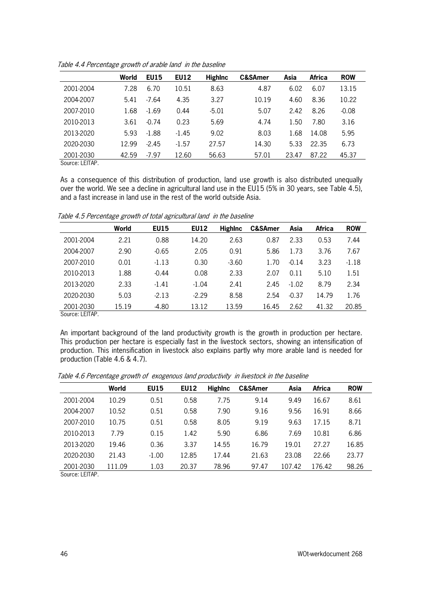|                      | World | <b>EU15</b> | <b>EU12</b> | <b>Highlnc</b> | <b>C&amp;SAmer</b> | Asia  | Africa | <b>ROW</b> |
|----------------------|-------|-------------|-------------|----------------|--------------------|-------|--------|------------|
| 2001-2004            | 7.28  | 6.70        | 10.51       | 8.63           | 4.87               | 6.02  | 6.07   | 13.15      |
| 2004-2007            | 5.41  | $-7.64$     | 4.35        | 3.27           | 10.19              | 4.60  | 8.36   | 10.22      |
| 2007-2010            | 1.68  | $-1.69$     | 0.44        | $-5.01$        | 5.07               | 2.42  | 8.26   | $-0.08$    |
| 2010-2013            | 3.61  | $-0.74$     | 0.23        | 5.69           | 4.74               | 1.50  | 7.80   | 3.16       |
| 2013-2020            | 5.93  | $-1.88$     | $-1.45$     | 9.02           | 8.03               | 1.68  | 14.08  | 5.95       |
| 2020-2030            | 12.99 | $-2.45$     | $-1.57$     | 27.57          | 14.30              | 5.33  | 22.35  | 6.73       |
| 2001-2030<br>$O = 1$ | 42.59 | $-7.97$     | 12.60       | 56.63          | 57.01              | 23.47 | 87.22  | 45.37      |

Table 4.4 Percentage growth of arable land in the baseline

As a consequence of this distribution of production, land use growth is also distributed unequally over the world. We see a decline in agricultural land use in the EU15 (5% in 30 years, see Table 4.5), and a fast increase in land use in the rest of the world outside Asia.

|           | World | <b>EU15</b> | <b>EU12</b> | <b>Highlnc</b> | <b>C&amp;SAmer</b> | Asia    | <b>Africa</b> | <b>ROW</b> |
|-----------|-------|-------------|-------------|----------------|--------------------|---------|---------------|------------|
| 2001-2004 | 2.21  | 0.88        | 14.20       | 2.63           | 0.87               | 2.33    | 0.53          | 7.44       |
| 2004-2007 | 2.90  | $-0.65$     | 2.05        | 0.91           | 5.86               | 1.73    | 3.76          | 7.67       |
| 2007-2010 | 0.01  | $-1.13$     | 0.30        | $-3.60$        | 1.70               | $-0.14$ | 3.23          | $-1.18$    |
| 2010-2013 | 1.88  | $-0.44$     | 0.08        | 2.33           | 2.07               | 0.11    | 5.10          | 1.51       |
| 2013-2020 | 2.33  | $-1.41$     | $-1.04$     | 2.41           | 2.45               | $-1.02$ | 8.79          | 2.34       |
| 2020-2030 | 5.03  | $-2.13$     | $-2.29$     | 8.58           | 2.54               | $-0.37$ | 14.79         | 1.76       |
| 2001-2030 | 15.19 | $-4.80$     | 13.12       | 13.59          | 16.45              | 2.62    | 41.32         | 20.85      |

Table 4.5 Percentage growth of total agricultural land in the baseline

Source: LEITAP.

An important background of the land productivity growth is the growth in production per hectare. This production per hectare is especially fast in the livestock sectors, showing an intensification of production. This intensification in livestock also explains partly why more arable land is needed for production (Table 4.6 & 4.7).

| World  | <b>EU15</b> | <b>EU12</b> | <b>HighInc</b> | <b>C&amp;SAmer</b> | Asia   | Africa | <b>ROW</b> |
|--------|-------------|-------------|----------------|--------------------|--------|--------|------------|
|        |             |             |                |                    |        |        |            |
|        |             |             |                |                    |        |        | 8.61       |
| 10.52  | 0.51        | 0.58        | 7.90           | 9.16               | 9.56   | 16.91  | 8.66       |
| 10.75  | 0.51        | 0.58        | 8.05           | 9.19               | 9.63   | 17.15  | 8.71       |
| 7.79   | 0.15        | 1.42        | 5.90           | 6.86               | 7.69   | 10.81  | 6.86       |
| 19.46  | 0.36        | 3.37        | 14.55          | 16.79              | 19.01  | 27.27  | 16.85      |
| 21.43  | $-1.00$     | 12.85       | 17.44          | 21.63              | 23.08  | 22.66  | 23.77      |
| 111.09 | 1.03        | 20.37       | 78.96          | 97.47              | 107.42 | 176.42 | 98.26      |
|        | 10.29       | 0.51        | 0.58           | 7.75               | 9.14   | 9.49   | 16.67      |

Table 4.6 Percentage growth of exogenous land productivity in livestock in the baseline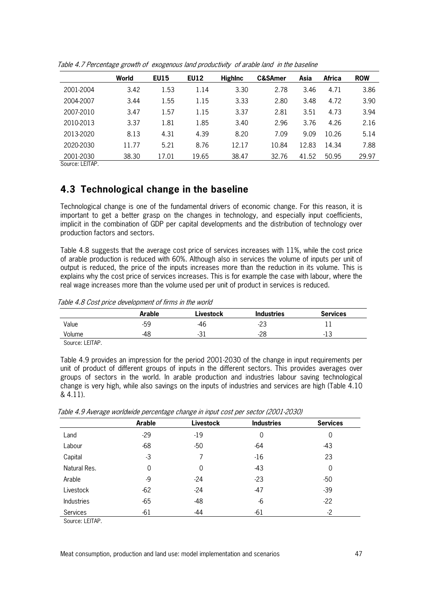| <b>ROW</b> |
|------------|
|            |
| 3.86       |
| 3.90       |
| 3.94       |
| 2.16       |
| 5.14       |
| 7.88       |
| 29.97      |
|            |

Table 4.7 Percentage growth of exogenous land productivity of arable land in the baseline

# **4.3 Technological change in the baseline**

Technological change is one of the fundamental drivers of economic change. For this reason, it is important to get a better grasp on the changes in technology, and especially input coefficients, implicit in the combination of GDP per capital developments and the distribution of technology over production factors and sectors.

Table 4.8 suggests that the average cost price of services increases with 11%, while the cost price of arable production is reduced with 60%. Although also in services the volume of inputs per unit of output is reduced, the price of the inputs increases more than the reduction in its volume. This is explains why the cost price of services increases. This is for example the case with labour, where the real wage increases more than the volume used per unit of product in services is reduced.

**Arable Livestock Industries Services** Value -59 -59 -46 -23 -21 -23 -21 -23 -21 -23 -21 -23 -21 -23 -21 -23 -21 -21 -2  $V$ olume  $-48$   $-31$   $-28$   $-13$ 

Table 4.8 Cost price development of firms in the world

Source: LEITAP.

Table 4.9 provides an impression for the period 2001-2030 of the change in input requirements per unit of product of different groups of inputs in the different sectors. This provides averages over groups of sectors in the world. In arable production and industries labour saving technological change is very high, while also savings on the inputs of industries and services are high (Table 4.10 & 4.11).

Table 4.9 Average worldwide percentage change in input cost per sector (2001-2030)

|                   | Arable | <b>Livestock</b> | <b>Industries</b> | <b>Services</b> |
|-------------------|--------|------------------|-------------------|-----------------|
| Land              | $-29$  | $-19$            | 0                 | 0               |
| Labour            | $-68$  | $-50$            | $-64$             | $-43$           |
| Capital           | $-3$   |                  | $-16$             | 23              |
| Natural Res.      | 0      | 0                | $-43$             | 0               |
| Arable            | -9     | $-24$            | $-23$             | $-50$           |
| Livestock         | $-62$  | $-24$            | $-47$             | $-39$           |
| <b>Industries</b> | $-65$  | $-48$            | -6                | $-22$           |
| Services          | $-61$  | $-44$            | $-61$             | $-2$            |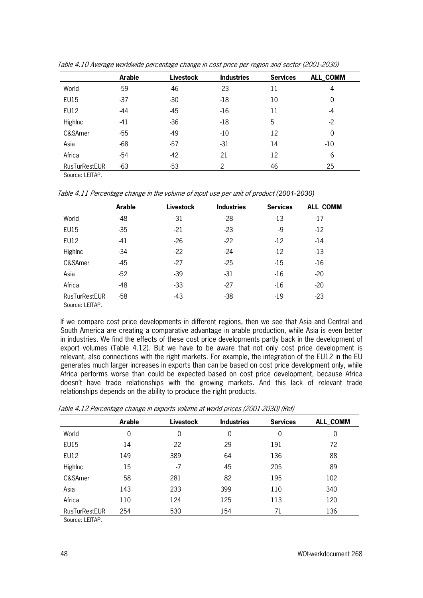|                      | Arable | <b>Livestock</b> | <b>Industries</b> | <b>Services</b> | ALL_COMM |
|----------------------|--------|------------------|-------------------|-----------------|----------|
| World                | $-59$  | -46              | $-23$             | 11              | -4       |
| <b>EU15</b>          | $-37$  | $-30$            | $-18$             | 10              | 0        |
| EU12                 | $-44$  | $-45$            | $-16$             | 11              | $-4$     |
| Highlnc              | $-41$  | $-36$            | $-18$             | 5               | $-2$     |
| C&SAmer              | $-55$  | -49              | $-10$             | 12              | 0        |
| Asia                 | $-68$  | $-57$            | $-31$             | 14              | $-10$    |
| Africa               | $-54$  | $-42$            | 21                | 12              | 6        |
| <b>RusTurRestEUR</b> | $-63$  | $-53$            | 2                 | 46              | 25       |

Table 4.10 Average worldwide percentage change in cost price per region and sector (2001-2030)

Table 4.11 Percentage change in the volume of input use per unit of product *(2001-2030)*

|               | <b>Arable</b> | <b>Livestock</b> | <b>Industries</b> | <b>Services</b> | ALL_COMM |
|---------------|---------------|------------------|-------------------|-----------------|----------|
| World         | $-48$         | $-31$            | $-28$             | $-13$           | $-17$    |
| <b>EU15</b>   | $-35$         | $-21$            | $-23$             | $-9$            | $-12$    |
| <b>EU12</b>   | $-41$         | $-26$            | $-22$             | $-12$           | $-14$    |
| Highlnc       | $-34$         | $-22$            | $-24$             | $-12$           | $-13$    |
| C&SAmer       | $-45$         | -27              | $-25$             | $-15$           | $-16$    |
| Asia          | $-52$         | $-39$            | $-31$             | $-16$           | $-20$    |
| Africa        | $-48$         | $-33$            | $-27$             | $-16$           | $-20$    |
| RusTurRestEUR | $-58$         | -43              | $-38$             | $-19$           | $-23$    |

Source: LEITAP.

If we compare cost price developments in different regions, then we see that Asia and Central and South America are creating a comparative advantage in arable production, while Asia is even better in industries. We find the effects of these cost price developments partly back in the development of export volumes (Table 4.12). But we have to be aware that not only cost price development is relevant, also connections with the right markets. For example, the integration of the EU12 in the EU generates much larger increases in exports than can be based on cost price development only, while Africa performs worse than could be expected based on cost price development, because Africa doesn't have trade relationships with the growing markets. And this lack of relevant trade relationships depends on the ability to produce the right products.

|                      | <b>Arable</b> | Livestock | <b>Industries</b> | <b>Services</b> | ALL_COMM |
|----------------------|---------------|-----------|-------------------|-----------------|----------|
| World                | 0             | 0         | 0                 | 0               | 0        |
| <b>EU15</b>          | $-14$         | $-22$     | 29                | 191             | 72       |
| <b>EU12</b>          | 149           | 389       | 64                | 136             | 88       |
| <b>Highlnc</b>       | 15            | $-7$      | 45                | 205             | 89       |
| C&SAmer              | 58            | 281       | 82                | 195             | 102      |
| Asia                 | 143           | 233       | 399               | 110             | 340      |
| Africa               | 110           | 124       | 125               | 113             | 120      |
| <b>RusTurRestEUR</b> | 254           | 530       | 154               | 71              | 136      |

Table 4.12 Percentage change in exports volume at world prices (2001-2030) (Ref)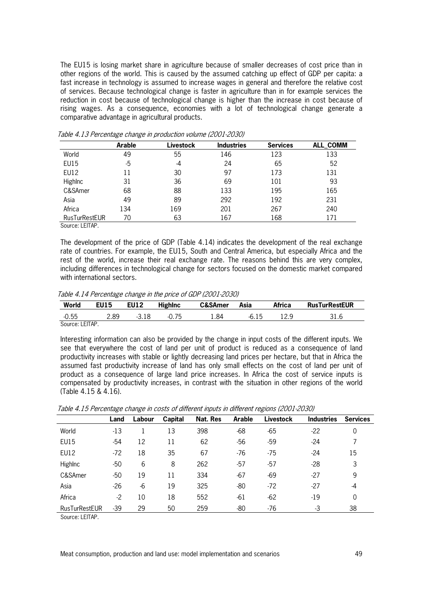The EU15 is losing market share in agriculture because of smaller decreases of cost price than in other regions of the world. This is caused by the assumed catching up effect of GDP per capita: a fast increase in technology is assumed to increase wages in general and therefore the relative cost of services. Because technological change is faster in agriculture than in for example services the reduction in cost because of technological change is higher than the increase in cost because of rising wages. As a consequence, economies with a lot of technological change generate a comparative advantage in agricultural products.

|                      | Arable | Livestock | <b>Industries</b> | <b>Services</b> | ALL_COMM |
|----------------------|--------|-----------|-------------------|-----------------|----------|
| World                | 49     | 55        | 146               | 123             | 133      |
| <b>EU15</b>          | -5     | -4        | 24                | 65              | 52       |
| <b>EU12</b>          | 11     | 30        | 97                | 173             | 131      |
| Highlnc              | 31     | 36        | 69                | 101             | 93       |
| C&SAmer              | 68     | 88        | 133               | 195             | 165      |
| Asia                 | 49     | 89        | 292               | 192             | 231      |
| Africa               | 134    | 169       | 201               | 267             | 240      |
| <b>RusTurRestEUR</b> | 70     | 63        | 167               | 168             | 171      |

Table 4.13 Percentage change in production volume (2001-2030)

Source: LEITAP.

The development of the price of GDP (Table 4.14) indicates the development of the real exchange rate of countries. For example, the EU15, South and Central America, but especially Africa and the rest of the world, increase their real exchange rate. The reasons behind this are very complex, including differences in technological change for sectors focused on the domestic market compared with international sectors.

Table 4.14 Percentage change in the price of GDP (2001-2030)

| World           | <b>EU15</b> | <b>EU12</b> | <b>Highlnc</b> | <b>C&amp;SAmer</b> | Asia    | <b>Africa</b> | <b>RusTurRestEUR</b> |
|-----------------|-------------|-------------|----------------|--------------------|---------|---------------|----------------------|
| $-0.55$         | 2.89        | -3.18       | $-0.75$        | 84. ،              | $-6.15$ | 12.9          | 31.6                 |
| Source: LEITAP. |             |             |                |                    |         |               |                      |

Interesting information can also be provided by the change in input costs of the different inputs. We see that everywhere the cost of land per unit of product is reduced as a consequence of land productivity increases with stable or lightly decreasing land prices per hectare, but that in Africa the assumed fast productivity increase of land has only small effects on the cost of land per unit of product as a consequence of large land price increases. In Africa the cost of service inputs is compensated by productivity increases, in contrast with the situation in other regions of the world (Table 4.15 & 4.16).

|                      | Land  | Labour | Capital | Nat. Res | <b>Arable</b> | Livestock | <b>Industries</b> | <b>Services</b> |
|----------------------|-------|--------|---------|----------|---------------|-----------|-------------------|-----------------|
| World                | $-13$ |        | 13      | 398      | $-68$         | -65       | $-22$             | 0               |
| <b>EU15</b>          | -54   | 12     | 11      | 62       | $-56$         | $-59$     | $-24$             |                 |
| EU12                 | $-72$ | 18     | 35      | 67       | $-76$         | $-75$     | $-24$             | 15              |
| Highlnc              | $-50$ | 6      | 8       | 262      | $-57$         | $-57$     | $-28$             | 3               |
| C&SAmer              | $-50$ | 19     | 11      | 334      | $-67$         | -69       | $-27$             | 9               |
| Asia                 | $-26$ | $-6$   | 19      | 325      | -80           | $-72$     | $-27$             | -4              |
| Africa               | $-2$  | 10     | 18      | 552      | $-61$         | $-62$     | $-19$             | 0               |
| <b>RusTurRestEUR</b> | $-39$ | 29     | 50      | 259      | -80           | -76       | -3                | 38              |

Table 4.15 Percentage change in costs of different inputs in different regions (2001-2030)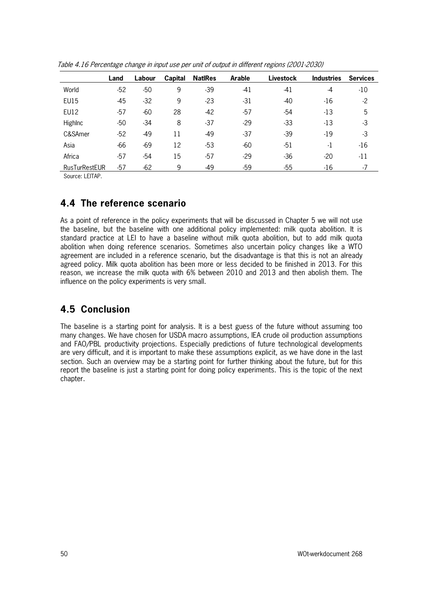|                      | Land  | Labour | Capital | <b>NatiRes</b> | Arable | Livestock | <b>Industries</b> | <b>Services</b> |
|----------------------|-------|--------|---------|----------------|--------|-----------|-------------------|-----------------|
| World                | $-52$ | $-50$  | 9       | $-39$          | $-41$  | -41       | -4                | $-10$           |
| <b>EU15</b>          | -45   | $-32$  | 9       | $-23$          | $-31$  | $-40$     | $-16$             | $-2$            |
| EU12                 | $-57$ | $-60$  | 28      | $-42$          | $-57$  | -54       | $-13$             | 5               |
| <b>Highlnc</b>       | $-50$ | $-34$  | 8       | $-37$          | $-29$  | $-33$     | $-13$             | $-3$            |
| C&SAmer              | $-52$ | -49    | 11      | $-49$          | $-37$  | $-39$     | $-19$             | $-3$            |
| Asia                 | $-66$ | $-69$  | 12      | $-53$          | $-60$  | $-51$     | $-1$              | $-16$           |
| Africa               | -57   | $-54$  | 15      | $-57$          | $-29$  | $-36$     | $-20$             | $-11$           |
| <b>RusTurRestEUR</b> | $-57$ | $-62$  | 9       | $-49$          | $-59$  | $-55$     | $-16$             | $-7$            |

Table 4.16 Percentage change in input use per unit of output in different regions (2001-2030)

## **4.4 The reference scenario**

As a point of reference in the policy experiments that will be discussed in Chapter 5 we will not use the baseline, but the baseline with one additional policy implemented: milk quota abolition. It is standard practice at LEI to have a baseline without milk quota abolition, but to add milk quota abolition when doing reference scenarios. Sometimes also uncertain policy changes like a WTO agreement are included in a reference scenario, but the disadvantage is that this is not an already agreed policy. Milk quota abolition has been more or less decided to be finished in 2013. For this reason, we increase the milk quota with 6% between 2010 and 2013 and then abolish them. The influence on the policy experiments is very small.

# **4.5 Conclusion**

The baseline is a starting point for analysis. It is a best guess of the future without assuming too many changes. We have chosen for USDA macro assumptions, IEA crude oil production assumptions and FAO/PBL productivity projections. Especially predictions of future technological developments are very difficult, and it is important to make these assumptions explicit, as we have done in the last section. Such an overview may be a starting point for further thinking about the future, but for this report the baseline is just a starting point for doing policy experiments. This is the topic of the next chapter.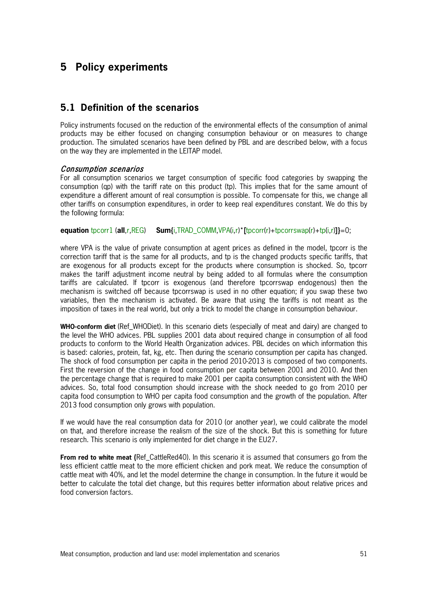# **5 Policy experiments**

## **5.1 Definition of the scenarios**

Policy instruments focused on the reduction of the environmental effects of the consumption of animal products may be either focused on changing consumption behaviour or on measures to change production. The simulated scenarios have been defined by PBL and are described below, with a focus on the way they are implemented in the LEITAP model.

#### Consumption scenarios

For all consumption scenarios we target consumption of specific food categories by swapping the consumption (qp) with the tariff rate on this product (tp). This implies that for the same amount of expenditure a different amount of real consumption is possible. To compensate for this, we change all other tariffs on consumption expenditures, in order to keep real expenditures constant. We do this by the following formula:

**equation** tpcorr1 (**all**,r,REG) **Sum{**i,TRAD\_COMM,VPA(i,r)\***[**tpcorr(r)+tpcorrswap(r)+tp(i,r)**]}**=0;

where VPA is the value of private consumption at agent prices as defined in the model, tpcorr is the correction tariff that is the same for all products, and tp is the changed products specific tariffs, that are exogenous for all products except for the products where consumption is shocked. So, tpcorr makes the tariff adjustment income neutral by being added to all formulas where the consumption tariffs are calculated. If tpcorr is exogenous (and therefore tpcorrswap endogenous) then the mechanism is switched off because tpcorrswap is used in no other equation; if you swap these two variables, then the mechanism is activated. Be aware that using the tariffs is not meant as the imposition of taxes in the real world, but only a trick to model the change in consumption behaviour.

**WHO-conform diet** (Ref\_WHODiet). In this scenario diets (especially of meat and dairy) are changed to the level the WHO advices. PBL supplies 2001 data about required change in consumption of all food products to conform to the World Health Organization advices. PBL decides on which information this is based: calories, protein, fat, kg, etc. Then during the scenario consumption per capita has changed. The shock of food consumption per capita in the period 2010-2013 is composed of two components. First the reversion of the change in food consumption per capita between 2001 and 2010. And then the percentage change that is required to make 2001 per capita consumption consistent with the WHO advices. So, total food consumption should increase with the shock needed to go from 2010 per capita food consumption to WHO per capita food consumption and the growth of the population. After 2013 food consumption only grows with population.

If we would have the real consumption data for 2010 (or another year), we could calibrate the model on that, and therefore increase the realism of the size of the shock. But this is something for future research. This scenario is only implemented for diet change in the EU27.

**From red to white meat (**Ref\_CattleRed40). In this scenario it is assumed that consumers go from the less efficient cattle meat to the more efficient chicken and pork meat. We reduce the consumption of cattle meat with 40%, and let the model determine the change in consumption. In the future it would be better to calculate the total diet change, but this requires better information about relative prices and food conversion factors.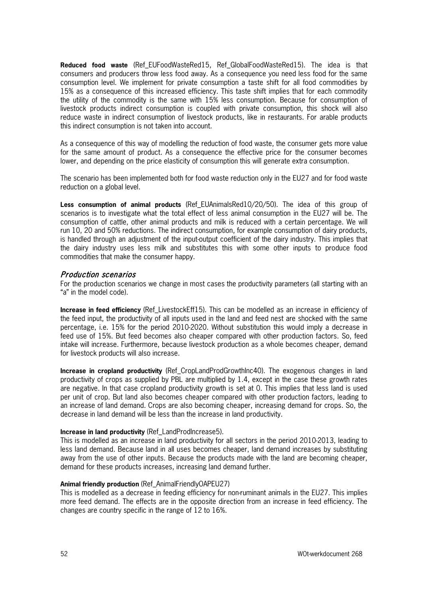**Reduced food waste** (Ref\_EUFoodWasteRed15, Ref\_GlobalFoodWasteRed15). The idea is that consumers and producers throw less food away. As a consequence you need less food for the same consumption level. We implement for private consumption a taste shift for all food commodities by 15% as a consequence of this increased efficiency. This taste shift implies that for each commodity the utility of the commodity is the same with 15% less consumption. Because for consumption of livestock products indirect consumption is coupled with private consumption, this shock will also reduce waste in indirect consumption of livestock products, like in restaurants. For arable products this indirect consumption is not taken into account.

As a consequence of this way of modelling the reduction of food waste, the consumer gets more value for the same amount of product. As a consequence the effective price for the consumer becomes lower, and depending on the price elasticity of consumption this will generate extra consumption.

The scenario has been implemented both for food waste reduction only in the EU27 and for food waste reduction on a global level.

**Less consumption of animal products** (Ref\_EUAnimalsRed10/20/50). The idea of this group of scenarios is to investigate what the total effect of less animal consumption in the EU27 will be. The consumption of cattle, other animal products and milk is reduced with a certain percentage. We will run 10, 20 and 50% reductions. The indirect consumption, for example consumption of dairy products, is handled through an adjustment of the input-output coefficient of the dairy industry. This implies that the dairy industry uses less milk and substitutes this with some other inputs to produce food commodities that make the consumer happy.

#### Production scenarios

For the production scenarios we change in most cases the productivity parameters (all starting with an "a" in the model code).

**Increase in feed efficiency** (Ref\_LivestockEff15). This can be modelled as an increase in efficiency of the feed input, the productivity of all inputs used in the land and feed nest are shocked with the same percentage, i.e. 15% for the period 2010-2020. Without substitution this would imply a decrease in feed use of 15%. But feed becomes also cheaper compared with other production factors. So, feed intake will increase. Furthermore, because livestock production as a whole becomes cheaper, demand for livestock products will also increase.

**Increase in cropland productivity** (Ref CropLandProdGrowthInc40). The exogenous changes in land productivity of crops as supplied by PBL are multiplied by 1.4, except in the case these growth rates are negative. In that case cropland productivity growth is set at 0. This implies that less land is used per unit of crop. But land also becomes cheaper compared with other production factors, leading to an increase of land demand. Crops are also becoming cheaper, increasing demand for crops. So, the decrease in land demand will be less than the increase in land productivity.

#### **Increase in land productivity** (Ref\_LandProdIncrease5).

This is modelled as an increase in land productivity for all sectors in the period 2010-2013, leading to less land demand. Because land in all uses becomes cheaper, land demand increases by substituting away from the use of other inputs. Because the products made with the land are becoming cheaper, demand for these products increases, increasing land demand further.

#### **Animal friendly production** (Ref\_AnimalFriendlyOAPEU27)

This is modelled as a decrease in feeding efficiency for non-ruminant animals in the EU27. This implies more feed demand. The effects are in the opposite direction from an increase in feed efficiency. The changes are country specific in the range of 12 to 16%.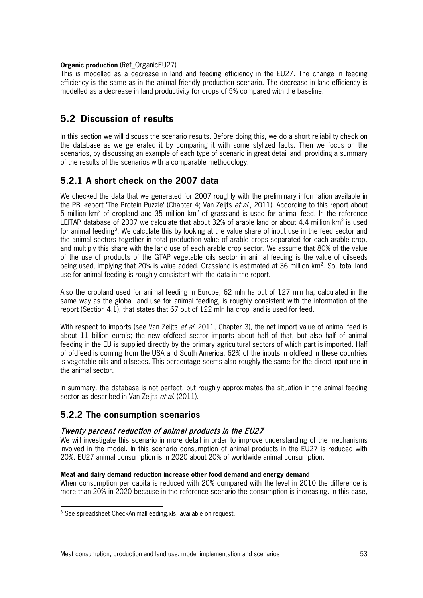#### **Organic production** (Ref\_OrganicEU27)

This is modelled as a decrease in land and feeding efficiency in the EU27. The change in feeding efficiency is the same as in the animal friendly production scenario. The decrease in land efficiency is modelled as a decrease in land productivity for crops of 5% compared with the baseline.

# **5.2 Discussion of results**

In this section we will discuss the scenario results. Before doing this, we do a short reliability check on the database as we generated it by comparing it with some stylized facts. Then we focus on the scenarios, by discussing an example of each type of scenario in great detail and providing a summary of the results of the scenarios with a comparable methodology.

## **5.2.1 A short check on the 2007 data**

We checked the data that we generated for 2007 roughly with the preliminary information available in the PBL-report 'The Protein Puzzle' (Chapter 4; Van Zeijts et al., 2011). According to this report about 5 million  $km^2$  of cropland and 35 million  $km^2$  of grassland is used for animal feed. In the reference LEITAP database of 2007 we calculate that about 32% of arable land or about 4.4 million  $km^2$  is used for animal feeding<sup>[3](#page-54-0)</sup>. We calculate this by looking at the value share of input use in the feed sector and the animal sectors together in total production value of arable crops separated for each arable crop, and multiply this share with the land use of each arable crop sector. We assume that 80% of the value of the use of products of the GTAP vegetable oils sector in animal feeding is the value of oilseeds being used, implying that 20% is value added. Grassland is estimated at 36 million km<sup>2</sup>. So, total land use for animal feeding is roughly consistent with the data in the report.

Also the cropland used for animal feeding in Europe, 62 mln ha out of 127 mln ha, calculated in the same way as the global land use for animal feeding, is roughly consistent with the information of the report (Section 4.1), that states that 67 out of 122 mln ha crop land is used for feed.

With respect to imports (see Van Zeijts *et al.* 2011, Chapter 3), the net import value of animal feed is about 11 billion euro's; the new ofdfeed sector imports about half of that, but also half of animal feeding in the EU is supplied directly by the primary agricultural sectors of which part is imported. Half of ofdfeed is coming from the USA and South America. 62% of the inputs in ofdfeed in these countries is vegetable oils and oilseeds. This percentage seems also roughly the same for the direct input use in the animal sector.

In summary, the database is not perfect, but roughly approximates the situation in the animal feeding sector as described in Van Zeijts et al. (2011).

## **5.2.2 The consumption scenarios**

## Twenty percent reduction of animal products in the EU27

We will investigate this scenario in more detail in order to improve understanding of the mechanisms involved in the model. In this scenario consumption of animal products in the EU27 is reduced with 20%. EU27 animal consumption is in 2020 about 20% of worldwide animal consumption.

#### **Meat and dairy demand reduction increase other food demand and energy demand**

When consumption per capita is reduced with 20% compared with the level in 2010 the difference is more than 20% in 2020 because in the reference scenario the consumption is increasing. In this case,

<span id="page-54-0"></span><sup>&</sup>lt;sup>3</sup> See spreadsheet CheckAnimalFeeding.xls, available on request.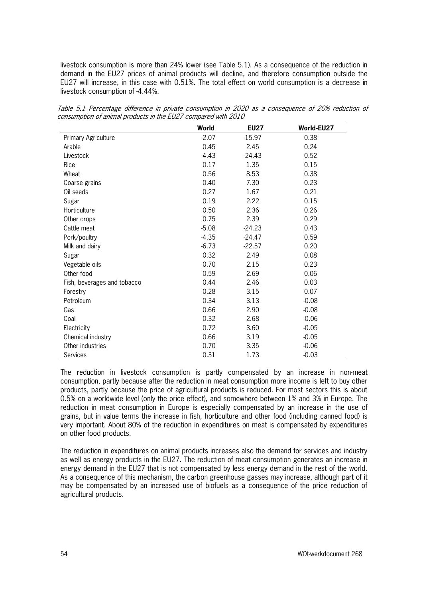livestock consumption is more than 24% lower (see Table 5.1). As a consequence of the reduction in demand in the EU27 prices of animal products will decline, and therefore consumption outside the EU27 will increase, in this case with 0.51%. The total effect on world consumption is a decrease in livestock consumption of -4.44%.

|                             | World   | <b>EU27</b> | World-EU27 |
|-----------------------------|---------|-------------|------------|
| Primary Agriculture         | $-2.07$ | $-15.97$    | 0.38       |
| Arable                      | 0.45    | 2.45        | 0.24       |
| Livestock                   | $-4.43$ | $-24.43$    | 0.52       |
| Rice                        | 0.17    | 1.35        | 0.15       |
| Wheat                       | 0.56    | 8.53        | 0.38       |
| Coarse grains               | 0.40    | 7.30        | 0.23       |
| Oil seeds                   | 0.27    | 1.67        | 0.21       |
| Sugar                       | 0.19    | 2.22        | 0.15       |
| Horticulture                | 0.50    | 2.36        | 0.26       |
| Other crops                 | 0.75    | 2.39        | 0.29       |
| Cattle meat                 | $-5.08$ | $-24.23$    | 0.43       |
| Pork/poultry                | $-4.35$ | $-24.47$    | 0.59       |
| Milk and dairy              | $-6.73$ | $-22.57$    | 0.20       |
| Sugar                       | 0.32    | 2.49        | 0.08       |
| Vegetable oils              | 0.70    | 2.15        | 0.23       |
| Other food                  | 0.59    | 2.69        | 0.06       |
| Fish, beverages and tobacco | 0.44    | 2.46        | 0.03       |
| Forestry                    | 0.28    | 3.15        | 0.07       |
| Petroleum                   | 0.34    | 3.13        | $-0.08$    |
| Gas                         | 0.66    | 2.90        | $-0.08$    |
| Coal                        | 0.32    | 2.68        | $-0.06$    |
| Electricity                 | 0.72    | 3.60        | $-0.05$    |
| Chemical industry           | 0.66    | 3.19        | $-0.05$    |
| Other industries            | 0.70    | 3.35        | $-0.06$    |
| Services                    | 0.31    | 1.73        | $-0.03$    |

Table 5.1 Percentage difference in private consumption in 2020 as a consequence of 20% reduction of consumption of animal products in the EU27 compared with 2010

The reduction in livestock consumption is partly compensated by an increase in non-meat consumption, partly because after the reduction in meat consumption more income is left to buy other products, partly because the price of agricultural products is reduced. For most sectors this is about 0.5% on a worldwide level (only the price effect), and somewhere between 1% and 3% in Europe. The reduction in meat consumption in Europe is especially compensated by an increase in the use of grains, but in value terms the increase in fish, horticulture and other food (including canned food) is very important. About 80% of the reduction in expenditures on meat is compensated by expenditures on other food products.

The reduction in expenditures on animal products increases also the demand for services and industry as well as energy products in the EU27. The reduction of meat consumption generates an increase in energy demand in the EU27 that is not compensated by less energy demand in the rest of the world. As a consequence of this mechanism, the carbon greenhouse gasses may increase, although part of it may be compensated by an increased use of biofuels as a consequence of the price reduction of agricultural products.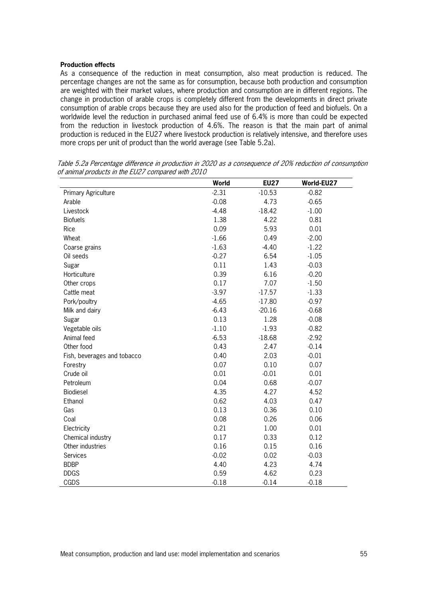#### **Production effects**

As a consequence of the reduction in meat consumption, also meat production is reduced. The percentage changes are not the same as for consumption, because both production and consumption are weighted with their market values, where production and consumption are in different regions. The change in production of arable crops is completely different from the developments in direct private consumption of arable crops because they are used also for the production of feed and biofuels. On a worldwide level the reduction in purchased animal feed use of 6.4% is more than could be expected from the reduction in livestock production of 4.6%. The reason is that the main part of animal production is reduced in the EU27 where livestock production is relatively intensive, and therefore uses more crops per unit of product than the world average (see Table 5.2a).

|                             | World   | <b>EU27</b> | World-EU27 |
|-----------------------------|---------|-------------|------------|
| Primary Agriculture         | $-2.31$ | $-10.53$    | $-0.82$    |
| Arable                      | $-0.08$ | 4.73        | $-0.65$    |
| Livestock                   | $-4.48$ | $-18.42$    | $-1.00$    |
| <b>Biofuels</b>             | 1.38    | 4.22        | 0.81       |
| Rice                        | 0.09    | 5.93        | 0.01       |
| Wheat                       | $-1.66$ | 0.49        | $-2.00$    |
| Coarse grains               | $-1.63$ | $-4.40$     | $-1.22$    |
| Oil seeds                   | $-0.27$ | 6.54        | $-1.05$    |
| Sugar                       | 0.11    | 1.43        | $-0.03$    |
| Horticulture                | 0.39    | 6.16        | $-0.20$    |
| Other crops                 | 0.17    | 7.07        | $-1.50$    |
| Cattle meat                 | $-3.97$ | $-17.57$    | $-1.33$    |
| Pork/poultry                | $-4.65$ | $-17.80$    | $-0.97$    |
| Milk and dairy              | $-6.43$ | $-20.16$    | $-0.68$    |
| Sugar                       | 0.13    | 1.28        | $-0.08$    |
| Vegetable oils              | $-1.10$ | $-1.93$     | $-0.82$    |
| Animal feed                 | $-6.53$ | $-18.68$    | $-2.92$    |
| Other food                  | 0.43    | 2.47        | $-0.14$    |
| Fish, beverages and tobacco | 0.40    | 2.03        | $-0.01$    |
| Forestry                    | 0.07    | 0.10        | 0.07       |
| Crude oil                   | 0.01    | $-0.01$     | 0.01       |
| Petroleum                   | 0.04    | 0.68        | $-0.07$    |
| Biodiesel                   | 4.35    | 4.27        | 4.52       |
| Ethanol                     | 0.62    | 4.03        | 0.47       |
| Gas                         | 0.13    | 0.36        | 0.10       |
| Coal                        | 0.08    | 0.26        | 0.06       |
| Electricity                 | 0.21    | 1.00        | 0.01       |
| Chemical industry           | 0.17    | 0.33        | 0.12       |
| Other industries            | 0.16    | 0.15        | 0.16       |
| Services                    | $-0.02$ | 0.02        | $-0.03$    |
| <b>BDBP</b>                 | 4.40    | 4.23        | 4.74       |
| <b>DDGS</b>                 | 0.59    | 4.62        | 0.23       |
| CGDS                        | $-0.18$ | $-0.14$     | $-0.18$    |

Table 5.2a Percentage difference in production in 2020 as a consequence of 20% reduction of consumption of animal products in the EU27 compared with 2010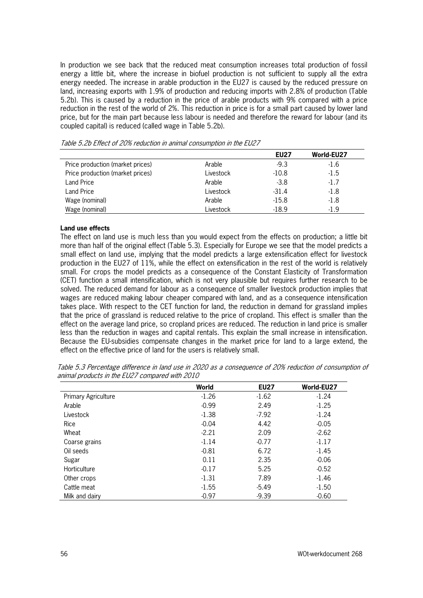In production we see back that the reduced meat consumption increases total production of fossil energy a little bit, where the increase in biofuel production is not sufficient to supply all the extra energy needed. The increase in arable production in the EU27 is caused by the reduced pressure on land, increasing exports with 1.9% of production and reducing imports with 2.8% of production (Table 5.2b). This is caused by a reduction in the price of arable products with 9% compared with a price reduction in the rest of the world of 2%. This reduction in price is for a small part caused by lower land price, but for the main part because less labour is needed and therefore the reward for labour (and its coupled capital) is reduced (called wage in Table 5.2b).

|                                  |           | <b>EU27</b> | World-EU27 |
|----------------------------------|-----------|-------------|------------|
| Price production (market prices) | Arable    | $-9.3$      | $-1.6$     |
| Price production (market prices) | Livestock | $-10.8$     | $-1.5$     |
| <b>Land Price</b>                | Arable    | $-3.8$      | $-1.7$     |
| <b>Land Price</b>                | Livestock | $-31.4$     | $-1.8$     |
| Wage (nominal)                   | Arable    | $-15.8$     | $-1.8$     |
| Wage (nominal)                   | Livestock | $-18.9$     | $-1.9$     |

Table 5.2b Effect of 20% reduction in animal consumption in the EU27

#### **Land use effects**

The effect on land use is much less than you would expect from the effects on production; a little bit more than half of the original effect (Table 5.3). Especially for Europe we see that the model predicts a small effect on land use, implying that the model predicts a large extensification effect for livestock production in the EU27 of 11%, while the effect on extensification in the rest of the world is relatively small. For crops the model predicts as a consequence of the Constant Elasticity of Transformation (CET) function a small intensification, which is not very plausible but requires further research to be solved. The reduced demand for labour as a consequence of smaller livestock production implies that wages are reduced making labour cheaper compared with land, and as a consequence intensification takes place. With respect to the CET function for land, the reduction in demand for grassland implies that the price of grassland is reduced relative to the price of cropland. This effect is smaller than the effect on the average land price, so cropland prices are reduced. The reduction in land price is smaller less than the reduction in wages and capital rentals. This explain the small increase in intensification. Because the EU-subsidies compensate changes in the market price for land to a large extend, the effect on the effective price of land for the users is relatively small.

|                            | World   | <b>EU27</b> | World-EU27 |
|----------------------------|---------|-------------|------------|
| <b>Primary Agriculture</b> | $-1.26$ | $-1.62$     | $-1.24$    |
| Arable                     | $-0.99$ | 2.49        | $-1.25$    |
| Livestock                  | $-1.38$ | $-7.92$     | $-1.24$    |
| Rice                       | $-0.04$ | 4.42        | $-0.05$    |
| Wheat                      | $-2.21$ | 2.09        | $-2.62$    |
| Coarse grains              | $-1.14$ | $-0.77$     | $-1.17$    |
| Oil seeds                  | $-0.81$ | 6.72        | $-1.45$    |
| Sugar                      | 0.11    | 2.35        | $-0.06$    |
| Horticulture               | $-0.17$ | 5.25        | $-0.52$    |
| Other crops                | $-1.31$ | 7.89        | $-1.46$    |
| Cattle meat                | $-1.55$ | $-5.49$     | $-1.50$    |
| Milk and dairy             | $-0.97$ | $-9.39$     | $-0.60$    |

Table 5.3 Percentage difference in land use in 2020 as a consequence of 20% reduction of consumption of animal products in the EU27 compared with 2010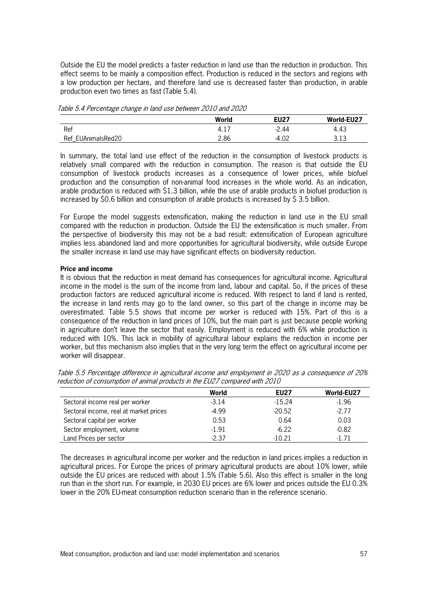Outside the EU the model predicts a faster reduction in land use than the reduction in production. This effect seems to be mainly a composition effect. Production is reduced in the sectors and regions with a low production per hectare, and therefore land use is decreased faster than production, in arable production even two times as fast (Table 5.4).

|                    | World | <b>EU27</b> | World-EU27 |
|--------------------|-------|-------------|------------|
| Ref                | 4.1.  | $-2.44$     | 4.43       |
| Ref_EUAnimalsRed20 | 2.86  | ∩∩<br>-4.0∠ | 3.13       |

Table 5.4 Percentage change in land use between 2010 and 2020

In summary, the total land use effect of the reduction in the consumption of livestock products is relatively small compared with the reduction in consumption. The reason is that outside the EU consumption of livestock products increases as a consequence of lower prices, while biofuel production and the consumption of non-animal food increases in the whole world. As an indication, arable production is reduced with \$1.3 billion, while the use of arable products in biofuel production is increased by \$0.6 billion and consumption of arable products is increased by \$ 3.5 billion.

For Europe the model suggests extensification, making the reduction in land use in the EU small compared with the reduction in production. Outside the EU the extensification is much smaller. From the perspective of biodiversity this may not be a bad result: extensification of European agriculture implies less abandoned land and more opportunities for agricultural biodiversity, while outside Europe the smaller increase in land use may have significant effects on biodiversity reduction.

#### **Price and income**

It is obvious that the reduction in meat demand has consequences for agricultural income. Agricultural income in the model is the sum of the income from land, labour and capital. So, if the prices of these production factors are reduced agricultural income is reduced. With respect to land if land is rented, the increase in land rents may go to the land owner, so this part of the change in income may be overestimated. Table 5.5 shows that income per worker is reduced with 15%. Part of this is a consequence of the reduction in land prices of 10%, but the main part is just because people working in agriculture don't leave the sector that easily. Employment is reduced with 6% while production is reduced with 10%. This lack in mobility of agricultural labour explains the reduction in income per worker, but this mechanism also implies that in the very long term the effect on agricultural income per worker will disappear.

|                                        | World   | <b>EU27</b> | World-EU27 |
|----------------------------------------|---------|-------------|------------|
| Sectoral income real per worker        | $-3.14$ | $-15.24$    | -1.96      |
| Sectoral income, real at market prices | $-4.99$ | $-20.52$    | $-2.77$    |
| Sectoral capital per worker            | 0.53    | 0.64        | 0.03       |
| Sector employment, volume              | $-1.91$ | $-6.22$     | $-0.82$    |
| Land Prices per sector                 | -2.37   | $-10.21$    | -1 71      |

Table 5.5 Percentage difference in agricultural income and employment in 2020 as a consequence of 20% reduction of consumption of animal products in the EU27 compared with 2010

The decreases in agricultural income per worker and the reduction in land prices implies a reduction in agricultural prices. For Europe the prices of primary agricultural products are about 10% lower, while outside the EU prices are reduced with about 1.5% (Table 5.6). Also this effect is smaller in the long run than in the short run. For example, in 2030 EU prices are 6% lower and prices outside the EU 0.3% lower in the 20% EU-meat consumption reduction scenario than in the reference scenario.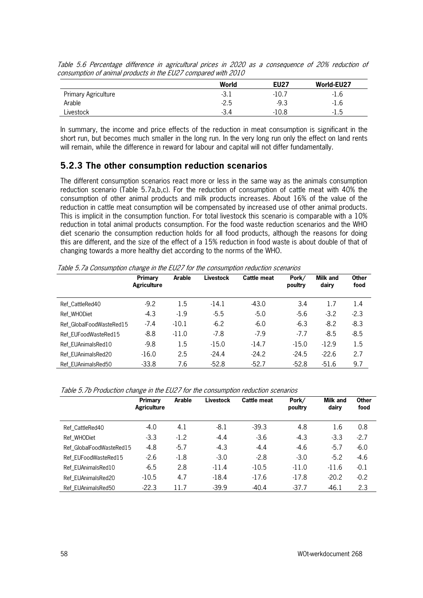|                            | World  | <b>EU27</b> | World-EU27 |
|----------------------------|--------|-------------|------------|
| <b>Primary Agriculture</b> | $-3.1$ | $-10.7$     | -1.6       |
| Arable                     | $-2.5$ | $-9.3$      | $-1.6$     |
| Livestock                  | $-3.4$ | -10.8       | -1.5       |

Table 5.6 Percentage difference in agricultural prices in 2020 as a consequence of 20% reduction of consumption of animal products in the EU27 compared with 2010

In summary, the income and price effects of the reduction in meat consumption is significant in the short run, but becomes much smaller in the long run. In the very long run only the effect on land rents will remain, while the difference in reward for labour and capital will not differ fundamentally.

## **5.2.3 The other consumption reduction scenarios**

The different consumption scenarios react more or less in the same way as the animals consumption reduction scenario (Table 5.7a,b,c). For the reduction of consumption of cattle meat with 40% the consumption of other animal products and milk products increases. About 16% of the value of the reduction in cattle meat consumption will be compensated by increased use of other animal products. This is implicit in the consumption function. For total livestock this scenario is comparable with a 10% reduction in total animal products consumption. For the food waste reduction scenarios and the WHO diet scenario the consumption reduction holds for all food products, although the reasons for doing this are different, and the size of the effect of a 15% reduction in food waste is about double of that of changing towards a more healthy diet according to the norms of the WHO.

Table 5.7a Consumption change in the EU27 for the consumption reduction scenarios

|                          | Primary<br><b>Agriculture</b> | Arable  | <b>Livestock</b> | <b>Cattle meat</b> | Pork/<br>poultry | <b>Milk and</b><br>dairy | <b>Other</b><br>food |
|--------------------------|-------------------------------|---------|------------------|--------------------|------------------|--------------------------|----------------------|
| Ref CattleRed40          | $-9.2$                        | 1.5     | $-14.1$          | $-43.0$            | 3.4              | 1.7                      | 1.4                  |
| Ref WHODiet              | $-4.3$                        | $-1.9$  | $-5.5$           | $-5.0$             | $-5.6$           | $-3.2$                   | $-2.3$               |
| Ref GlobalFoodWasteRed15 | $-7.4$                        | $-10.1$ | $-6.2$           | $-6.0$             | $-6.3$           | $-8.2$                   | $-8.3$               |
| Ref EUFoodWasteRed15     | $-8.8$                        | $-11.0$ | $-7.8$           | $-7.9$             | $-7.7$           | $-8.5$                   | $-8.5$               |
| Ref EUAnimalsRed10       | $-9.8$                        | 1.5     | $-15.0$          | $-14.7$            | $-15.0$          | $-12.9$                  | 1.5                  |
| Ref EUAnimalsRed20       | $-16.0$                       | 2.5     | $-24.4$          | $-24.2$            | $-24.5$          | $-22.6$                  | 2.7                  |
| Ref EUAnimalsRed50       | $-33.8$                       | 7.6     | $-52.8$          | $-52.7$            | $-52.8$          | $-51.6$                  | 9.7                  |

Table 5.7b Production change in the EU27 for the consumption reduction scenarios

|                          | Primary<br><b>Agriculture</b> | Arable | <b>Livestock</b> | Cattle meat | Pork/<br>poultry | <b>Milk and</b><br>dairy | <b>Other</b><br>food |
|--------------------------|-------------------------------|--------|------------------|-------------|------------------|--------------------------|----------------------|
| Ref CattleRed40          | $-4.0$                        | 4.1    | -8.1             | $-39.3$     | 4.8              | 1.6                      | 0.8                  |
| Ref WHODiet              | $-3.3$                        | $-1.2$ | $-4.4$           | $-3.6$      | $-4.3$           | $-3.3$                   | $-2.7$               |
| Ref GlobalFoodWasteRed15 | -4.8                          | $-5.7$ | $-4.3$           | $-4.4$      | $-4.6$           | $-5.7$                   | $-6.0$               |
| Ref EUFoodWasteRed15     | $-2.6$                        | $-1.8$ | $-3.0$           | $-2.8$      | $-3.0$           | $-5.2$                   | $-4.6$               |
| Ref EUAnimalsRed10       | $-6.5$                        | 2.8    | $-11.4$          | $-10.5$     | $-11.0$          | $-11.6$                  | $-0.1$               |
| Ref EUAnimalsRed20       | $-10.5$                       | 4.7    | $-18.4$          | $-17.6$     | $-17.8$          | $-20.2$                  | $-0.2$               |
| Ref EUAnimalsRed50       | $-22.3$                       | 11.7   | $-39.9$          | $-40.4$     | $-37.7$          | $-46.1$                  | 2.3                  |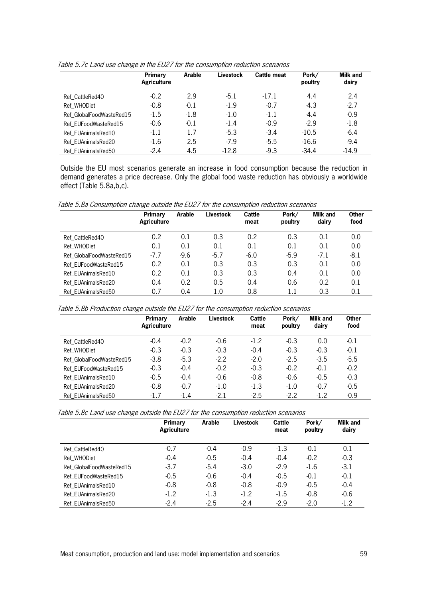|                          | Primary<br><b>Agriculture</b> | Arable | <b>Livestock</b> | <b>Cattle meat</b> | Pork/<br>poultry | <b>Milk and</b><br>dairy |
|--------------------------|-------------------------------|--------|------------------|--------------------|------------------|--------------------------|
| Ref CattleRed40          | $-0.2$                        | 2.9    | $-5.1$           | $-17.1$            | 4.4              | 2.4                      |
| Ref WHODiet              | $-0.8$                        | $-0.1$ | $-1.9$           | $-0.7$             | $-4.3$           | $-2.7$                   |
| Ref GlobalFoodWasteRed15 | $-1.5$                        | $-1.8$ | $-1.0$           | $-1.1$             | $-4.4$           | $-0.9$                   |
| Ref EUFoodWasteRed15     | $-0.6$                        | $-0.1$ | $-1.4$           | $-0.9$             | $-2.9$           | $-1.8$                   |
| Ref EUAnimalsRed10       | $-1.1$                        | 1.7    | $-5.3$           | $-3.4$             | $-10.5$          | $-6.4$                   |
| Ref EUAnimalsRed20       | $-1.6$                        | 2.5    | $-7.9$           | $-5.5$             | $-16.6$          | $-9.4$                   |
| Ref EUAnimalsRed50       | $-2.4$                        | 4.5    | $-12.8$          | $-9.3$             | $-34.4$          | $-14.9$                  |

Table 5.7c Land use change in the EU27 for the consumption reduction scenarios

Outside the EU most scenarios generate an increase in food consumption because the reduction in demand generates a price decrease. Only the global food waste reduction has obviously a worldwide effect (Table 5.8a,b,c).

Table 5.8a Consumption change outside the EU27 for the consumption reduction scenarios

|                          | Primary<br><b>Agriculture</b> | Arable | Livestock | Cattle<br>meat | Pork/<br>poultry | <b>Milk and</b><br>dairy | <b>Other</b><br>food |
|--------------------------|-------------------------------|--------|-----------|----------------|------------------|--------------------------|----------------------|
| Ref CattleRed40          | 0.2                           | 0.1    | 0.3       | 0.2            | 0.3              | 0.1                      | 0.0                  |
| Ref WHODiet              | 0.1                           | 0.1    | 0.1       | 0.1            | 0.1              | 0.1                      | 0.0                  |
| Ref GlobalFoodWasteRed15 | $-7.7$                        | $-9.6$ | $-5.7$    | $-6.0$         | $-5.9$           | $-7.1$                   | $-8.1$               |
| Ref EUFoodWasteRed15     | 0.2                           | 0.1    | 0.3       | 0.3            | 0.3              | 0.1                      | 0.0                  |
| Ref EUAnimalsRed10       | 0.2                           | 0.1    | 0.3       | 0.3            | 0.4              | 0.1                      | 0.0                  |
| Ref EUAnimalsRed20       | 0.4                           | 0.2    | 0.5       | 0.4            | 0.6              | 0.2                      | 0.1                  |
| Ref EUAnimalsRed50       | 0.7                           | 0.4    | 1.0       | 0.8            | 1.1              | 0.3                      | 0.1                  |

| Table 5.8b Production change outside the EU27 for the consumption reduction scenarios |  |  |  |  |  |  |
|---------------------------------------------------------------------------------------|--|--|--|--|--|--|
|---------------------------------------------------------------------------------------|--|--|--|--|--|--|

|                          | Primary<br><b>Agriculture</b> | Arable | <b>Livestock</b> | Cattle<br>meat | Pork/<br>poultry | <b>Milk and</b><br>dairy | <b>Other</b><br>food |
|--------------------------|-------------------------------|--------|------------------|----------------|------------------|--------------------------|----------------------|
| Ref CattleRed40          | $-0.4$                        | $-0.2$ | $-0.6$           | $-1.2$         | $-0.3$           | 0.0                      | $-0.1$               |
| Ref WHODiet              | $-0.3$                        | $-0.3$ | $-0.3$           | $-0.4$         | $-0.3$           | $-0.3$                   | $-0.1$               |
| Ref GlobalFoodWasteRed15 | $-3.8$                        | $-5.3$ | $-2.2$           | $-2.0$         | $-2.5$           | $-3.5$                   | $-5.5$               |
| Ref EUFoodWasteRed15     | $-0.3$                        | $-0.4$ | $-0.2$           | $-0.3$         | $-0.2$           | $-0.1$                   | $-0.2$               |
| Ref EUAnimalsRed10       | $-0.5$                        | $-0.4$ | $-0.6$           | $-0.8$         | $-0.6$           | $-0.5$                   | $-0.3$               |
| Ref EUAnimalsRed20       | $-0.8$                        | $-0.7$ | $-1.0$           | $-1.3$         | $-1.0$           | $-0.7$                   | $-0.5$               |
| Ref EUAnimalsRed50       | $-1.7$                        | $-1.4$ | $-2.1$           | $-2.5$         | $-2.2$           | $-1.2$                   | $-0.9$               |

Table 5.8c Land use change outside the EU27 for the consumption reduction scenarios

|                          | <b>Primary</b><br><b>Agriculture</b> | Arable | <b>Livestock</b> | Cattle<br>meat | Pork/<br>poultry | <b>Milk and</b><br>dairy |
|--------------------------|--------------------------------------|--------|------------------|----------------|------------------|--------------------------|
| Ref CattleRed40          | $-0.7$                               | $-0.4$ | $-0.9$           | $-1.3$         | $-0.1$           | 0.1                      |
| Ref WHODiet              | $-0.4$                               | $-0.5$ | $-0.4$           | $-0.4$         | $-0.2$           | $-0.3$                   |
| Ref GlobalFoodWasteRed15 | $-3.7$                               | $-5.4$ | $-3.0$           | $-2.9$         | $-1.6$           | $-3.1$                   |
| Ref EUFoodWasteRed15     | $-0.5$                               | $-0.6$ | $-0.4$           | $-0.5$         | $-0.1$           | $-0.1$                   |
| Ref EUAnimalsRed10       | $-0.8$                               | $-0.8$ | $-0.8$           | $-0.9$         | $-0.5$           | $-0.4$                   |
| Ref EUAnimalsRed20       | $-1.2$                               | $-1.3$ | $-1.2$           | $-1.5$         | $-0.8$           | $-0.6$                   |
| Ref EUAnimalsRed50       | $-2.4$                               | $-2.5$ | $-2.4$           | $-2.9$         | $-2.0$           | $-1.2$                   |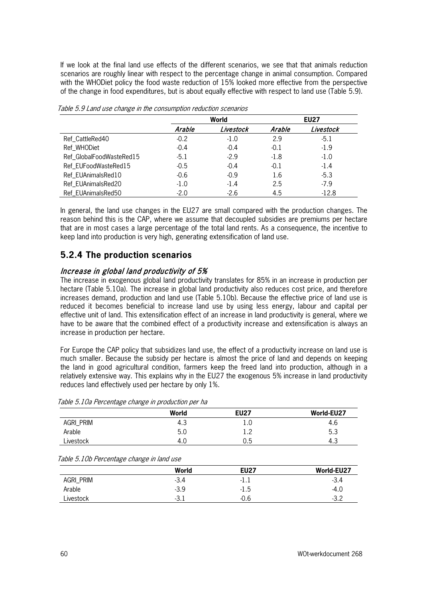If we look at the final land use effects of the different scenarios, we see that that animals reduction scenarios are roughly linear with respect to the percentage change in animal consumption. Compared with the WHODiet policy the food waste reduction of 15% looked more effective from the perspective of the change in food expenditures, but is about equally effective with respect to land use (Table 5.9).

|                          | World  |           | <b>EU27</b> |           |
|--------------------------|--------|-----------|-------------|-----------|
|                          | Arable | Livestock | Arable      | Livestock |
| Ref_CattleRed40          | $-0.2$ | $-1.0$    | 2.9         | $-5.1$    |
| Ref WHODiet              | $-0.4$ | $-0.4$    | $-0.1$      | $-1.9$    |
| Ref_GlobalFoodWasteRed15 | $-5.1$ | $-2.9$    | $-1.8$      | $-1.0$    |
| Ref_EUFoodWasteRed15     | $-0.5$ | $-0.4$    | $-0.1$      | $-1.4$    |
| Ref_EUAnimalsRed10       | $-0.6$ | $-0.9$    | 1.6         | $-5.3$    |
| Ref_EUAnimalsRed20       | $-1.0$ | $-1.4$    | 2.5         | $-7.9$    |
| Ref EUAnimalsRed50       | $-2.0$ | $-2.6$    | 4.5         | $-12.8$   |

Table 5.9 Land use change in the consumption reduction scenarios

In general, the land use changes in the EU27 are small compared with the production changes. The reason behind this is the CAP, where we assume that decoupled subsidies are premiums per hectare that are in most cases a large percentage of the total land rents. As a consequence, the incentive to keep land into production is very high, generating extensification of land use.

## **5.2.4 The production scenarios**

### Increase in global land productivity of 5%

The increase in exogenous global land productivity translates for 85% in an increase in production per hectare (Table 5.10a). The increase in global land productivity also reduces cost price, and therefore increases demand, production and land use (Table 5.10b). Because the effective price of land use is reduced it becomes beneficial to increase land use by using less energy, labour and capital per effective unit of land. This extensification effect of an increase in land productivity is general, where we have to be aware that the combined effect of a productivity increase and extensification is always an increase in production per hectare.

For Europe the CAP policy that subsidizes land use, the effect of a productivity increase on land use is much smaller. Because the subsidy per hectare is almost the price of land and depends on keeping the land in good agricultural condition, farmers keep the freed land into production, although in a relatively extensive way. This explains why in the EU27 the exogenous 5% increase in land productivity reduces land effectively used per hectare by only 1%.

|           | World | <b>EU27</b>   | World-EU27 |
|-----------|-------|---------------|------------|
| AGRI_PRIM | 4.3   | 1.U           | 4.6        |
| Arable    | 5.0   | $\sim$<br>1.L | 5.3        |
| Livestock | 4.C   | 0.5           | - 4.ప      |

| Table 5.10b Percentage change in land use |  |  |  |  |  |
|-------------------------------------------|--|--|--|--|--|
|-------------------------------------------|--|--|--|--|--|

|           | World  | <b>EU27</b> | World-EU27 |
|-----------|--------|-------------|------------|
| AGRI_PRIM | $-3.4$ | -1.1        | $-3.4$     |
| Arable    | $-3.9$ | $-1.5$      | -4.0       |
| Livestock | $-3.1$ | $-0.6$      | $-3.2$     |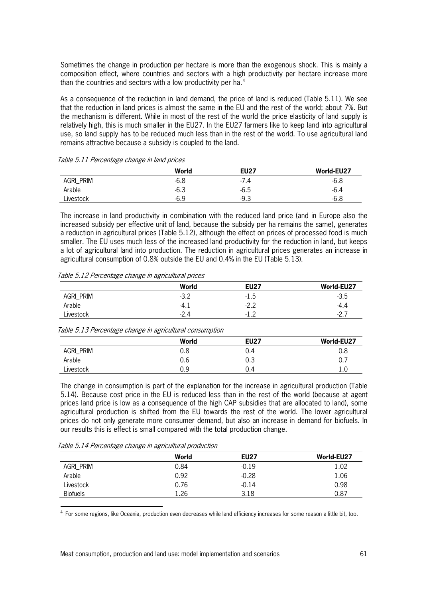Sometimes the change in production per hectare is more than the exogenous shock. This is mainly a composition effect, where countries and sectors with a high productivity per hectare increase more than the countries and sectors with a low productivity per ha.<sup>[4](#page-62-0)</sup>

As a consequence of the reduction in land demand, the price of land is reduced (Table 5.11). We see that the reduction in land prices is almost the same in the EU and the rest of the world; about 7%. But the mechanism is different. While in most of the rest of the world the price elasticity of land supply is relatively high, this is much smaller in the EU27. In the EU27 farmers like to keep land into agricultural use, so land supply has to be reduced much less than in the rest of the world. To use agricultural land remains attractive because a subsidy is coupled to the land.

|           | World  | <b>EU27</b> | World-EU27 |
|-----------|--------|-------------|------------|
| Agri_prim | $-6.8$ | $-7.4$      | $-6.8$     |
| Arable    | $-6.3$ | $-6.5$      | $-6.4$     |
| Livestock | $-6.9$ | $-9.3$      | $-6.8$     |

Table 5.11 Percentage change in land prices

The increase in land productivity in combination with the reduced land price (and in Europe also the increased subsidy per effective unit of land, because the subsidy per ha remains the same), generates a reduction in agricultural prices (Table 5.12), although the effect on prices of processed food is much smaller. The EU uses much less of the increased land productivity for the reduction in land, but keeps a lot of agricultural land into production. The reduction in agricultural prices generates an increase in agricultural consumption of 0.8% outside the EU and 0.4% in the EU (Table 5.13).

| Table 5.12 Percentage change in agricultural prices |  |  |  |  |  |  |
|-----------------------------------------------------|--|--|--|--|--|--|
|-----------------------------------------------------|--|--|--|--|--|--|

|           | World  | <b>EU27</b> | World-EU27 |
|-----------|--------|-------------|------------|
| AGRI_PRIM | $-3.2$ | -1.5        | $-3.5$     |
| Arable    | $-4.1$ | $-2.2$      | -4.4       |
| Livestock | $-2.4$ | - 1         | $-2.7$     |

Table 5.13 Percentage change in agricultural consumption

|           | World      | <b>EU27</b> | World-EU27 |
|-----------|------------|-------------|------------|
| AGRI_PRIM | 0.8        | 0.4         | 0.8        |
| Arable    | 0.6        | 0.3         | 0.7        |
| Livestock | n a<br>◡.◡ | 0.4         | 1.U        |

The change in consumption is part of the explanation for the increase in agricultural production (Table 5.14). Because cost price in the EU is reduced less than in the rest of the world (because at agent prices land price is low as a consequence of the high CAP subsidies that are allocated to land), some agricultural production is shifted from the EU towards the rest of the world. The lower agricultural prices do not only generate more consumer demand, but also an increase in demand for biofuels. In our results this is effect is small compared with the total production change.

| Table 5.14 Percentage change in agricultural production |  |  |  |
|---------------------------------------------------------|--|--|--|
|---------------------------------------------------------|--|--|--|

|                 | World | <b>EU27</b> | World-EU27 |
|-----------------|-------|-------------|------------|
| AGRI_PRIM       | 0.84  | $-0.19$     | 1.02       |
| Arable          | 0.92  | $-0.28$     | 1.06       |
| Livestock       | 0.76  | $-0.14$     | 0.98       |
| <b>Biofuels</b> | 1.26  | 3.18        | 0.87       |

<span id="page-62-0"></span><sup>4</sup> For some regions, like Oceania, production even decreases while land efficiency increases for some reason a little bit, too.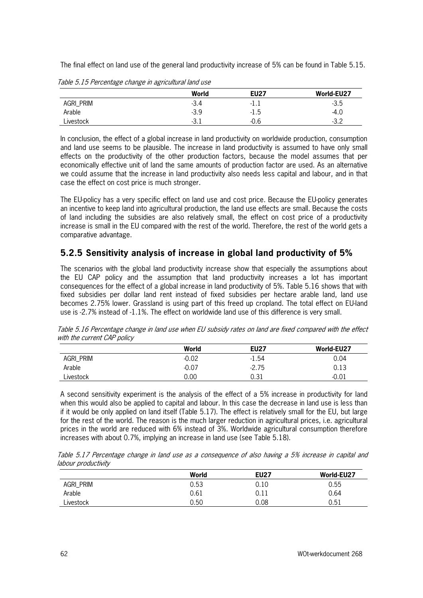The final effect on land use of the general land productivity increase of 5% can be found in Table 5.15.

|           | World  | <b>EU27</b> | World-EU27  |
|-----------|--------|-------------|-------------|
| Agri_prim | $-3.4$ | -1.1        | $-3.5$      |
| Arable    | $-3.9$ | $-1.5$      | -4.U        |
| Livestock | $-3.1$ | $-0.6$      | າ າ<br>ے.כ- |

Table 5.15 Percentage change in agricultural land use

In conclusion, the effect of a global increase in land productivity on worldwide production, consumption and land use seems to be plausible. The increase in land productivity is assumed to have only small effects on the productivity of the other production factors, because the model assumes that per economically effective unit of land the same amounts of production factor are used. As an alternative we could assume that the increase in land productivity also needs less capital and labour, and in that case the effect on cost price is much stronger.

The EU-policy has a very specific effect on land use and cost price. Because the EU-policy generates an incentive to keep land into agricultural production, the land use effects are small. Because the costs of land including the subsidies are also relatively small, the effect on cost price of a productivity increase is small in the EU compared with the rest of the world. Therefore, the rest of the world gets a comparative advantage.

## **5.2.5 Sensitivity analysis of increase in global land productivity of 5%**

The scenarios with the global land productivity increase show that especially the assumptions about the EU CAP policy and the assumption that land productivity increases a lot has important consequences for the effect of a global increase in land productivity of 5%. Table 5.16 shows that with fixed subsidies per dollar land rent instead of fixed subsidies per hectare arable land, land use becomes 2.75% lower. Grassland is using part of this freed up cropland. The total effect on EU-land use is -2.7% instead of -1.1%. The effect on worldwide land use of this difference is very small.

|           | World   | <b>EU27</b> | World-EU27 |
|-----------|---------|-------------|------------|
| AGRI_PRIM | $-0.02$ | $-1.54$     | 0.04       |
| Arable    | $-0.07$ | $-2.75$     | 0.13       |
| Livestock | 0.00    | 0.31        | $-0.01$    |

Table 5.16 Percentage change in land use when EU subsidy rates on land are fixed compared with the effect with the current CAP policy

A second sensitivity experiment is the analysis of the effect of a 5% increase in productivity for land when this would also be applied to capital and labour. In this case the decrease in land use is less than if it would be only applied on land itself (Table 5.17). The effect is relatively small for the EU, but large for the rest of the world. The reason is the much larger reduction in agricultural prices, i.e. agricultural prices in the world are reduced with 6% instead of 3%. Worldwide agricultural consumption therefore increases with about 0.7%, implying an increase in land use (see Table 5.18).

Table 5.17 Percentage change in land use as a consequence of also having a 5% increase in capital and labour productivity

|           | World | <b>EU27</b> | World-EU27 |
|-----------|-------|-------------|------------|
| AGRI_PRIM | 0.53  | 0.10        | 0.55       |
| Arable    | 0.61  | 0.11        | 0.64       |
| Livestock | 0.50  | 0.08        | 0.51       |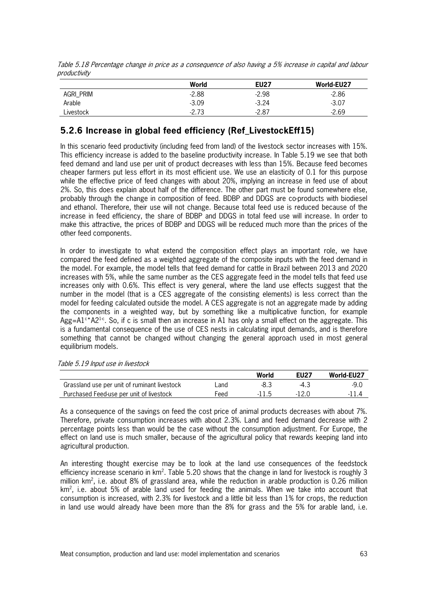|           | World   | <b>EU27</b> | World-EU27 |
|-----------|---------|-------------|------------|
| AGRI_PRIM | $-2.88$ | $-2.98$     | $-2.86$    |
| Arable    | $-3.09$ | $-3.24$     | $-3.07$    |
| Livestock | $-2.73$ | $-2.87$     | $-2.69$    |

Table 5.18 Percentage change in price as a consequence of also having a 5% increase in capital and labour productivity

# **5.2.6 Increase in global feed efficiency (Ref\_LivestockEff15)**

In this scenario feed productivity (including feed from land) of the livestock sector increases with 15%. This efficiency increase is added to the baseline productivity increase. In Table 5.19 we see that both feed demand and land use per unit of product decreases with less than 15%. Because feed becomes cheaper farmers put less effort in its most efficient use. We use an elasticity of 0.1 for this purpose while the effective price of feed changes with about 20%, implying an increase in feed use of about 2%. So, this does explain about half of the difference. The other part must be found somewhere else, probably through the change in composition of feed. BDBP and DDGS are co-products with biodiesel and ethanol. Therefore, their use will not change. Because total feed use is reduced because of the increase in feed efficiency, the share of BDBP and DDGS in total feed use will increase. In order to make this attractive, the prices of BDBP and DDGS will be reduced much more than the prices of the other feed components.

In order to investigate to what extend the composition effect plays an important role, we have compared the feed defined as a weighted aggregate of the composite inputs with the feed demand in the model. For example, the model tells that feed demand for cattle in Brazil between 2013 and 2020 increases with 5%, while the same number as the CES aggregate feed in the model tells that feed use increases only with 0.6%. This effect is very general, where the land use effects suggest that the number in the model (that is a CES aggregate of the consisting elements) is less correct than the model for feeding calculated outside the model. A CES aggregate is not an aggregate made by adding the components in a weighted way, but by something like a multiplicative function, for example Agg=A1<sup>c\*</sup>A2<sup>1-c</sup>. So, if c is small then an increase in A1 has only a small effect on the aggregate. This is a fundamental consequence of the use of CES nests in calculating input demands, and is therefore something that cannot be changed without changing the general approach used in most general equilibrium models.

|                                              |      | World | EU27   | World-EU27 |
|----------------------------------------------|------|-------|--------|------------|
| Grassland use per unit of ruminant livestock | _and |       | $-4.3$ | -9.C       |
| Purchased Feed-use per unit of livestock     | Feed | -11.5 |        |            |

As a consequence of the savings on feed the cost price of animal products decreases with about 7%. Therefore, private consumption increases with about 2.3%. Land and feed demand decrease with 2 percentage points less than would be the case without the consumption adjustment. For Europe, the effect on land use is much smaller, because of the agricultural policy that rewards keeping land into agricultural production.

An interesting thought exercise may be to look at the land use consequences of the feedstock efficiency increase scenario in  $km^2$ . Table 5.20 shows that the change in land for livestock is roughly 3 million km2 , i.e. about 8% of grassland area, while the reduction in arable production is 0.26 million  $km<sup>2</sup>$ , i.e. about 5% of arable land used for feeding the animals. When we take into account that consumption is increased, with 2.3% for livestock and a little bit less than 1% for crops, the reduction in land use would already have been more than the 8% for grass and the 5% for arable land, i.e.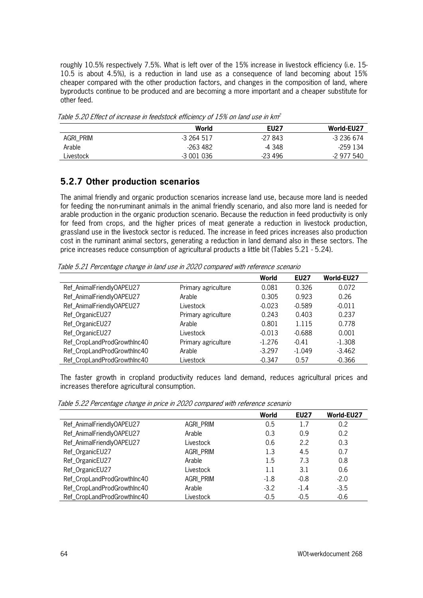roughly 10.5% respectively 7.5%. What is left over of the 15% increase in livestock efficiency (i.e. 15- 10.5 is about 4.5%), is a reduction in land use as a consequence of land becoming about 15% cheaper compared with the other production factors, and changes in the composition of land, where byproducts continue to be produced and are becoming a more important and a cheaper substitute for other feed.

|           | World      | <b>EU27</b> | World-EU27 |
|-----------|------------|-------------|------------|
| AGRI_PRIM | -3 264 517 | -27 843     | -3 236 674 |
| Arable    | -263 482   | -4 348      | -259 134   |
| Livestock | -3 001 036 | $-23496$    | -2 977 540 |

Table 5.20 Effect of increase in feedstock efficiency of 15% on land use in km2

## **5.2.7 Other production scenarios**

The animal friendly and organic production scenarios increase land use, because more land is needed for feeding the non-ruminant animals in the animal friendly scenario, and also more land is needed for arable production in the organic production scenario. Because the reduction in feed productivity is only for feed from crops, and the higher prices of meat generate a reduction in livestock production, grassland use in the livestock sector is reduced. The increase in feed prices increases also production cost in the ruminant animal sectors, generating a reduction in land demand also in these sectors. The price increases reduce consumption of agricultural products a little bit (Tables 5.21 - 5.24).

Table 5.21 Percentage change in land use in 2020 compared with reference scenario

|                             |                     | World    | <b>EU27</b> | World-EU27 |
|-----------------------------|---------------------|----------|-------------|------------|
| Ref_AnimalFriendlyOAPEU27   | Primary agriculture | 0.081    | 0.326       | 0.072      |
| Ref_AnimalFriendlyOAPEU27   | Arable              | 0.305    | 0.923       | 0.26       |
| Ref_AnimalFriendlyOAPEU27   | Livestock           | $-0.023$ | $-0.589$    | $-0.011$   |
| Ref_OrganicEU27             | Primary agriculture | 0.243    | 0.403       | 0.237      |
| Ref_OrganicEU27             | Arable              | 0.801    | 1.115       | 0.778      |
| Ref_OrganicEU27             | Livestock           | $-0.013$ | $-0.688$    | 0.001      |
| Ref_CropLandProdGrowthInc40 | Primary agriculture | $-1.276$ | $-0.41$     | $-1.308$   |
| Ref_CropLandProdGrowthInc40 | Arable              | $-3.297$ | $-1.049$    | $-3.462$   |
| Ref_CropLandProdGrowthInc40 | Livestock           | $-0.347$ | 0.57        | $-0.366$   |

The faster growth in cropland productivity reduces land demand, reduces agricultural prices and increases therefore agricultural consumption.

| Table 5.22 Percentage change in price in 2020 compared with reference scenario |  |  |
|--------------------------------------------------------------------------------|--|--|
|                                                                                |  |  |

|                             |           | World  | <b>EU27</b> | World-EU27 |
|-----------------------------|-----------|--------|-------------|------------|
| Ref_AnimalFriendlyOAPEU27   | AGRI_PRIM | 0.5    | 1.7         | 0.2        |
| Ref_AnimalFriendlyOAPEU27   | Arable    | 0.3    | 0.9         | 0.2        |
| Ref_AnimalFriendlyOAPEU27   | Livestock | 0.6    | 2.2         | 0.3        |
| Ref_OrganicEU27             | AGRI_PRIM | 1.3    | 4.5         | 0.7        |
| Ref_OrganicEU27             | Arable    | 1.5    | 7.3         | 0.8        |
| Ref_OrganicEU27             | Livestock | 1.1    | 3.1         | 0.6        |
| Ref_CropLandProdGrowthInc40 | AGRI_PRIM | $-1.8$ | $-0.8$      | $-2.0$     |
| Ref_CropLandProdGrowthInc40 | Arable    | $-3.2$ | $-1.4$      | $-3.5$     |
| Ref_CropLandProdGrowthInc40 | Livestock | $-0.5$ | $-0.5$      | $-0.6$     |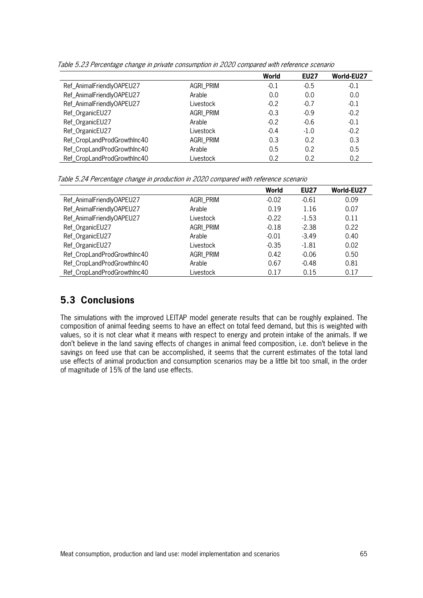|                             |           | World  | <b>EU27</b> | World-EU27 |
|-----------------------------|-----------|--------|-------------|------------|
| Ref_AnimalFriendlyOAPEU27   | AGRI_PRIM | $-0.1$ | $-0.5$      | $-0.1$     |
| Ref_AnimalFriendlyOAPEU27   | Arable    | 0.0    | 0.0         | 0.0        |
| Ref_AnimalFriendlyOAPEU27   | Livestock | $-0.2$ | $-0.7$      | $-0.1$     |
| Ref_OrganicEU27             | AGRI_PRIM | $-0.3$ | $-0.9$      | $-0.2$     |
| Ref_OrganicEU27             | Arable    | $-0.2$ | $-0.6$      | $-0.1$     |
| Ref_OrganicEU27             | Livestock | $-0.4$ | $-1.0$      | $-0.2$     |
| Ref_CropLandProdGrowthInc40 | AGRI_PRIM | 0.3    | 0.2         | 0.3        |
| Ref_CropLandProdGrowthInc40 | Arable    | 0.5    | 0.2         | 0.5        |
| Ref_CropLandProdGrowthInc40 | Livestock | 0.2    | 0.2         | 0.2        |

Table 5.23 Percentage change in private consumption in 2020 compared with reference scenario

Table 5.24 Percentage change in production in 2020 compared with reference scenario

|                             |           | World   | <b>EU27</b> | World-EU27 |
|-----------------------------|-----------|---------|-------------|------------|
| Ref_AnimalFriendlyOAPEU27   | AGRI PRIM | $-0.02$ | $-0.61$     | 0.09       |
| Ref_AnimalFriendlyOAPEU27   | Arable    | 0.19    | 1.16        | 0.07       |
| Ref_AnimalFriendlyOAPEU27   | Livestock | $-0.22$ | $-1.53$     | 0.11       |
| Ref_OrganicEU27             | AGRI_PRIM | $-0.18$ | $-2.38$     | 0.22       |
| Ref_OrganicEU27             | Arable    | $-0.01$ | $-3.49$     | 0.40       |
| Ref_OrganicEU27             | Livestock | $-0.35$ | $-1.81$     | 0.02       |
| Ref_CropLandProdGrowthInc40 | AGRI_PRIM | 0.42    | $-0.06$     | 0.50       |
| Ref_CropLandProdGrowthInc40 | Arable    | 0.67    | $-0.48$     | 0.81       |
| Ref_CropLandProdGrowthInc40 | Livestock | 0.17    | 0.15        | 0.17       |

# **5.3 Conclusions**

The simulations with the improved LEITAP model generate results that can be roughly explained. The composition of animal feeding seems to have an effect on total feed demand, but this is weighted with values, so it is not clear what it means with respect to energy and protein intake of the animals. If we don't believe in the land saving effects of changes in animal feed composition, i.e. don't believe in the savings on feed use that can be accomplished, it seems that the current estimates of the total land use effects of animal production and consumption scenarios may be a little bit too small, in the order of magnitude of 15% of the land use effects.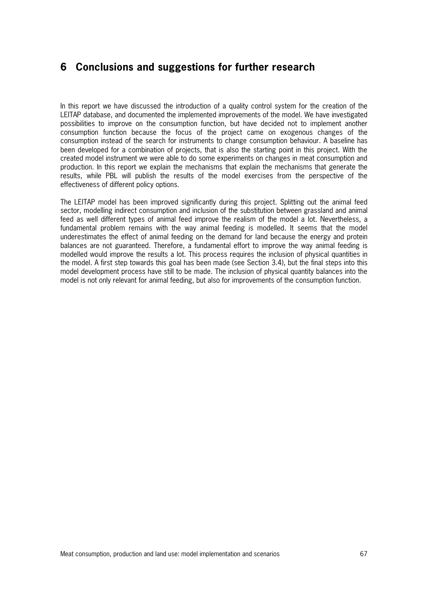# **6 Conclusions and suggestions for further research**

In this report we have discussed the introduction of a quality control system for the creation of the LEITAP database, and documented the implemented improvements of the model. We have investigated possibilities to improve on the consumption function, but have decided not to implement another consumption function because the focus of the project came on exogenous changes of the consumption instead of the search for instruments to change consumption behaviour. A baseline has been developed for a combination of projects, that is also the starting point in this project. With the created model instrument we were able to do some experiments on changes in meat consumption and production. In this report we explain the mechanisms that explain the mechanisms that generate the results, while PBL will publish the results of the model exercises from the perspective of the effectiveness of different policy options.

The LEITAP model has been improved significantly during this project. Splitting out the animal feed sector, modelling indirect consumption and inclusion of the substitution between grassland and animal feed as well different types of animal feed improve the realism of the model a lot. Nevertheless, a fundamental problem remains with the way animal feeding is modelled. It seems that the model underestimates the effect of animal feeding on the demand for land because the energy and protein balances are not guaranteed. Therefore, a fundamental effort to improve the way animal feeding is modelled would improve the results a lot. This process requires the inclusion of physical quantities in the model. A first step towards this goal has been made (see Section 3.4), but the final steps into this model development process have still to be made. The inclusion of physical quantity balances into the model is not only relevant for animal feeding, but also for improvements of the consumption function.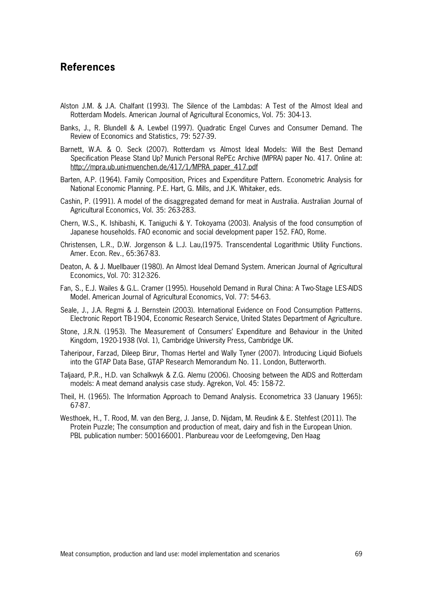## **References**

- Alston J.M. & J.A. Chalfant (1993). The Silence of the Lambdas: A Test of the Almost Ideal and Rotterdam Models. American Journal of Agricultural Economics, Vol. 75: 304-13.
- Banks, J., R. Blundell & A. Lewbel (1997). Quadratic Engel Curves and Consumer Demand. The Review of Economics and Statistics, 79: 527-39.
- Barnett, W.A. & O. Seck (2007). Rotterdam vs Almost Ideal Models: Will the Best Demand Specification Please Stand Up? Munich Personal RePEc Archive (MPRA) paper No. 417. Online at: [http://mpra.ub.uni-muenchen.de/417/1/MPRA\\_paper\\_417.pdf](http://mpra.ub.uni-muenchen.de/417/1/MPRA_paper_417.pdf)
- Barten, A.P. (1964). Family Composition, Prices and Expenditure Pattern. Econometric Analysis for National Economic Planning. P.E. Hart, G. Mills, and J.K. Whitaker, eds.
- Cashin, P. (1991). A model of the disaggregated demand for meat in Australia. Australian Journal of Agricultural Economics, Vol. 35: 263-283.
- Chern, W.S., K. Ishibashi, K. Taniguchi & Y. Tokoyama (2003). Analysis of the food consumption of Japanese households. FAO economic and social development paper 152. FAO, Rome.
- Christensen, L.R., D.W. Jorgenson & L.J. Lau,(1975. Transcendental Logarithmic Utility Functions. Amer. Econ. Rev., 65:367-83.
- Deaton, A. & J. Muellbauer (1980). An Almost Ideal Demand System. American Journal of Agricultural Economics, Vol. 70: 312-326.
- Fan, S., E.J. Wailes & G.L. Cramer (1995). Household Demand in Rural China: A Two-Stage LES-AIDS Model. American Journal of Agricultural Economics, Vol. 77: 54-63.
- Seale, J., J.A. Regmi & J. Bernstein (2003). International Evidence on Food Consumption Patterns. Electronic Report TB-1904, Economic Research Service, United States Department of Agriculture.
- Stone, J.R.N. (1953). The Measurement of Consumers' Expenditure and Behaviour in the United Kingdom, 1920-1938 (Vol. 1), Cambridge University Press, Cambridge UK.
- Taheripour, Farzad, Dileep Birur, Thomas Hertel and Wally Tyner (2007). Introducing Liquid Biofuels into the GTAP Data Base, GTAP Research Memorandum No. 11. London, Butterworth.
- Taljaard, P.R., H.D. van Schalkwyk & Z.G. Alemu (2006). Choosing between the AIDS and Rotterdam models: A meat demand analysis case study. Agrekon, Vol. 45: 158-72.
- Theil, H. (1965). The Information Approach to Demand Analysis. Econometrica 33 (January 1965): 67-87.
- Westhoek, H., T. Rood, M. van den Berg, J. Janse, D. Nijdam, M. Reudink & E. Stehfest (2011). The Protein Puzzle; The consumption and production of meat, dairy and fish in the European Union. PBL publication number: 500166001. Planbureau voor de Leefomgeving, Den Haag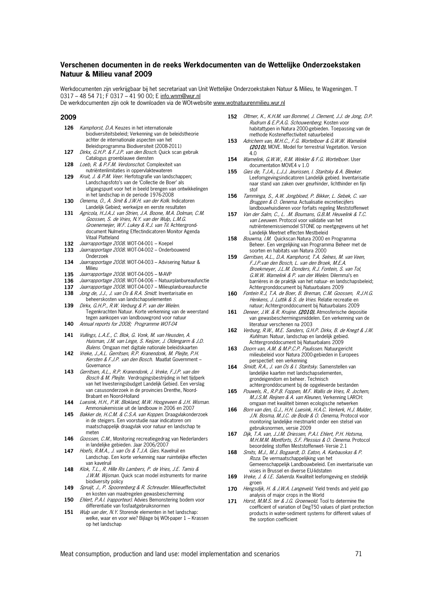## **Verschenen documenten in de reeks Werkdocumenten van de Wettelijke Onderzoekstaken Natuur & Milieu vanaf 2009**

Werkdocumenten zijn verkrijgbaar bij het secretariaat van Unit Wettelijke Onderzoekstaken Natuur & Milieu, te Wageningen. T 0317 - 48 54 71; F 0317 - 41 90 00; E info.wnm@wur.nl

De werkdocumenten zijn ook te downloaden via de WOt-website [www.wotnatuurenmilieu.wur.nl](http://www.wotnatuurenmilieu.wur.nl/)

## **2009**

- 126 Kamphorst, D.A. Keuzes in het internationale biodiversiteitsbeleid; Verkenning van de beleidstheorie achter de internationale aspecten van het Beleidsprogramma Biodiversiteit (2008-2011)
- **127** Dirkx, G.H.P. & F.J.P. van den Bosch. Quick scan gebruik Catalogus groenblauwe diensten
- **128** Loeb, R. & P.F.M. Verdonschot. Complexiteit van nutriëntenlimitaties in oppervlaktewateren
- **129** Kruit, J. & P.M. Veer. Herfotografie van landschappen; Landschapsfoto's van de 'Collectie de Boer' als uitgangspunt voor het in beeld brengen van ontwikkelingen in het landschap in de periode 1976-2008
- **130** Oenema, O., A. Smit & J.W.H. van der Kolk. Indicatoren Landelijk Gebied; werkwijze en eerste resultaten
- **131** Agricola, H.J.A.J. van Strien, J.A. Boone, M.A. Dolman, C.M. Goossen, S. de Vries, N.Y. van der Wulp, L.M.G. Groenemeijer, W.F. Lukey & R.J. van Til. Achtergronddocument Nulmeting Effectindicatoren Monitor Agenda Vitaal Platteland
- **132** Jaarrapportage 2008. WOT-04-001 Koepel
- **133** Jaarrapportage 2008. WOT-04-002 Onderbouwend Onderzoek
- **134** Jaarrapportage 2008. WOT-04-003 Advisering Natuur & Milieu
- **135** Jaarrapportage 2008. WOT-04-005 M-AVP
- **136** Jaarrapportage 2008. WOT-04-006 Natuurplanbureaufunctie
- 137 *Jaarrapportage 2008*. WOT-04-007 Milieuplanbureaufunctie<br>138 *Jong de. J.J. J. van Os & R.A. Smidt.* Inventarisatie en
- **138** Jong de, J.J., J. van Os & R.A. Smidt. Inventarisatie en beheerskosten van landschapselementen
- **139** Dirkx, G.H.P., R.W. Verburg & P. van der Wielen. Tegenkrachten Natuur. Korte verkenning van de weerstand tegen aankopen van landbouwgrond voor natuur
- **140** Annual reports for 2008; Programme WOT-04
- **141** Vullings, L.A.E., C. Blok, G. Vonk, M. van Heusden, A. Huisman, J.M. van Linge, S. Keijzer, J. Oldengarm & J.D. Bulens. Omgaan met digitale nationale beleidskaarten
- **142** Vreke, J.,A.L. Gerritsen, R.P. Kranendonk, M. Pleijte, P.H. Kersten & F.J.P. van den Bosch. Maatlat Government – Governance
- **143** Gerritsen, A.L., R.P. Kranendonk, J. Vreke, F.J.P. van den Bosch & M. Pleijte. Verdrogingsbestrijding in het tijdperk van het Investeringsbudget Landelijk Gebied. Een verslag van casusonderzoek in de provincies Drenthe, Noord-Brabant en Noord-Holland
- **144** Luesink, H.H., P.W. Blokland, M.W. Hoogeveen & J.H. Wisman. Ammoniakemissie uit de landbouw in 2006 en 2007
- 145 Bakker de, H.C.M. & C.S.A. van Koppen. Draagvlakonderzoek in de steigers. Een voorstudie naar indicatoren om maatschappelijk draagvlak voor natuur en landschap te meten
- 146 Goossen, C.M., Monitoring recreatiegedrag van Nederlanders in landelijke gebieden. Jaar 2006/2007
- **147** Hoefs, R.M.A., J. van Os & T.J.A. Gies. Kavelruil en Landschap. Een korte verkenning naar ruimtelijke effecten van kavelruil
- **148** Klok, T.L., R. Hille Ris Lambers, P. de Vries, J.E. Tamis & J.W.M. Wijsman. Quick scan model instruments for marine biodiversity policy
- 149 Spruijt, J., P. Spoorenberg & R. Schreuder. Milieueffectiviteit en kosten van maatregelen gewasbescherming
- 150 Ehlert, P.A.I. (rapporteur). Advies Bemonstering bodem voor differentiatie van fosfaatgebruiksnormen
- 151 Wulp van der, N.Y. Storende elementen in het landschap: welke, waar en voor wie? Bijlage bij WOt-paper 1 – Krassen op het landschap
- **152** Oltmer, K., K.H.M. van Bommel, J. Clement, J.J. de Jong, D.P. Rudrum & E.P.A.G. Schouwenberg. Kosten voor habitattypen in Natura 2000-gebieden. Toepassing van de methode Kosteneffectiviteit natuurbeleid
- **153** Adrichem van, M.H.C., F.G. Wortelboer & G.W.W. Wamelink (2010). MOVE. Model for terrestrial Vegetation. Version 4.0
- **154** Wamelink, G.W.W., R.M. Winkler & F.G. Wortelboer. User documentation MOVE4 v 1.0
- **155** Gies de, T.J.A., L.J.J. Jeurissen, I. Staritsky & A. Bleeker. Leefomgevingsindicatoren Landelijk gebied. Inventarisatie naar stand van zaken over geurhinder, lichthinder en fijn stof
- **156** Tamminga, S., A.W. Jongbloed, P. Bikker, L. Sebek, C. van Bruggen & O. Oenema. Actualisatie excretiecijfers landbouwhuisdieren voor forfaits regeling Meststoffenwet
- **157** Van der Salm, C., L. .M. Boumans, G.B.M. Heuvelink & T.C. van Leeuwen. Protocol voor validatie van het nutriëntenemissiemodel STONE op meetgegevens uit het Landelijk Meetnet effecten Mestbeleid
- 158 Bouwma, I.M. Quickscan Natura 2000 en Programma Beheer. Een vergelijking van Programma Beheer met de soorten en habitats van Natura 2000
- **159** Gerritsen, A.L., D.A. Kamphorst, T.A. Selnes, M. van Veen, F.J.P.van den Bosch, L. van den Broek, M.E.A. Broekmeyer, J.L.M. Donders, R.J. Fontein, S. van Tol, G.W.W. Wamelink & P. van der Wielen. Dilemma's en barrières in de praktijk van het natuur- en landschapsbeleid; Achtergronddocument bij Natuurbalans 2009
- **160** Fontein R.J, T.A. de Boer, B. Breman, C.M. Goossen, R.J.H.G. Henkens, J. Luttik & S. de Vries. Relatie recreatie en natuur; Achtergronddocument bij Natuurbalans 2009
- 161 Deneer, J.W. & R. Kruijne. (2010). Atmosferische depositie van gewasbeschermingsmiddelen. Een verkenning van de literatuur verschenen na 2003
- **162** Verburg, R.W., M.E. Sanders, G.H.P. Dirkx, B. de Knegt & J.W. Kuhlman. Natuur, landschap en landelijk gebied. Achtergronddocument bij Natuurbalans 2009
- **163** Doorn van, A.M. & M.P.C.P. Paulissen. Natuurgericht milieubeleid voor Natura 2000-gebieden in Europees perspectief: een verkenning
- **164** Smidt, R.A., J. van Os & I. Staritsky. Samenstellen van landelijke kaarten met landschapselementen, grondeigendom en beheer. Technisch achtergronddocument bij de opgeleverde bestanden
- **165** Pouwels, R., R.P.B. Foppen, M.F. Wallis de Vries, R. Jochem, M.J.S.M. Rejinen & A. van Kleunen, Verkenning LARCH: omgaan met kwaliteit binnen ecologische netwerken
- **166** Born van den, G.J., H.H. Luesink, H.A.C. Verkerk, H.J. Mulder, J.N. Bosma, M.J.C. de Bode & O. Oenema, Protocol voor monitoring landelijke mestmarkt onder een stelsel van gebruiksnormen, versie 2009
- **167** Dijk, T.A. van, J.J.M. Driessen, P.A.I. Ehlert, P.H. Hotsma, M.H.M.M. Montforts, S.F. Plessius & O. Oenema. Protocol beoordeling stoffen Meststoffenwet- Versie 2.1
- **168** Smits, M.J., M.J. Bogaardt, D. Eaton, A. Karbauskas & P. Roza. De vermaatschappelijking van het Gemeenschappelijk Landbouwbeleid. Een inventarisatie van visies in Brussel en diverse EU-lidstaten
- 169 Vreke, J. & I.E. Salverda. Kwaliteit leefomgeving en stedelijk groen
- 170 Hengsdijk, H. & J.W.A. Langeveld. Yield trends and yield gap analysis of major crops in the World
- **171** Horst, M.M.S. ter & J.G. Groenwold. Tool to determine the coefficient of variation of DegT50 values of plant protection products in water-sediment systems for different values of the sorption coefficient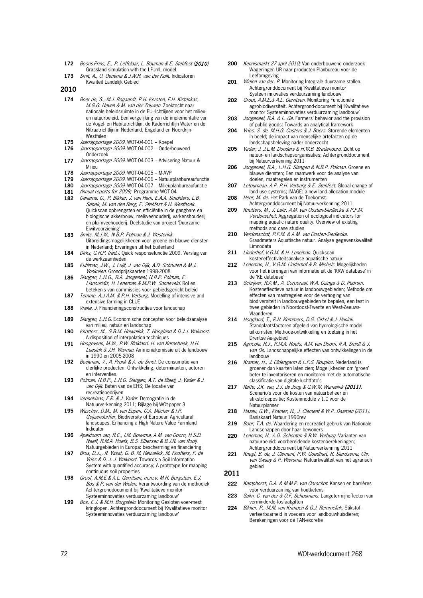- **172** Boons-Prins, E., P. Leffelaar, L. Bouman & E. Stehfest (2010) Grassland simulation with the LPJmL model
- **173** Smit, A., O. Oenema & J.W.H. van der Kolk. Indicatoren Kwaliteit Landelijk Gebied

**2010**

- **174** Boer de, S., M.J. Bogaardt, P.H. Kersten, F.H. Kistenkas, M.G.G. Neven & M. van der Zouwen. Zoektocht naar nationale beleidsruimte in de EU-richtlijnen voor het milieuen natuurbeleid. Een vergelijking van de implementatie van de Vogel- en Habitatrichtlijn, de Kaderrichtlijn Water en de Nitraatrichtlijn in Nederland, Engeland en Noordrijn-Westfalen
- **175** *Jaarrapportage 2009.* WOT-04-001 Koepel<br>**176** *Jaarrapportage 2009.* WOT-04-002 Onderb
- **176** Jaarrapportage 2009. WOT-04-002 Onderbouwend Onderzoek
- **177** Jaarrapportage 2009. WOT-04-003 Advisering Natuur & Milieu
- **178** *Jaarrapportage 2009.* WOT-04-005 M-AVP<br>**179** *Jaarrapportage 2009.* WOT-04-006 Natuur
- **179** Jaarrapportage 2009. WOT-04-006 Natuurplanbureaufunctie
- **180** Jaarrapportage 2009. WOT-04-007 Milieuplanbureaufunctie
- **181** Annual reports for 2009; Programme WOT-04
- **182** Oenema, O., P. Bikker, J. van Harn, E.A.A. Smolders, L.B. Sebek, M. van den Berg, E. Stehfest & H. Westhoek. Quickscan opbrengsten en efficiëntie in de gangbare en biologische akkerbouw, melkveehouderij, varkenshouderij en pluimveehouderij. Deelstudie van project 'Duurzame Eiwitvoorziening'
- **183** Smits, M.J.W., N.B.P. Polman & J. Westerink. Uitbreidingsmogelijkheden voor groene en blauwe diensten in Nederland; Ervaringen uit het buitenland
- 184 *Dirkx, G.H.P. (red.).* Quick responsefunctie 2009. Verslag van de werkzaamheden
- **185** Kuhlman, J.W., J. Luijt, J. van Dijk, A.D. Schouten & M.J. Voskuilen. Grondprijskaarten 1998-2008
- **186** Slangen, L.H.G., R.A. Jongeneel, N.B.P. Polman, E. Lianouridis, H. Leneman & M.P.W. Sonneveld. Rol en betekenis van commissies voor gebiedsgericht beleid
- **187** Temme, A.J.A.M. & P.H. Verburg. Modelling of intensive and extensive farming in CLUE
- 188 Vreke, J. Financieringsconstructies voor landschap
- 189 Slangen, L.H.G. Economische concepten voor beleidsanalyse van milieu, natuur en landschap
- **190** Knotters, M., G.B.M. Heuvelink, T. Hoogland & D.J.J. Walvoort. A disposition of interpolation techniques
- **191** Hoogeveen, M.W., P.W. Blokland, H. van Kernebeek, H.H. Luesink & J.H. Wisman. Ammoniakemissie uit de landbouw in 1990 en 2005-2008
- **192** Beekman, V., A. Pronk & A. de Smet. De consumptie van dierlijke producten. Ontwikkeling, determinanten, actoren en interventies.
- **193** Polman, N.B.P., L.H.G. Slangen, A.T. de Blaeij, J. Vader & J. van Dijk. Baten van de EHS; De locatie van recreatiebedrijven
- **194** Veeneklaas, F.R. & J. Vader. Demografie in de Natuurverkenning 2011; Bijlage bij WOt-paper 3
- **195** Wascher, D.M., M. van Eupen, C.A. Mücher & I.R. Geijzendorffer, Biodiversity of European Agricultural landscapes. Enhancing a High Nature Value Farmland Indicator
- **196** Apeldoorn van, R.C., I.M. Bouwma, A.M. van Doorn, H.S.D. Naeff, R.M.A. Hoefs, B.S. Elbersen & B.J.R. van Rooij. Natuurgebieden in Europa: bescherming en financiering
- **197** Brus, D.J.,, R. Vasat, G. B. M. Heuvelink, M. Knotters, F. de Vries & D. J. J. Walvoort. Towards a Soil Information System with quantified accuracy; A prototype for mapping continuous soil properties
- **198** Groot, A.M.E.& A.L. Gerritsen, m.m.v. M.H. Borgstein, E.J. Bos & P. van der Wielen. Verantwoording van de methodiek Achtergronddocument bij 'Kwalitatieve monitor Systeeminnovaties verduurzaming landbouw'
- 199 Bos, E.J. & M.H. Borgstein. Monitoring Gesloten voer-mest kringlopen. Achtergronddocument bij 'Kwalitatieve monitor Systeeminnovaties verduurzaming landbouw'
- **200** Kennismarkt 27 april 2010; Van onderbouwend onderzoek Wageningen UR naar producten Planbureau voor de Leefomgeving
- 201 Wielen van der, P. Monitoring Integrale duurzame stallen. Achtergronddocument bij 'Kwalitatieve monitor Systeeminnovaties verduurzaming landbouw'
- **202** Groot, A.M.E.& A.L. Gerritsen. Monitoring Functionele agrobiodiversiteit. Achtergrond-document bij 'Kwalitatieve monitor Systeeminnovaties verduurzaming landbouw'
- 203 *Jongeneel, R.A. & L. Ge.* Farmers' behavior and the provision of public goods: Towards an analytical framework
- **204** Vries, S. de, M.H.G. Custers & J. Boers. Storende elementen in beeld; de impact van menselijke artefacten op de landschapsbeleving nader onderzocht
- **205** Vader, J. J.L.M. Donders & H.W.B. Bredenoord. Zicht op natuur- en landschapsorganisaties; Achtergronddocument bij Natuurverkenning 2011
- **206** Jongeneel, R.A., L.H.G. Slangen & N.B.P. Polman. Groene en blauwe diensten; Een raamwerk voor de analyse van doelen, maatregelen en instrumenten
- 207 Letourneau, A.P, P.H. Verburg & E. Stehfest. Global change of land use systems; IMAGE: a new land allocation module
- **208** Heer, M. de. Het Park van de Toekomst. Achtergronddocument bij Natuurverkenning 2011
- **209** Knotters, M., J. Lahr, A.M. van Oosten-Siedlecka & P.F.M. Verdonschot. Aggregation of ecological indicators for mapping aquatic nature quality. Overview of existing methods and case studies
- **210** Verdonschot, P.F.M. & A.M. van Oosten-Siedlecka. Graadmeters Aquatische natuur. Analyse gegevenskwaliteit Limnodata
- 211 Linderhof, V.G.M. & H. Leneman. Quickscan kosteneffectiviteitsanalyse aquatische natuur
- **212** Leneman, H., V.G.M. Linderhof & R. Michels. Mogelijkheden voor het inbrengen van informatie uit de 'KRW database' in de 'KE database'
- **213** Schrijver, R.A.M., A. Corporaal, W.A. Ozinga & D. Rudrum. Kosteneffectieve natuur in landbouwgebieden; Methode om effecten van maatregelen voor de verhoging van biodiversiteit in landbouwgebieden te bepalen, een test in twee gebieden in Noordoost-Twente en West-Zeeuws-Vlaanderen
- **214** Hoogland, T., R.H. Kemmers, D.G. Cirkel & J. Hunink. Standplaatsfactoren afgeleid van hydrologische model uitkomsten; Methode-ontwikkeling en toetsing in het Drentse Aa-gebied
- **215** Agricola, H.J., R.M.A. Hoefs, A.M. van Doorn, R.A. Smidt & J. van Os. Landschappelijke effecten van ontwikkelingen in de landbouw
- 216 Kramer, H., J. Oldengarm & L.F.S. Roupioz. Nederland is groener dan kaarten laten zien; Mogelijkheden om 'groen' beter te inventariseren en monitoren met de automatische classificatie van digitale luchtfoto's
- **217** Raffe, J.K. van, J.J. de Jong & G.W.W. Wamelink (2011). Scenario's voor de kosten van natuurbeheer en stikstofdepositie; Kostenmodule v 1.0 voor de Natuurplanner
- **218** Hazeu, G.W., Kramer, H., J. Clement & W.P. Daamen (2011). Basiskaart Natuur 1990rev
- 219 Boer, T.A. de. Waardering en recreatief gebruik van Nationale Landschappen door haar bewoners
- **220** Leneman, H., A.D. Schouten & R.W. Verburg. Varianten van natuurbeleid: voorbereidende kostenberekeningen; Achtergronddocument bij Natuurverkenning 2011
- **221** Knegt, B. de, J. Clement, P.W. Goedhart, H. Sierdsema, Chr. van Swaay & P. Wiersma. Natuurkwaliteit van het agrarisch gebied

## **2011**

- **222** Kamphorst, D.A. & M.M.P. van Oorschot. Kansen en barrières voor verduurzaming van houtketens
- **223** Salm, C. van der & O.F. Schoumans. Langetermijneffecten van verminderde fosfaatgiften
- **224** Bikker, P., M.M. van Krimpen & G.J. Remmelink. Stikstofverteerbaarheid in voeders voor landbouwhuisdieren; Berekeningen voor de TAN-excretie